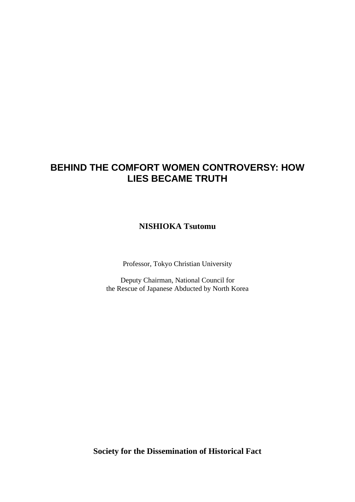# **BEHIND THE COMFORT WOMEN CONTROVERSY: HOW LIES BECAME TRUTH**

**NISHIOKA Tsutomu** 

Professor, Tokyo Christian University

Deputy Chairman, National Council for the Rescue of Japanese Abducted by North Korea

**Society for the Dissemination of Historical Fact**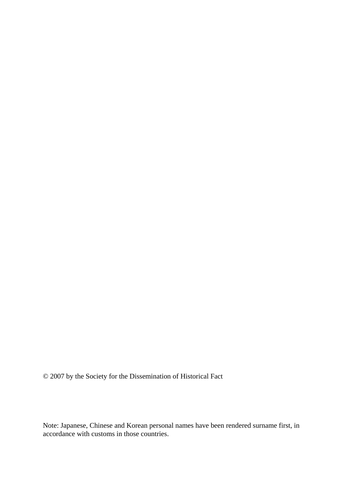© 2007 by the Society for the Dissemination of Historical Fact

Note: Japanese, Chinese and Korean personal names have been rendered surname first, in accordance with customs in those countries.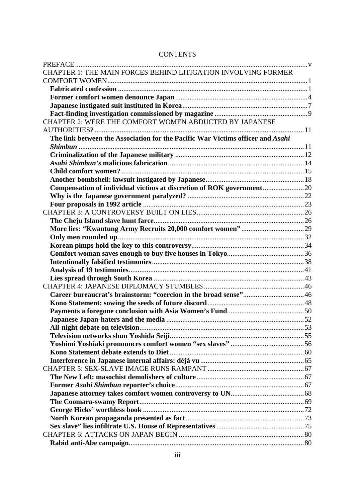| CHAPTER 1: THE MAIN FORCES BEHIND LITIGATION INVOLVING FORMER                  |  |
|--------------------------------------------------------------------------------|--|
|                                                                                |  |
|                                                                                |  |
|                                                                                |  |
|                                                                                |  |
|                                                                                |  |
| CHAPTER 2: WERE THE COMFORT WOMEN ABDUCTED BY JAPANESE                         |  |
|                                                                                |  |
| The link between the Association for the Pacific War Victims officer and Asahi |  |
|                                                                                |  |
|                                                                                |  |
|                                                                                |  |
|                                                                                |  |
|                                                                                |  |
| Compensation of individual victims at discretion of ROK government20           |  |
|                                                                                |  |
|                                                                                |  |
|                                                                                |  |
|                                                                                |  |
|                                                                                |  |
|                                                                                |  |
|                                                                                |  |
|                                                                                |  |
|                                                                                |  |
|                                                                                |  |
|                                                                                |  |
|                                                                                |  |
|                                                                                |  |
|                                                                                |  |
|                                                                                |  |
|                                                                                |  |
|                                                                                |  |
|                                                                                |  |
|                                                                                |  |
|                                                                                |  |
|                                                                                |  |
|                                                                                |  |
|                                                                                |  |
|                                                                                |  |
|                                                                                |  |
|                                                                                |  |
|                                                                                |  |
|                                                                                |  |
|                                                                                |  |
|                                                                                |  |

# **CONTENTS**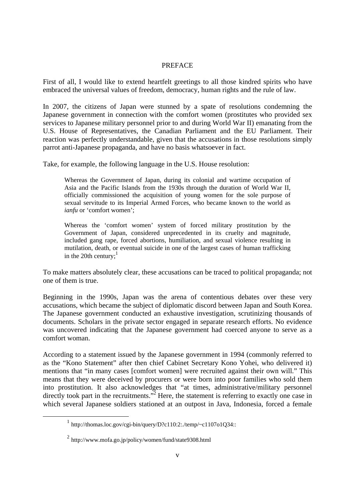## **PREFACE**

First of all, I would like to extend heartfelt greetings to all those kindred spirits who have embraced the universal values of freedom, democracy, human rights and the rule of law.

In 2007, the citizens of Japan were stunned by a spate of resolutions condemning the Japanese government in connection with the comfort women (prostitutes who provided sex services to Japanese military personnel prior to and during World War II) emanating from the U.S. House of Representatives, the Canadian Parliament and the EU Parliament. Their reaction was perfectly understandable, given that the accusations in those resolutions simply parrot anti-Japanese propaganda, and have no basis whatsoever in fact.

Take, for example, the following language in the U.S. House resolution:

Whereas the Government of Japan, during its colonial and wartime occupation of Asia and the Pacific Islands from the 1930s through the duration of World War II, officially commissioned the acquisition of young women for the sole purpose of sexual servitude to its Imperial Armed Forces, who became known to the world as *ianfu* or 'comfort women';

Whereas the 'comfort women' system of forced military prostitution by the Government of Japan, considered unprecedented in its cruelty and magnitude, included gang rape, forced abortions, humiliation, and sexual violence resulting in mutilation, death, or eventual suicide in one of the largest cases of human trafficking in the 20th century; $<sup>1</sup>$ </sup>

To make matters absolutely clear, these accusations can be traced to political propaganda; not one of them is true.

Beginning in the 1990s, Japan was the arena of contentious debates over these very accusations, which became the subject of diplomatic discord between Japan and South Korea. The Japanese government conducted an exhaustive investigation, scrutinizing thousands of documents. Scholars in the private sector engaged in separate research efforts. No evidence was uncovered indicating that the Japanese government had coerced anyone to serve as a comfort woman.

According to a statement issued by the Japanese government in 1994 (commonly referred to as the "Kono Statement" after then chief Cabinet Secretary Kono Yohei, who delivered it) mentions that "in many cases [comfort women] were recruited against their own will." This means that they were deceived by procurers or were born into poor families who sold them into prostitution. It also acknowledges that "at times, administrative/military personnel directly took part in the recruitments." $\frac{1}{2}$  Here, the statement is referring to exactly one case in which several Japanese soldiers stationed at an outpost in Java, Indonesia, forced a female

 $1 \text{ http://thomas.loc.gov/cgi-bin/query/D?c110:2:./temp/~c1107o1Q34::}$ 

 $^{2}$  http://www.mofa.go.jp/policy/women/fund/state9308.html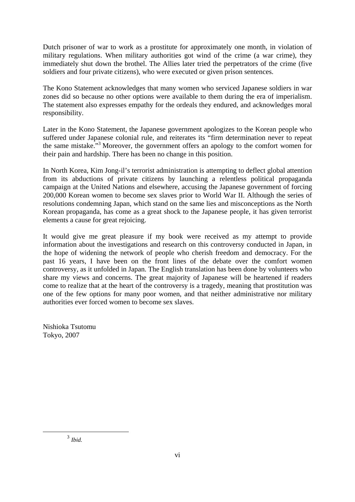Dutch prisoner of war to work as a prostitute for approximately one month, in violation of military regulations. When military authorities got wind of the crime (a war crime), they immediately shut down the brothel. The Allies later tried the perpetrators of the crime (five soldiers and four private citizens), who were executed or given prison sentences.

The Kono Statement acknowledges that many women who serviced Japanese soldiers in war zones did so because no other options were available to them during the era of imperialism. The statement also expresses empathy for the ordeals they endured, and acknowledges moral responsibility.

Later in the Kono Statement, the Japanese government apologizes to the Korean people who suffered under Japanese colonial rule, and reiterates its "firm determination never to repeat the same mistake."<sup>3</sup> Moreover, the government offers an apology to the comfort women for their pain and hardship. There has been no change in this position.

In North Korea, Kim Jong-il's terrorist administration is attempting to deflect global attention from its abductions of private citizens by launching a relentless political propaganda campaign at the United Nations and elsewhere, accusing the Japanese government of forcing 200,000 Korean women to become sex slaves prior to World War II. Although the series of resolutions condemning Japan, which stand on the same lies and misconceptions as the North Korean propaganda, has come as a great shock to the Japanese people, it has given terrorist elements a cause for great rejoicing.

It would give me great pleasure if my book were received as my attempt to provide information about the investigations and research on this controversy conducted in Japan, in the hope of widening the network of people who cherish freedom and democracy. For the past 16 years, I have been on the front lines of the debate over the comfort women controversy, as it unfolded in Japan. The English translation has been done by volunteers who share my views and concerns. The great majority of Japanese will be heartened if readers come to realize that at the heart of the controversy is a tragedy, meaning that prostitution was one of the few options for many poor women, and that neither administrative nor military authorities ever forced women to become sex slaves.

Nishioka Tsutomu Tokyo, 2007

3 *Ibid.*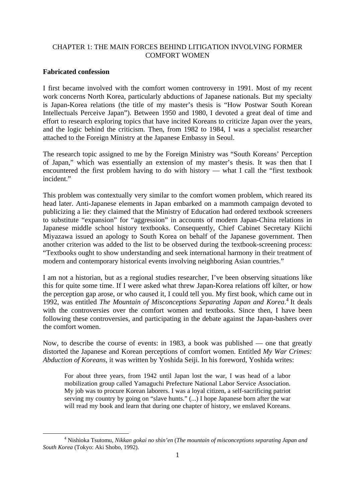# CHAPTER 1: THE MAIN FORCES BEHIND LITIGATION INVOLVING FORMER COMFORT WOMEN

# **Fabricated confession**

I first became involved with the comfort women controversy in 1991. Most of my recent work concerns North Korea, particularly abductions of Japanese nationals. But my specialty is Japan-Korea relations (the title of my master's thesis is "How Postwar South Korean Intellectuals Perceive Japan"). Between 1950 and 1980, I devoted a great deal of time and effort to research exploring topics that have incited Koreans to criticize Japan over the years, and the logic behind the criticism. Then, from 1982 to 1984, I was a specialist researcher attached to the Foreign Ministry at the Japanese Embassy in Seoul.

The research topic assigned to me by the Foreign Ministry was "South Koreans' Perception of Japan," which was essentially an extension of my master's thesis. It was then that I encountered the first problem having to do with history — what I call the "first textbook incident."

This problem was contextually very similar to the comfort women problem, which reared its head later. Anti-Japanese elements in Japan embarked on a mammoth campaign devoted to publicizing a lie: they claimed that the Ministry of Education had ordered textbook screeners to substitute "expansion" for "aggression" in accounts of modern Japan-China relations in Japanese middle school history textbooks. Consequently, Chief Cabinet Secretary Kiichi Miyazawa issued an apology to South Korea on behalf of the Japanese government. Then another criterion was added to the list to be observed during the textbook-screening process: "Textbooks ought to show understanding and seek international harmony in their treatment of modern and contemporary historical events involving neighboring Asian countries."

I am not a historian, but as a regional studies researcher, I've been observing situations like this for quite some time. If I were asked what threw Japan-Korea relations off kilter, or how the perception gap arose, or who caused it, I could tell you. My first book, which came out in 1992, was entitled *The Mountain of Misconceptions Separating Japan and Korea*.<sup>4</sup> It deals with the controversies over the comfort women and textbooks. Since then, I have been following these controversies, and participating in the debate against the Japan-bashers over the comfort women.

Now, to describe the course of events: in 1983, a book was published — one that greatly distorted the Japanese and Korean perceptions of comfort women. Entitled *My War Crimes: Abduction of Koreans*, it was written by Yoshida Seiji. In his foreword, Yoshida writes:

For about three years, from 1942 until Japan lost the war, I was head of a labor mobilization group called Yamaguchi Prefecture National Labor Service Association. My job was to procure Korean laborers. I was a loyal citizen, a self-sacrificing patriot serving my country by going on "slave hunts." (...) I hope Japanese born after the war will read my book and learn that during one chapter of history, we enslaved Koreans.

 $\frac{1}{4}$  Nishioka Tsutomu, *Nikkan gokai no shin'en* (*The mountain of misconceptions separating Japan and South Korea* (Tokyo: Aki Shobo, 1992).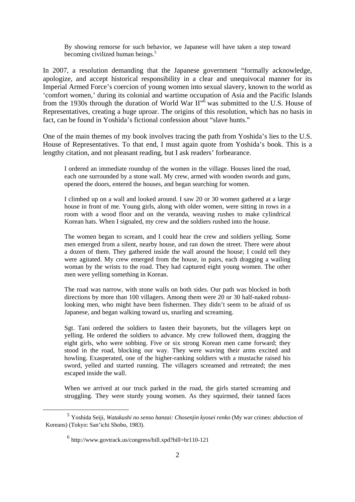By showing remorse for such behavior, we Japanese will have taken a step toward becoming civilized human beings.<sup>5</sup>

In 2007, a resolution demanding that the Japanese government "formally acknowledge, apologize, and accept historical responsibility in a clear and unequivocal manner for its Imperial Armed Force's coercion of young women into sexual slavery, known to the world as 'comfort women,' during its colonial and wartime occupation of Asia and the Pacific Islands from the 1930s through the duration of World War  $II''^{\delta}$  was submitted to the U.S. House of Representatives, creating a huge uproar. The origins of this resolution, which has no basis in fact, can be found in Yoshida's fictional confession about "slave hunts."

One of the main themes of my book involves tracing the path from Yoshida's lies to the U.S. House of Representatives. To that end, I must again quote from Yoshida's book. This is a lengthy citation, and not pleasant reading, but I ask readers' forbearance.

I ordered an immediate roundup of the women in the village. Houses lined the road, each one surrounded by a stone wall. My crew, armed with wooden swords and guns, opened the doors, entered the houses, and began searching for women.

I climbed up on a wall and looked around. I saw 20 or 30 women gathered at a large house in front of me. Young girls, along with older women, were sitting in rows in a room with a wood floor and on the veranda, weaving rushes to make cylindrical Korean hats. When I signaled, my crew and the soldiers rushed into the house.

The women began to scream, and I could hear the crew and soldiers yelling. Some men emerged from a silent, nearby house, and ran down the street. There were about a dozen of them. They gathered inside the wall around the house; I could tell they were agitated. My crew emerged from the house, in pairs, each dragging a wailing woman by the wrists to the road. They had captured eight young women. The other men were yelling something in Korean.

The road was narrow, with stone walls on both sides. Our path was blocked in both directions by more than 100 villagers. Among them were 20 or 30 half-naked robustlooking men, who might have been fishermen. They didn't seem to be afraid of us Japanese, and began walking toward us, snarling and screaming.

Sgt. Tani ordered the soldiers to fasten their bayonets, but the villagers kept on yelling. He ordered the soldiers to advance. My crew followed them, dragging the eight girls, who were sobbing. Five or six strong Korean men came forward; they stood in the road, blocking our way. They were waving their arms excited and howling. Exasperated, one of the higher-ranking soldiers with a mustache raised his sword, yelled and started running. The villagers screamed and retreated; the men escaped inside the wall.

When we arrived at our truck parked in the road, the girls started screaming and struggling. They were sturdy young women. As they squirmed, their tanned faces

 <sup>5</sup> Yoshida Seiji, *Watakushi no senso hanzai: Chosenjin kyosei renko* (My war crimes: abduction of Koreans) (Tokyo: San'ichi Shobo, 1983).

 $^6$  http://www.govtrack.us/congress/bill.xpd?bill=hr110-121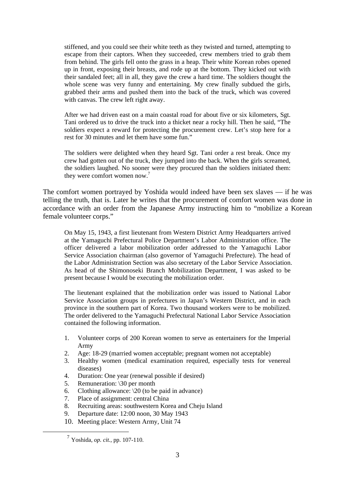stiffened, and you could see their white teeth as they twisted and turned, attempting to escape from their captors. When they succeeded, crew members tried to grab them from behind. The girls fell onto the grass in a heap. Their white Korean robes opened up in front, exposing their breasts, and rode up at the bottom. They kicked out with their sandaled feet; all in all, they gave the crew a hard time. The soldiers thought the whole scene was very funny and entertaining. My crew finally subdued the girls, grabbed their arms and pushed them into the back of the truck, which was covered with canvas. The crew left right away.

After we had driven east on a main coastal road for about five or six kilometers, Sgt. Tani ordered us to drive the truck into a thicket near a rocky hill. Then he said, "The soldiers expect a reward for protecting the procurement crew. Let's stop here for a rest for 30 minutes and let them have some fun."

The soldiers were delighted when they heard Sgt. Tani order a rest break. Once my crew had gotten out of the truck, they jumped into the back. When the girls screamed, the soldiers laughed. No sooner were they procured than the soldiers initiated them: they were comfort women now.<sup>7</sup>

The comfort women portrayed by Yoshida would indeed have been sex slaves — if he was telling the truth, that is. Later he writes that the procurement of comfort women was done in accordance with an order from the Japanese Army instructing him to "mobilize a Korean female volunteer corps."

On May 15, 1943, a first lieutenant from Western District Army Headquarters arrived at the Yamaguchi Prefectural Police Department's Labor Administration office. The officer delivered a labor mobilization order addressed to the Yamaguchi Labor Service Association chairman (also governor of Yamaguchi Prefecture). The head of the Labor Administration Section was also secretary of the Labor Service Association. As head of the Shimonoseki Branch Mobilization Department, I was asked to be present because I would be executing the mobilization order.

The lieutenant explained that the mobilization order was issued to National Labor Service Association groups in prefectures in Japan's Western District, and in each province in the southern part of Korea. Two thousand workers were to be mobilized. The order delivered to the Yamaguchi Prefectural National Labor Service Association contained the following information.

- 1. Volunteer corps of 200 Korean women to serve as entertainers for the Imperial Army
- 2. Age: 18-29 (married women acceptable; pregnant women not acceptable)
- 3. Healthy women (medical examination required, especially tests for venereal diseases)
- 4. Duration: One year (renewal possible if desired)
- 5. Remuneration: \30 per month
- 6. Clothing allowance:  $\sqrt{20}$  (to be paid in advance)
- 7. Place of assignment: central China
- 8. Recruiting areas: southwestern Korea and Cheju Island
- 9. Departure date: 12:00 noon, 30 May 1943
- 10. Meeting place: Western Army, Unit 74

 <sup>7</sup> Yoshida, *op. cit.*, pp. 107-110.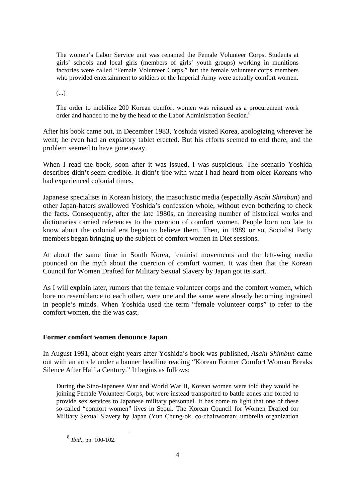The women's Labor Service unit was renamed the Female Volunteer Corps. Students at girls' schools and local girls (members of girls' youth groups) working in munitions factories were called "Female Volunteer Corps," but the female volunteer corps members who provided entertainment to soldiers of the Imperial Army were actually comfort women.

(...)

The order to mobilize 200 Korean comfort women was reissued as a procurement work order and handed to me by the head of the Labor Administration Section.<sup>8</sup>

After his book came out, in December 1983, Yoshida visited Korea, apologizing wherever he went; he even had an expiatory tablet erected. But his efforts seemed to end there, and the problem seemed to have gone away.

When I read the book, soon after it was issued, I was suspicious. The scenario Yoshida describes didn't seem credible. It didn't jibe with what I had heard from older Koreans who had experienced colonial times.

Japanese specialists in Korean history, the masochistic media (especially *Asahi Shimbun*) and other Japan-haters swallowed Yoshida's confession whole, without even bothering to check the facts. Consequently, after the late 1980s, an increasing number of historical works and dictionaries carried references to the coercion of comfort women. People born too late to know about the colonial era began to believe them. Then, in 1989 or so, Socialist Party members began bringing up the subject of comfort women in Diet sessions.

At about the same time in South Korea, feminist movements and the left-wing media pounced on the myth about the coercion of comfort women. It was then that the Korean Council for Women Drafted for Military Sexual Slavery by Japan got its start.

As I will explain later, rumors that the female volunteer corps and the comfort women, which bore no resemblance to each other, were one and the same were already becoming ingrained in people's minds. When Yoshida used the term "female volunteer corps" to refer to the comfort women, the die was cast.

# **Former comfort women denounce Japan**

In August 1991, about eight years after Yoshida's book was published, *Asahi Shimbun* came out with an article under a banner headline reading "Korean Former Comfort Woman Breaks Silence After Half a Century." It begins as follows:

During the Sino-Japanese War and World War II, Korean women were told they would be joining Female Volunteer Corps, but were instead transported to battle zones and forced to provide sex services to Japanese military personnel. It has come to light that one of these so-called "comfort women" lives in Seoul. The Korean Council for Women Drafted for Military Sexual Slavery by Japan (Yun Chung-ok, co-chairwoman: umbrella organization

 <sup>8</sup> *Ibid.*, pp. 100-102.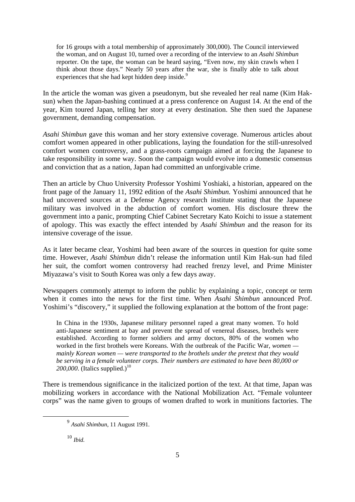for 16 groups with a total membership of approximately 300,000). The Council interviewed the woman, and on August 10, turned over a recording of the interview to an *Asahi Shimbun* reporter. On the tape, the woman can be heard saying, "Even now, my skin crawls when I think about those days." Nearly 50 years after the war, she is finally able to talk about experiences that she had kept hidden deep inside.<sup>9</sup>

In the article the woman was given a pseudonym, but she revealed her real name (Kim Haksun) when the Japan-bashing continued at a press conference on August 14. At the end of the year, Kim toured Japan, telling her story at every destination. She then sued the Japanese government, demanding compensation.

*Asahi Shimbun* gave this woman and her story extensive coverage. Numerous articles about comfort women appeared in other publications, laying the foundation for the still-unresolved comfort women controversy, and a grass-roots campaign aimed at forcing the Japanese to take responsibility in some way. Soon the campaign would evolve into a domestic consensus and conviction that as a nation, Japan had committed an unforgivable crime.

Then an article by Chuo University Professor Yoshimi Yoshiaki, a historian, appeared on the front page of the January 11, 1992 edition of the *Asahi Shimbun.* Yoshimi announced that he had uncovered sources at a Defense Agency research institute stating that the Japanese military was involved in the abduction of comfort women. His disclosure threw the government into a panic, prompting Chief Cabinet Secretary Kato Koichi to issue a statement of apology. This was exactly the effect intended by *Asahi Shimbun* and the reason for its intensive coverage of the issue.

As it later became clear, Yoshimi had been aware of the sources in question for quite some time. However, *Asahi Shimbun* didn't release the information until Kim Hak-sun had filed her suit, the comfort women controversy had reached frenzy level, and Prime Minister Miyazawa's visit to South Korea was only a few days away.

Newspapers commonly attempt to inform the public by explaining a topic, concept or term when it comes into the news for the first time. When *Asahi Shimbun* announced Prof. Yoshimi's "discovery," it supplied the following explanation at the bottom of the front page:

In China in the 1930s, Japanese military personnel raped a great many women. To hold anti-Japanese sentiment at bay and prevent the spread of venereal diseases, brothels were established. According to former soldiers and army doctors, 80% of the women who worked in the first brothels were Koreans. With the outbreak of the Pacific War, *women mainly Korean women — were transported to the brothels under the pretext that they would be serving in a female volunteer corps. Their numbers are estimated to have been 80,000 or*  200,000. (Italics supplied.)<sup>10</sup>

There is tremendous significance in the italicized portion of the text. At that time, Japan was mobilizing workers in accordance with the National Mobilization Act. "Female volunteer corps" was the name given to groups of women drafted to work in munitions factories. The

<sup>10</sup> *Ibid.*

 <sup>9</sup> *Asahi Shimbun*, 11 August 1991.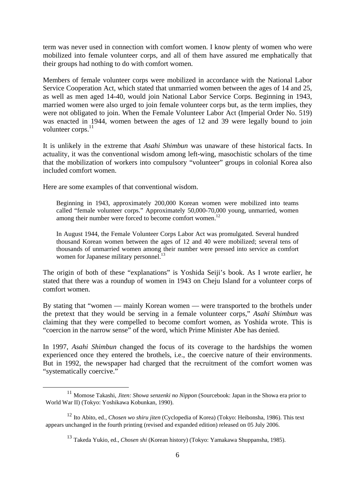term was never used in connection with comfort women. I know plenty of women who were mobilized into female volunteer corps, and all of them have assured me emphatically that their groups had nothing to do with comfort women.

Members of female volunteer corps were mobilized in accordance with the National Labor Service Cooperation Act, which stated that unmarried women between the ages of 14 and 25, as well as men aged 14-40, would join National Labor Service Corps. Beginning in 1943, married women were also urged to join female volunteer corps but, as the term implies, they were not obligated to join. When the Female Volunteer Labor Act (Imperial Order No. 519) was enacted in 1944, women between the ages of 12 and 39 were legally bound to join volunteer corps.<sup>11</sup>

It is unlikely in the extreme that *Asahi Shimbun* was unaware of these historical facts. In actuality, it was the conventional wisdom among left-wing, masochistic scholars of the time that the mobilization of workers into compulsory "volunteer" groups in colonial Korea also included comfort women.

Here are some examples of that conventional wisdom.

Beginning in 1943, approximately 200,000 Korean women were mobilized into teams called "female volunteer corps." Approximately 50,000-70,000 young, unmarried, women among their number were forced to become comfort women.<sup>12</sup>

In August 1944, the Female Volunteer Corps Labor Act was promulgated. Several hundred thousand Korean women between the ages of 12 and 40 were mobilized; several tens of thousands of unmarried women among their number were pressed into service as comfort women for Japanese military personnel.<sup>13</sup>

The origin of both of these "explanations" is Yoshida Seiji's book. As I wrote earlier, he stated that there was a roundup of women in 1943 on Cheju Island for a volunteer corps of comfort women.

By stating that "women — mainly Korean women — were transported to the brothels under the pretext that they would be serving in a female volunteer corps," *Asahi Shimbun* was claiming that they were compelled to become comfort women, as Yoshida wrote. This is "coercion in the narrow sense" of the word, which Prime Minister Abe has denied.

In 1997, *Asahi Shimbun* changed the focus of its coverage to the hardships the women experienced once they entered the brothels, i.e., the coercive nature of their environments. But in 1992, the newspaper had charged that the recruitment of the comfort women was "systematically coercive."

 <sup>11</sup> Momose Takashi, *Jiten: Showa senzenki no Nippon* (Sourcebook: Japan in the Showa era prior to World War II) (Tokyo: Yoshikawa Kobunkan, 1990).

<sup>12</sup> Ito Abito, ed., *Chosen wo shiru jiten* (Cyclopedia of Korea) (Tokyo: Heibonsha, 1986). This text appears unchanged in the fourth printing (revised and expanded edition) released on 05 July 2006.

<sup>13</sup> Takeda Yukio, ed., *Chosen shi* (Korean history) (Tokyo: Yamakawa Shuppansha, 1985).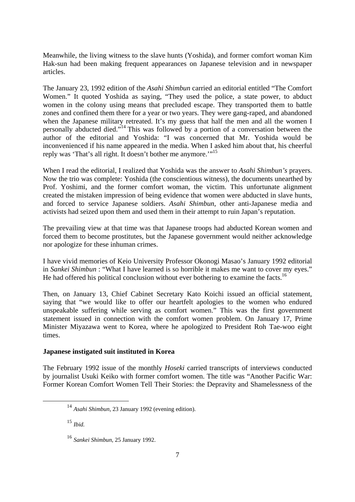Meanwhile, the living witness to the slave hunts (Yoshida), and former comfort woman Kim Hak-sun had been making frequent appearances on Japanese television and in newspaper articles.

The January 23, 1992 edition of the *Asahi Shimbun* carried an editorial entitled "The Comfort Women." It quoted Yoshida as saying, "They used the police, a state power, to abduct women in the colony using means that precluded escape. They transported them to battle zones and confined them there for a year or two years. They were gang-raped, and abandoned when the Japanese military retreated. It's my guess that half the men and all the women I personally abducted died."14 This was followed by a portion of a conversation between the author of the editorial and Yoshida: "I was concerned that Mr. Yoshida would be inconvenienced if his name appeared in the media. When I asked him about that, his cheerful reply was 'That's all right. It doesn't bother me anymore.'"15

When I read the editorial, I realized that Yoshida was the answer to *Asahi Shimbun's* prayers. Now the trio was complete: Yoshida (the conscientious witness), the documents unearthed by Prof. Yoshimi, and the former comfort woman, the victim. This unfortunate alignment created the mistaken impression of being evidence that women were abducted in slave hunts, and forced to service Japanese soldiers. *Asahi Shimbun*, other anti-Japanese media and activists had seized upon them and used them in their attempt to ruin Japan's reputation.

The prevailing view at that time was that Japanese troops had abducted Korean women and forced them to become prostitutes, but the Japanese government would neither acknowledge nor apologize for these inhuman crimes.

I have vivid memories of Keio University Professor Okonogi Masao's January 1992 editorial in *Sankei Shimbun* : "What I have learned is so horrible it makes me want to cover my eyes." He had offered his political conclusion without ever bothering to examine the facts.<sup>16</sup>

Then, on January 13, Chief Cabinet Secretary Kato Koichi issued an official statement, saying that "we would like to offer our heartfelt apologies to the women who endured unspeakable suffering while serving as comfort women." This was the first government statement issued in connection with the comfort women problem. On January 17, Prime Minister Miyazawa went to Korea, where he apologized to President Roh Tae-woo eight times.

# **Japanese instigated suit instituted in Korea**

The February 1992 issue of the monthly *Hoseki* carried transcripts of interviews conducted by journalist Usuki Keiko with former comfort women. The title was "Another Pacific War: Former Korean Comfort Women Tell Their Stories: the Depravity and Shamelessness of the

 <sup>14</sup> *Asahi Shimbun*, 23 January 1992 (evening edition).

<sup>15</sup> *Ibid.*

<sup>16</sup> *Sankei Shimbun*, 25 January 1992.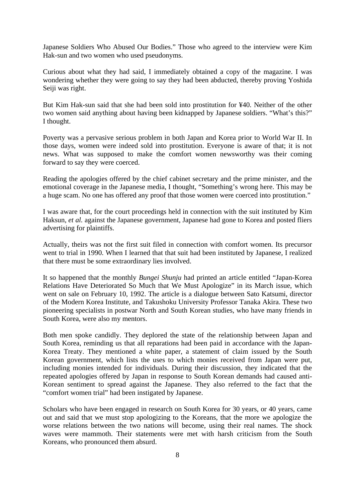Japanese Soldiers Who Abused Our Bodies." Those who agreed to the interview were Kim Hak-sun and two women who used pseudonyms.

Curious about what they had said, I immediately obtained a copy of the magazine. I was wondering whether they were going to say they had been abducted, thereby proving Yoshida Seiji was right.

But Kim Hak-sun said that she had been sold into prostitution for ¥40. Neither of the other two women said anything about having been kidnapped by Japanese soldiers. "What's this?" I thought.

Poverty was a pervasive serious problem in both Japan and Korea prior to World War II. In those days, women were indeed sold into prostitution. Everyone is aware of that; it is not news. What was supposed to make the comfort women newsworthy was their coming forward to say they were coerced.

Reading the apologies offered by the chief cabinet secretary and the prime minister, and the emotional coverage in the Japanese media, I thought, "Something's wrong here. This may be a huge scam. No one has offered any proof that those women were coerced into prostitution."

I was aware that, for the court proceedings held in connection with the suit instituted by Kim Haksun, *et al.* against the Japanese government, Japanese had gone to Korea and posted fliers advertising for plaintiffs.

Actually, theirs was not the first suit filed in connection with comfort women. Its precursor went to trial in 1990. When I learned that that suit had been instituted by Japanese, I realized that there must be some extraordinary lies involved.

It so happened that the monthly *Bungei Shunju* had printed an article entitled "Japan-Korea Relations Have Deteriorated So Much that We Must Apologize" in its March issue, which went on sale on February 10, 1992. The article is a dialogue between Sato Katsumi, director of the Modern Korea Institute, and Takushoku University Professor Tanaka Akira. These two pioneering specialists in postwar North and South Korean studies, who have many friends in South Korea, were also my mentors.

Both men spoke candidly. They deplored the state of the relationship between Japan and South Korea, reminding us that all reparations had been paid in accordance with the Japan-Korea Treaty. They mentioned a white paper, a statement of claim issued by the South Korean government, which lists the uses to which monies received from Japan were put, including monies intended for individuals. During their discussion, they indicated that the repeated apologies offered by Japan in response to South Korean demands had caused anti-Korean sentiment to spread against the Japanese. They also referred to the fact that the "comfort women trial" had been instigated by Japanese.

Scholars who have been engaged in research on South Korea for 30 years, or 40 years, came out and said that we must stop apologizing to the Koreans, that the more we apologize the worse relations between the two nations will become, using their real names. The shock waves were mammoth. Their statements were met with harsh criticism from the South Koreans, who pronounced them absurd.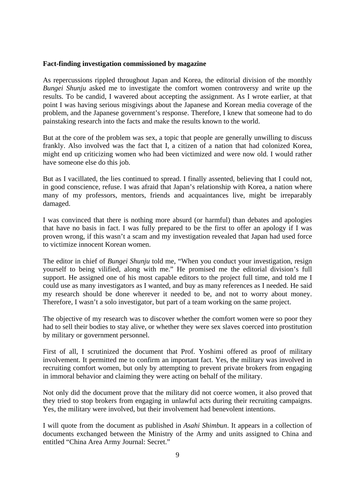#### **Fact-finding investigation commissioned by magazine**

As repercussions rippled throughout Japan and Korea, the editorial division of the monthly *Bungei Shunju* asked me to investigate the comfort women controversy and write up the results. To be candid, I wavered about accepting the assignment. As I wrote earlier, at that point I was having serious misgivings about the Japanese and Korean media coverage of the problem, and the Japanese government's response. Therefore, I knew that someone had to do painstaking research into the facts and make the results known to the world.

But at the core of the problem was sex, a topic that people are generally unwilling to discuss frankly. Also involved was the fact that I, a citizen of a nation that had colonized Korea, might end up criticizing women who had been victimized and were now old. I would rather have someone else do this job.

But as I vacillated, the lies continued to spread. I finally assented, believing that I could not, in good conscience, refuse. I was afraid that Japan's relationship with Korea, a nation where many of my professors, mentors, friends and acquaintances live, might be irreparably damaged.

I was convinced that there is nothing more absurd (or harmful) than debates and apologies that have no basis in fact. I was fully prepared to be the first to offer an apology if I was proven wrong, if this wasn't a scam and my investigation revealed that Japan had used force to victimize innocent Korean women.

The editor in chief of *Bungei Shunju* told me, "When you conduct your investigation, resign yourself to being vilified, along with me." He promised me the editorial division's full support. He assigned one of his most capable editors to the project full time, and told me I could use as many investigators as I wanted, and buy as many references as I needed. He said my research should be done wherever it needed to be, and not to worry about money. Therefore, I wasn't a solo investigator, but part of a team working on the same project.

The objective of my research was to discover whether the comfort women were so poor they had to sell their bodies to stay alive, or whether they were sex slaves coerced into prostitution by military or government personnel.

First of all, I scrutinized the document that Prof. Yoshimi offered as proof of military involvement. It permitted me to confirm an important fact. Yes, the military was involved in recruiting comfort women, but only by attempting to prevent private brokers from engaging in immoral behavior and claiming they were acting on behalf of the military.

Not only did the document prove that the military did not coerce women, it also proved that they tried to stop brokers from engaging in unlawful acts during their recruiting campaigns. Yes, the military were involved, but their involvement had benevolent intentions.

I will quote from the document as published in *Asahi Shimbun*. It appears in a collection of documents exchanged between the Ministry of the Army and units assigned to China and entitled "China Area Army Journal: Secret."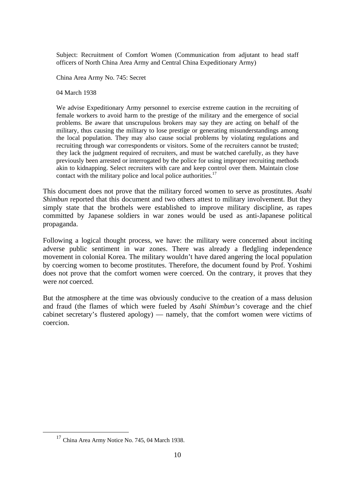Subject: Recruitment of Comfort Women (Communication from adjutant to head staff officers of North China Area Army and Central China Expeditionary Army)

China Area Army No. 745: Secret

04 March 1938

We advise Expeditionary Army personnel to exercise extreme caution in the recruiting of female workers to avoid harm to the prestige of the military and the emergence of social problems. Be aware that unscrupulous brokers may say they are acting on behalf of the military, thus causing the military to lose prestige or generating misunderstandings among the local population. They may also cause social problems by violating regulations and recruiting through war correspondents or visitors. Some of the recruiters cannot be trusted; they lack the judgment required of recruiters, and must be watched carefully, as they have previously been arrested or interrogated by the police for using improper recruiting methods akin to kidnapping. Select recruiters with care and keep control over them. Maintain close contact with the military police and local police authorities.<sup>17</sup>

This document does not prove that the military forced women to serve as prostitutes. *Asahi Shimbun* reported that this document and two others attest to military involvement. But they simply state that the brothels were established to improve military discipline, as rapes committed by Japanese soldiers in war zones would be used as anti-Japanese political propaganda.

Following a logical thought process, we have: the military were concerned about inciting adverse public sentiment in war zones. There was already a fledgling independence movement in colonial Korea. The military wouldn't have dared angering the local population by coercing women to become prostitutes. Therefore, the document found by Prof. Yoshimi does not prove that the comfort women were coerced. On the contrary, it proves that they were *not* coerced.

But the atmosphere at the time was obviously conducive to the creation of a mass delusion and fraud (the flames of which were fueled by *Asahi Shimbun's* coverage and the chief cabinet secretary's flustered apology) — namely, that the comfort women were victims of coercion.

<sup>&</sup>lt;sup>17</sup> China Area Army Notice No. 745, 04 March 1938.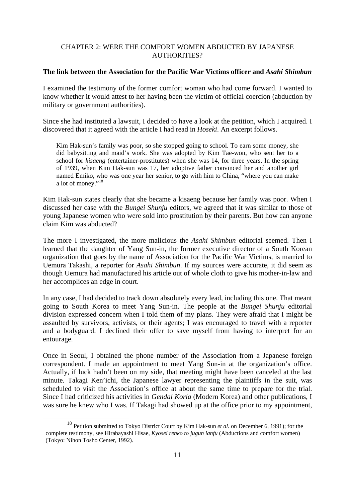# CHAPTER 2: WERE THE COMFORT WOMEN ABDUCTED BY JAPANESE AUTHORITIES?

#### **The link between the Association for the Pacific War Victims officer and** *Asahi Shimbun*

I examined the testimony of the former comfort woman who had come forward. I wanted to know whether it would attest to her having been the victim of official coercion (abduction by military or government authorities).

Since she had instituted a lawsuit, I decided to have a look at the petition, which I acquired. I discovered that it agreed with the article I had read in *Hoseki*. An excerpt follows.

Kim Hak-sun's family was poor, so she stopped going to school. To earn some money, she did babysitting and maid's work. She was adopted by Kim Tae-won, who sent her to a school for *kisaeng* (entertainer-prostitutes) when she was 14, for three years. In the spring of 1939, when Kim Hak-sun was 17, her adoptive father convinced her and another girl named Emiko, who was one year her senior, to go with him to China, "where you can make a lot of money."<sup>18</sup>

Kim Hak-sun states clearly that she became a kisaeng because her family was poor. When I discussed her case with the *Bungei Shunju* editors, we agreed that it was similar to those of young Japanese women who were sold into prostitution by their parents. But how can anyone claim Kim was abducted?

The more I investigated, the more malicious the *Asahi Shimbun* editorial seemed. Then I learned that the daughter of Yang Sun-in, the former executive director of a South Korean organization that goes by the name of Association for the Pacific War Victims, is married to Uemura Takashi, a reporter for *Asahi Shimbun*. If my sources were accurate, it did seem as though Uemura had manufactured his article out of whole cloth to give his mother-in-law and her accomplices an edge in court.

In any case, I had decided to track down absolutely every lead, including this one. That meant going to South Korea to meet Yang Sun-in. The people at the *Bungei Shunju* editorial division expressed concern when I told them of my plans. They were afraid that I might be assaulted by survivors, activists, or their agents; I was encouraged to travel with a reporter and a bodyguard. I declined their offer to save myself from having to interpret for an entourage.

Once in Seoul, I obtained the phone number of the Association from a Japanese foreign correspondent. I made an appointment to meet Yang Sun-in at the organization's office. Actually, if luck hadn't been on my side, that meeting might have been canceled at the last minute. Takagi Ken'ichi, the Japanese lawyer representing the plaintiffs in the suit, was scheduled to visit the Association's office at about the same time to prepare for the trial. Since I had criticized his activities in *Gendai Koria* (Modern Korea) and other publications, I was sure he knew who I was. If Takagi had showed up at the office prior to my appointment,

 <sup>18</sup> Petition submitted to Tokyo District Court by Kim Hak-sun *et al.* on December 6, 1991); for the complete testimony, see Hirabayashi Hisae, *Kyosei renko to jugun ianfu* (Abductions and comfort women) (Tokyo: Nihon Tosho Center, 1992).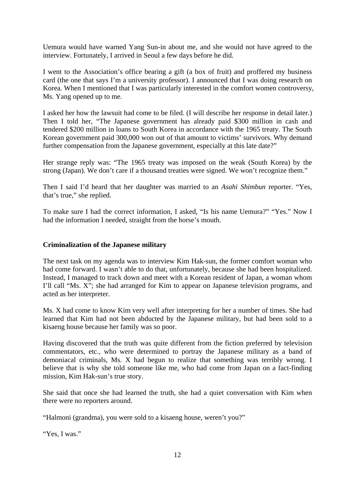Uemura would have warned Yang Sun-in about me, and she would not have agreed to the interview. Fortunately, I arrived in Seoul a few days before he did.

I went to the Association's office bearing a gift (a box of fruit) and proffered my business card (the one that says I'm a university professor). I announced that I was doing research on Korea. When I mentioned that I was particularly interested in the comfort women controversy, Ms. Yang opened up to me.

I asked her how the lawsuit had come to be filed. (I will describe her response in detail later.) Then I told her, "The Japanese government has already paid \$300 million in cash and tendered \$200 million in loans to South Korea in accordance with the 1965 treaty. The South Korean government paid 300,000 won out of that amount to victims' survivors. Why demand further compensation from the Japanese government, especially at this late date?"

Her strange reply was: "The 1965 treaty was imposed on the weak (South Korea) by the strong (Japan). We don't care if a thousand treaties were signed. We won't recognize them."

Then I said I'd heard that her daughter was married to an *Asahi Shimbun* reporter. "Yes, that's true," she replied.

To make sure I had the correct information, I asked, "Is his name Uemura?" "Yes." Now I had the information I needed, straight from the horse's mouth.

# **Criminalization of the Japanese military**

The next task on my agenda was to interview Kim Hak-sun, the former comfort woman who had come forward. I wasn't able to do that, unfortunately, because she had been hospitalized. Instead, I managed to track down and meet with a Korean resident of Japan, a woman whom I'll call "Ms. X"; she had arranged for Kim to appear on Japanese television programs, and acted as her interpreter.

Ms. X had come to know Kim very well after interpreting for her a number of times. She had learned that Kim had not been abducted by the Japanese military, but had been sold to a kisaeng house because her family was so poor.

Having discovered that the truth was quite different from the fiction preferred by television commentators, etc., who were determined to portray the Japanese military as a band of demoniacal criminals, Ms. X had begun to realize that something was terribly wrong. I believe that is why she told someone like me, who had come from Japan on a fact-finding mission, Kim Hak-sun's true story.

She said that once she had learned the truth, she had a quiet conversation with Kim when there were no reporters around.

"Halmoni (grandma), you were sold to a kisaeng house, weren't you?"

"Yes, I was."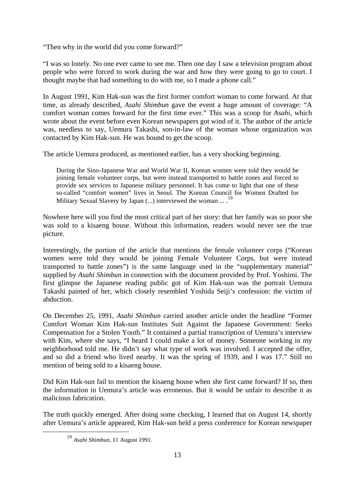"Then why in the world did you come forward?"

"I was so lonely. No one ever came to see me. Then one day I saw a television program about people who were forced to work during the war and how they were going to go to court. I thought maybe that had something to do with me, so I made a phone call."

In August 1991, Kim Hak-sun was the first former comfort woman to come forward. At that time, as already described, *Asahi Shimbun* gave the event a huge amount of coverage: "A comfort woman comes forward for the first time ever." This was a scoop for *Asahi*, which wrote about the event before even Korean newspapers got wind of it. The author of the article was, needless to say, Uemura Takashi, son-in-law of the woman whose organization was contacted by Kim Hak-sun. He was bound to get the scoop.

The article Uemura produced, as mentioned earlier, has a very shocking beginning.

During the Sino-Japanese War and World War II, Korean women were told they would be joining female volunteer corps, but were instead transported to battle zones and forced to provide sex services to Japanese military personnel. It has come to light that one of these so-called "comfort women" lives in Seoul. The Korean Council for Women Drafted for Military Sexual Slavery by Japan  $(...)$  interviewed the woman  $...$ <sup>19</sup>

Nowhere here will you find the most critical part of her story: that her family was so poor she was sold to a kisaeng house. Without this information, readers would never see the true picture.

Interestingly, the portion of the article that mentions the female volunteer corps ("Korean women were told they would be joining Female Volunteer Corps, but were instead transported to battle zones") is the same language used in the "supplementary material" supplied by *Asahi Shimbun* in connection with the document provided by Prof. Yoshimi. The first glimpse the Japanese reading public got of Kim Hak-sun was the portrait Uemura Takashi painted of her, which closely resembled Yoshida Seiji's confession: the victim of abduction.

On December 25, 1991, *Asahi Shimbun* carried another article under the headline "Former Comfort Woman Kim Hak-sun Institutes Suit Against the Japanese Government: Seeks Compensation for a Stolen Youth." It contained a partial transcription of Uemura's interview with Kim, where she says, "I heard I could make a lot of money. Someone working in my neighborhood told me. He didn't say what type of work was involved. I accepted the offer, and so did a friend who lived nearby. It was the spring of 1939, and I was 17." Still no mention of being sold to a kisaeng house.

Did Kim Hak-sun fail to mention the kisaeng house when she first came forward? If so, then the information in Uemura's article was erroneous. But it would be unfair to describe it as malicious fabrication.

The truth quickly emerged. After doing some checking, I learned that on August 14, shortly after Uemura's article appeared, Kim Hak-sun held a press conference for Korean newspaper

 <sup>19</sup> *Asahi Shimbun*, 11 August 1991.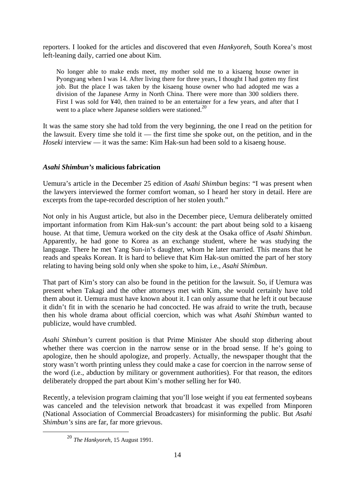reporters. I looked for the articles and discovered that even *Hankyoreh*, South Korea's most left-leaning daily, carried one about Kim.

No longer able to make ends meet, my mother sold me to a kisaeng house owner in Pyongyang when I was 14. After living there for three years, I thought I had gotten my first job. But the place I was taken by the kisaeng house owner who had adopted me was a division of the Japanese Army in North China. There were more than 300 soldiers there. First I was sold for ¥40, then trained to be an entertainer for a few years, and after that I went to a place where Japanese soldiers were stationed.<sup>20</sup>

It was the same story she had told from the very beginning, the one I read on the petition for the lawsuit. Every time she told it — the first time she spoke out, on the petition, and in the *Hoseki* interview — it was the same: Kim Hak-sun had been sold to a kisaeng house.

# *Asahi Shimbun's* **malicious fabrication**

Uemura's article in the December 25 edition of *Asahi Shimbun* begins: "I was present when the lawyers interviewed the former comfort woman, so I heard her story in detail. Here are excerpts from the tape-recorded description of her stolen youth."

Not only in his August article, but also in the December piece, Uemura deliberately omitted important information from Kim Hak-sun's account: the part about being sold to a kisaeng house. At that time, Uemura worked on the city desk at the Osaka office of *Asahi Shimbun*. Apparently, he had gone to Korea as an exchange student, where he was studying the language. There he met Yang Sun-in's daughter, whom he later married. This means that he reads and speaks Korean. It is hard to believe that Kim Hak-sun omitted the part of her story relating to having being sold only when she spoke to him, i.e., *Asahi Shimbun*.

That part of Kim's story can also be found in the petition for the lawsuit. So, if Uemura was present when Takagi and the other attorneys met with Kim, she would certainly have told them about it. Uemura must have known about it. I can only assume that he left it out because it didn't fit in with the scenario he had concocted. He was afraid to write the truth, because then his whole drama about official coercion, which was what *Asahi Shimbun* wanted to publicize, would have crumbled.

*Asahi Shimbun's* current position is that Prime Minister Abe should stop dithering about whether there was coercion in the narrow sense or in the broad sense. If he's going to apologize, then he should apologize, and properly. Actually, the newspaper thought that the story wasn't worth printing unless they could make a case for coercion in the narrow sense of the word (i.e., abduction by military or government authorities). For that reason, the editors deliberately dropped the part about Kim's mother selling her for ¥40.

Recently, a television program claiming that you'll lose weight if you eat fermented soybeans was canceled and the television network that broadcast it was expelled from Minporen (National Association of Commercial Broadcasters) for misinforming the public. But *Asahi Shimbun's* sins are far, far more grievous.

 <sup>20</sup> *The Hankyoreh*, 15 August 1991.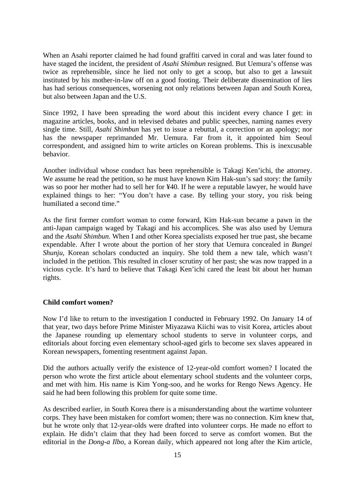When an Asahi reporter claimed he had found graffiti carved in coral and was later found to have staged the incident, the president of *Asahi Shimbun* resigned. But Uemura's offense was twice as reprehensible, since he lied not only to get a scoop, but also to get a lawsuit instituted by his mother-in-law off on a good footing. Their deliberate dissemination of lies has had serious consequences, worsening not only relations between Japan and South Korea, but also between Japan and the U.S.

Since 1992, I have been spreading the word about this incident every chance I get: in magazine articles, books, and in televised debates and public speeches, naming names every single time. Still, *Asahi Shimbun* has yet to issue a rebuttal, a correction or an apology; nor has the newspaper reprimanded Mr. Uemura. Far from it, it appointed him Seoul correspondent, and assigned him to write articles on Korean problems. This is inexcusable behavior.

Another individual whose conduct has been reprehensible is Takagi Ken'ichi, the attorney. We assume he read the petition, so he must have known Kim Hak-sun's sad story: the family was so poor her mother had to sell her for ¥40. If he were a reputable lawyer, he would have explained things to her: "You don't have a case. By telling your story, you risk being humiliated a second time."

As the first former comfort woman to come forward, Kim Hak-sun became a pawn in the anti-Japan campaign waged by Takagi and his accomplices. She was also used by Uemura and the *Asahi Shimbun*. When I and other Korea specialists exposed her true past, she became expendable. After I wrote about the portion of her story that Uemura concealed in *Bungei Shunju*, Korean scholars conducted an inquiry. She told them a new tale, which wasn't included in the petition. This resulted in closer scrutiny of her past; she was now trapped in a vicious cycle. It's hard to believe that Takagi Ken'ichi cared the least bit about her human rights.

# **Child comfort women?**

Now I'd like to return to the investigation I conducted in February 1992. On January 14 of that year, two days before Prime Minister Miyazawa Kiichi was to visit Korea, articles about the Japanese rounding up elementary school students to serve in volunteer corps, and editorials about forcing even elementary school-aged girls to become sex slaves appeared in Korean newspapers, fomenting resentment against Japan.

Did the authors actually verify the existence of 12-year-old comfort women? I located the person who wrote the first article about elementary school students and the volunteer corps, and met with him. His name is Kim Yong-soo, and he works for Rengo News Agency. He said he had been following this problem for quite some time.

As described earlier, in South Korea there is a misunderstanding about the wartime volunteer corps. They have been mistaken for comfort women; there was no connection. Kim knew that, but he wrote only that 12-year-olds were drafted into volunteer corps. He made no effort to explain. He didn't claim that they had been forced to serve as comfort women. But the editorial in the *Dong-a Ilbo*, a Korean daily, which appeared not long after the Kim article,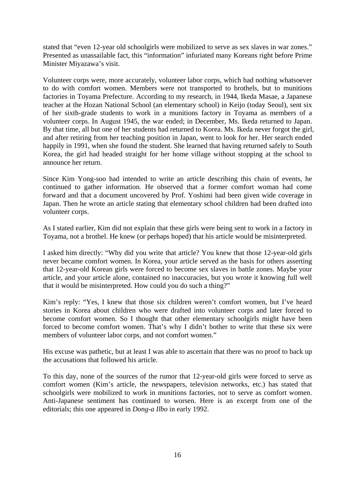stated that "even 12-year old schoolgirls were mobilized to serve as sex slaves in war zones." Presented as unassailable fact, this "information" infuriated many Koreans right before Prime Minister Miyazawa's visit.

Volunteer corps were, more accurately, volunteer labor corps, which had nothing whatsoever to do with comfort women. Members were not transported to brothels, but to munitions factories in Toyama Prefecture. According to my research, in 1944, Ikeda Masae, a Japanese teacher at the Hozan National School (an elementary school) in Keijo (today Seoul), sent six of her sixth-grade students to work in a munitions factory in Toyama as members of a volunteer corps. In August 1945, the war ended; in December, Ms. Ikeda returned to Japan. By that time, all but one of her students had returned to Korea. Ms. Ikeda never forgot the girl, and after retiring from her teaching position in Japan, went to look for her. Her search ended happily in 1991, when she found the student. She learned that having returned safely to South Korea, the girl had headed straight for her home village without stopping at the school to announce her return.

Since Kim Yong-soo had intended to write an article describing this chain of events, he continued to gather information. He observed that a former comfort woman had come forward and that a document uncovered by Prof. Yoshimi had been given wide coverage in Japan. Then he wrote an article stating that elementary school children had been drafted into volunteer corps.

As I stated earlier, Kim did not explain that these girls were being sent to work in a factory in Toyama, not a brothel. He knew (or perhaps hoped) that his article would be misinterpreted.

I asked him directly: "Why did you write that article? You knew that those 12-year-old girls never became comfort women. In Korea, your article served as the basis for others asserting that 12-year-old Korean girls were forced to become sex slaves in battle zones. Maybe your article, and your article alone, contained no inaccuracies, but you wrote it knowing full well that it would be misinterpreted. How could you do such a thing?"

Kim's reply: "Yes, I knew that those six children weren't comfort women, but I've heard stories in Korea about children who were drafted into volunteer corps and later forced to become comfort women. So I thought that other elementary schoolgirls might have been forced to become comfort women. That's why I didn't bother to write that these six were members of volunteer labor corps, and not comfort women."

His excuse was pathetic, but at least I was able to ascertain that there was no proof to back up the accusations that followed his article.

To this day, none of the sources of the rumor that 12-year-old girls were forced to serve as comfort women (Kim's article, the newspapers, television networks, etc.) has stated that schoolgirls were mobilized to work in munitions factories, not to serve as comfort women. Anti-Japanese sentiment has continued to worsen. Here is an excerpt from one of the editorials; this one appeared in *Dong-a Ilbo* in early 1992.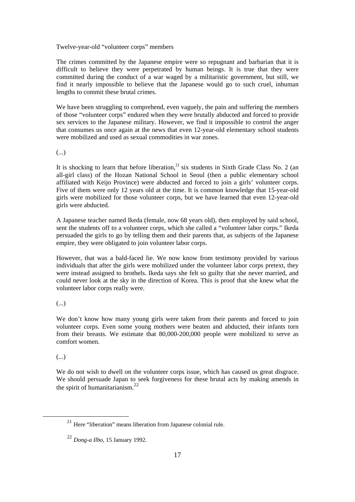Twelve-year-old "volunteer corps" members

The crimes committed by the Japanese empire were so repugnant and barbarian that it is difficult to believe they were perpetrated by human beings. It is true that they were committed during the conduct of a war waged by a militaristic government, but still, we find it nearly impossible to believe that the Japanese would go to such cruel, inhuman lengths to commit these brutal crimes.

We have been struggling to comprehend, even vaguely, the pain and suffering the members of those "volunteer corps" endured when they were brutally abducted and forced to provide sex services to the Japanese military. However, we find it impossible to control the anger that consumes us once again at the news that even 12-year-old elementary school students were mobilized and used as sexual commodities in war zones.

(...)

It is shocking to learn that before liberation, $21$  six students in Sixth Grade Class No. 2 (an all-girl class) of the Hozan National School in Seoul (then a public elementary school affiliated with Keijo Province) were abducted and forced to join a girls' volunteer corps. Five of them were only 12 years old at the time. It is common knowledge that 15-year-old girls were mobilized for those volunteer corps, but we have learned that even 12-year-old girls were abducted.

A Japanese teacher named Ikeda (female, now 68 years old), then employed by said school, sent the students off to a volunteer corps, which she called a "volunteer labor corps." Ikeda persuaded the girls to go by telling them and their parents that, as subjects of the Japanese empire, they were obligated to join volunteer labor corps.

However, that was a bald-faced lie. We now know from testimony provided by various individuals that after the girls were mobilized under the volunteer labor corps pretext, they were instead assigned to brothels. Ikeda says she felt so guilty that she never married, and could never look at the sky in the direction of Korea. This is proof that she knew what the volunteer labor corps really were.

(...)

We don't know how many young girls were taken from their parents and forced to join volunteer corps. Even some young mothers were beaten and abducted, their infants torn from their breasts. We estimate that 80,000-200,000 people were mobilized to serve as comfort women.

(...)

We do not wish to dwell on the volunteer corps issue, which has caused us great disgrace. We should persuade Japan to seek forgiveness for these brutal acts by making amends in the spirit of humanitarianism. $^{22}$ 

 <sup>21</sup> Here "liberation" means liberation from Japanese colonial rule.

<sup>22</sup> *Dong-a Ilbo*, 15 January 1992.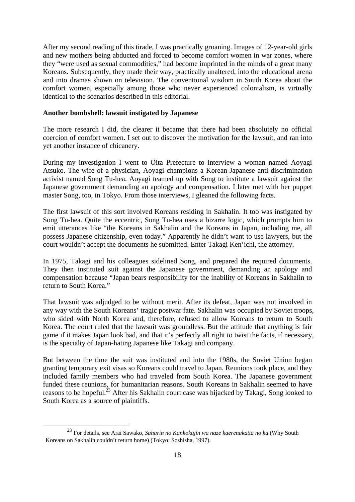After my second reading of this tirade, I was practically groaning. Images of 12-year-old girls and new mothers being abducted and forced to become comfort women in war zones, where they "were used as sexual commodities," had become imprinted in the minds of a great many Koreans. Subsequently, they made their way, practically unaltered, into the educational arena and into dramas shown on television. The conventional wisdom in South Korea about the comfort women, especially among those who never experienced colonialism, is virtually identical to the scenarios described in this editorial.

#### **Another bombshell: lawsuit instigated by Japanese**

The more research I did, the clearer it became that there had been absolutely no official coercion of comfort women. I set out to discover the motivation for the lawsuit, and ran into yet another instance of chicanery.

During my investigation I went to Oita Prefecture to interview a woman named Aoyagi Atsuko. The wife of a physician, Aoyagi champions a Korean-Japanese anti-discrimination activist named Song Tu-hea. Aoyagi teamed up with Song to institute a lawsuit against the Japanese government demanding an apology and compensation. I later met with her puppet master Song, too, in Tokyo. From those interviews, I gleaned the following facts.

The first lawsuit of this sort involved Koreans residing in Sakhalin. It too was instigated by Song Tu-hea. Quite the eccentric, Song Tu-hea uses a bizarre logic, which prompts him to emit utterances like "the Koreans in Sakhalin and the Koreans in Japan, including me, all possess Japanese citizenship, even today." Apparently he didn't want to use lawyers, but the court wouldn't accept the documents he submitted. Enter Takagi Ken'ichi, the attorney.

In 1975, Takagi and his colleagues sidelined Song, and prepared the required documents. They then instituted suit against the Japanese government, demanding an apology and compensation because "Japan bears responsibility for the inability of Koreans in Sakhalin to return to South Korea."

That lawsuit was adjudged to be without merit. After its defeat, Japan was not involved in any way with the South Koreans' tragic postwar fate. Sakhalin was occupied by Soviet troops, who sided with North Korea and, therefore, refused to allow Koreans to return to South Korea. The court ruled that the lawsuit was groundless. But the attitude that anything is fair game if it makes Japan look bad, and that it's perfectly all right to twist the facts, if necessary, is the specialty of Japan-hating Japanese like Takagi and company.

But between the time the suit was instituted and into the 1980s, the Soviet Union began granting temporary exit visas so Koreans could travel to Japan. Reunions took place, and they included family members who had traveled from South Korea. The Japanese government funded these reunions, for humanitarian reasons. South Koreans in Sakhalin seemed to have reasons to be hopeful.<sup>23</sup> After his Sakhalin court case was hijacked by Takagi, Song looked to South Korea as a source of plaintiffs.

 <sup>23</sup> For details, see Arai Sawako, *Saharin no Kankokujin wa naze kaerenakatta no ka* (Why South Koreans on Sakhalin couldn't return home) (Tokyo: Soshisha, 1997).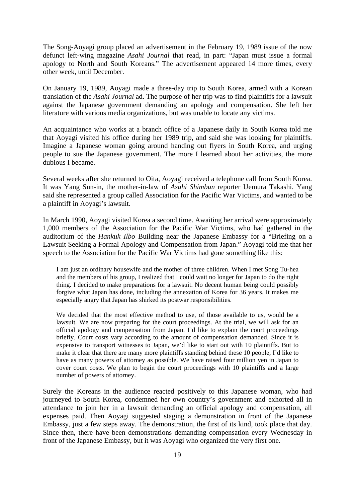The Song-Aoyagi group placed an advertisement in the February 19, 1989 issue of the now defunct left-wing magazine *Asahi Journal* that read, in part: "Japan must issue a formal apology to North and South Koreans." The advertisement appeared 14 more times, every other week, until December.

On January 19, 1989, Aoyagi made a three-day trip to South Korea, armed with a Korean translation of the *Asahi Journal* ad. The purpose of her trip was to find plaintiffs for a lawsuit against the Japanese government demanding an apology and compensation. She left her literature with various media organizations, but was unable to locate any victims.

An acquaintance who works at a branch office of a Japanese daily in South Korea told me that Aoyagi visited his office during her 1989 trip, and said she was looking for plaintiffs. Imagine a Japanese woman going around handing out flyers in South Korea, and urging people to sue the Japanese government. The more I learned about her activities, the more dubious I became.

Several weeks after she returned to Oita, Aoyagi received a telephone call from South Korea. It was Yang Sun-in, the mother-in-law of *Asahi Shimbun* reporter Uemura Takashi. Yang said she represented a group called Association for the Pacific War Victims, and wanted to be a plaintiff in Aoyagi's lawsuit.

In March 1990, Aoyagi visited Korea a second time. Awaiting her arrival were approximately 1,000 members of the Association for the Pacific War Victims, who had gathered in the auditorium of the *Hankuk Ilbo* Building near the Japanese Embassy for a "Briefing on a Lawsuit Seeking a Formal Apology and Compensation from Japan." Aoyagi told me that her speech to the Association for the Pacific War Victims had gone something like this:

I am just an ordinary housewife and the mother of three children. When I met Song Tu-hea and the members of his group, I realized that I could wait no longer for Japan to do the right thing. I decided to make preparations for a lawsuit. No decent human being could possibly forgive what Japan has done, including the annexation of Korea for 36 years. It makes me especially angry that Japan has shirked its postwar responsibilities.

We decided that the most effective method to use, of those available to us, would be a lawsuit. We are now preparing for the court proceedings. At the trial, we will ask for an official apology and compensation from Japan. I'd like to explain the court proceedings briefly. Court costs vary according to the amount of compensation demanded. Since it is expensive to transport witnesses to Japan, we'd like to start out with 10 plaintiffs. But to make it clear that there are many more plaintiffs standing behind these 10 people, I'd like to have as many powers of attorney as possible. We have raised four million yen in Japan to cover court costs. We plan to begin the court proceedings with 10 plaintiffs and a large number of powers of attorney.

Surely the Koreans in the audience reacted positively to this Japanese woman, who had journeyed to South Korea, condemned her own country's government and exhorted all in attendance to join her in a lawsuit demanding an official apology and compensation, all expenses paid. Then Aoyagi suggested staging a demonstration in front of the Japanese Embassy, just a few steps away. The demonstration, the first of its kind, took place that day. Since then, there have been demonstrations demanding compensation every Wednesday in front of the Japanese Embassy, but it was Aoyagi who organized the very first one.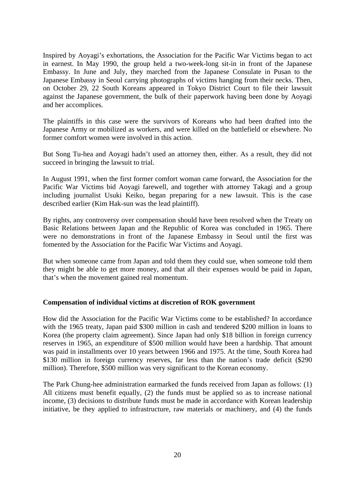Inspired by Aoyagi's exhortations, the Association for the Pacific War Victims began to act in earnest. In May 1990, the group held a two-week-long sit-in in front of the Japanese Embassy. In June and July, they marched from the Japanese Consulate in Pusan to the Japanese Embassy in Seoul carrying photographs of victims hanging from their necks. Then, on October 29, 22 South Koreans appeared in Tokyo District Court to file their lawsuit against the Japanese government, the bulk of their paperwork having been done by Aoyagi and her accomplices.

The plaintiffs in this case were the survivors of Koreans who had been drafted into the Japanese Army or mobilized as workers, and were killed on the battlefield or elsewhere. No former comfort women were involved in this action.

But Song Tu-hea and Aoyagi hadn't used an attorney then, either. As a result, they did not succeed in bringing the lawsuit to trial.

In August 1991, when the first former comfort woman came forward, the Association for the Pacific War Victims bid Aoyagi farewell, and together with attorney Takagi and a group including journalist Usuki Keiko, began preparing for a new lawsuit. This is the case described earlier (Kim Hak-sun was the lead plaintiff).

By rights, any controversy over compensation should have been resolved when the Treaty on Basic Relations between Japan and the Republic of Korea was concluded in 1965. There were no demonstrations in front of the Japanese Embassy in Seoul until the first was fomented by the Association for the Pacific War Victims and Aoyagi.

But when someone came from Japan and told them they could sue, when someone told them they might be able to get more money, and that all their expenses would be paid in Japan, that's when the movement gained real momentum.

#### **Compensation of individual victims at discretion of ROK government**

How did the Association for the Pacific War Victims come to be established? In accordance with the 1965 treaty, Japan paid \$300 million in cash and tendered \$200 million in loans to Korea (the property claim agreement). Since Japan had only \$18 billion in foreign currency reserves in 1965, an expenditure of \$500 million would have been a hardship. That amount was paid in installments over 10 years between 1966 and 1975. At the time, South Korea had \$130 million in foreign currency reserves, far less than the nation's trade deficit (\$290) million). Therefore, \$500 million was very significant to the Korean economy.

The Park Chung-hee administration earmarked the funds received from Japan as follows: (1) All citizens must benefit equally, (2) the funds must be applied so as to increase national income, (3) decisions to distribute funds must be made in accordance with Korean leadership initiative, be they applied to infrastructure, raw materials or machinery, and (4) the funds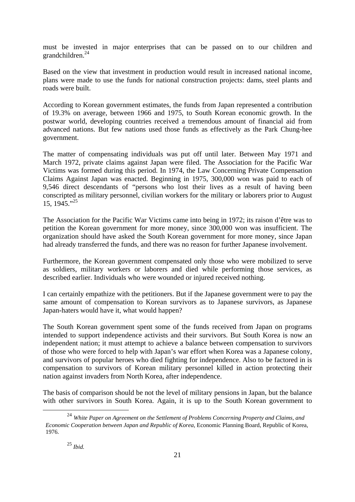must be invested in major enterprises that can be passed on to our children and grandchildren.<sup>24</sup>

Based on the view that investment in production would result in increased national income, plans were made to use the funds for national construction projects: dams, steel plants and roads were built.

According to Korean government estimates, the funds from Japan represented a contribution of 19.3% on average, between 1966 and 1975, to South Korean economic growth. In the postwar world, developing countries received a tremendous amount of financial aid from advanced nations. But few nations used those funds as effectively as the Park Chung-hee government.

The matter of compensating individuals was put off until later. Between May 1971 and March 1972, private claims against Japan were filed. The Association for the Pacific War Victims was formed during this period. In 1974, the Law Concerning Private Compensation Claims Against Japan was enacted. Beginning in 1975, 300,000 won was paid to each of 9,546 direct descendants of "persons who lost their lives as a result of having been conscripted as military personnel, civilian workers for the military or laborers prior to August 15, 1945."<sup>25</sup>

The Association for the Pacific War Victims came into being in 1972; its raison d'être was to petition the Korean government for more money, since 300,000 won was insufficient. The organization should have asked the South Korean government for more money, since Japan had already transferred the funds, and there was no reason for further Japanese involvement.

Furthermore, the Korean government compensated only those who were mobilized to serve as soldiers, military workers or laborers and died while performing those services, as described earlier. Individuals who were wounded or injured received nothing.

I can certainly empathize with the petitioners. But if the Japanese government were to pay the same amount of compensation to Korean survivors as to Japanese survivors, as Japanese Japan-haters would have it, what would happen?

The South Korean government spent some of the funds received from Japan on programs intended to support independence activists and their survivors. But South Korea is now an independent nation; it must attempt to achieve a balance between compensation to survivors of those who were forced to help with Japan's war effort when Korea was a Japanese colony, and survivors of popular heroes who died fighting for independence. Also to be factored in is compensation to survivors of Korean military personnel killed in action protecting their nation against invaders from North Korea, after independence.

The basis of comparison should be not the level of military pensions in Japan, but the balance with other survivors in South Korea. Again, it is up to the South Korean government to

 <sup>24</sup> *White Paper on Agreement on the Settlement of Problems Concerning Property and Claims, and Economic Cooperation between Japan and Republic of Korea*, Economic Planning Board, Republic of Korea, 1976.

<sup>25</sup> *Ibid.*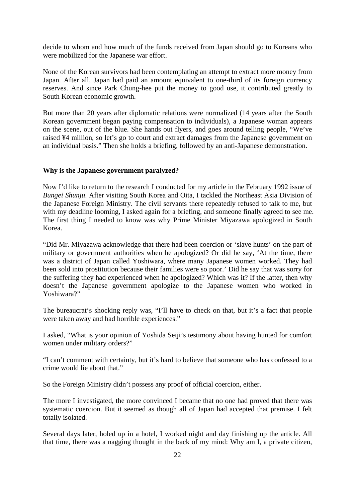decide to whom and how much of the funds received from Japan should go to Koreans who were mobilized for the Japanese war effort.

None of the Korean survivors had been contemplating an attempt to extract more money from Japan. After all, Japan had paid an amount equivalent to one-third of its foreign currency reserves. And since Park Chung-hee put the money to good use, it contributed greatly to South Korean economic growth.

But more than 20 years after diplomatic relations were normalized (14 years after the South Korean government began paying compensation to individuals), a Japanese woman appears on the scene, out of the blue. She hands out flyers, and goes around telling people, "We've raised ¥4 million, so let's go to court and extract damages from the Japanese government on an individual basis." Then she holds a briefing, followed by an anti-Japanese demonstration.

#### **Why is the Japanese government paralyzed?**

Now I'd like to return to the research I conducted for my article in the February 1992 issue of *Bungei Shunju*. After visiting South Korea and Oita, I tackled the Northeast Asia Division of the Japanese Foreign Ministry. The civil servants there repeatedly refused to talk to me, but with my deadline looming, I asked again for a briefing, and someone finally agreed to see me. The first thing I needed to know was why Prime Minister Miyazawa apologized in South Korea.

"Did Mr. Miyazawa acknowledge that there had been coercion or 'slave hunts' on the part of military or government authorities when he apologized? Or did he say, 'At the time, there was a district of Japan called Yoshiwara, where many Japanese women worked. They had been sold into prostitution because their families were so poor.' Did he say that was sorry for the suffering they had experienced when he apologized? Which was it? If the latter, then why doesn't the Japanese government apologize to the Japanese women who worked in Yoshiwara?"

The bureaucrat's shocking reply was, "I'll have to check on that, but it's a fact that people were taken away and had horrible experiences."

I asked, "What is your opinion of Yoshida Seiji's testimony about having hunted for comfort women under military orders?"

"I can't comment with certainty, but it's hard to believe that someone who has confessed to a crime would lie about that."

So the Foreign Ministry didn't possess any proof of official coercion, either.

The more I investigated, the more convinced I became that no one had proved that there was systematic coercion. But it seemed as though all of Japan had accepted that premise. I felt totally isolated.

Several days later, holed up in a hotel, I worked night and day finishing up the article. All that time, there was a nagging thought in the back of my mind: Why am I, a private citizen,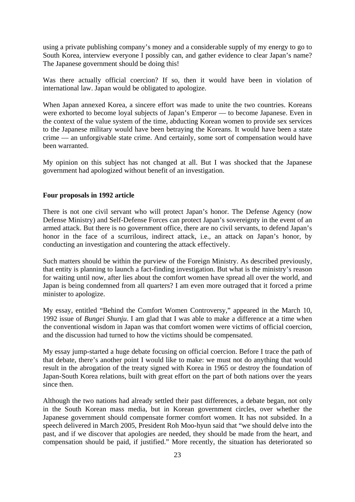using a private publishing company's money and a considerable supply of my energy to go to South Korea, interview everyone I possibly can, and gather evidence to clear Japan's name? The Japanese government should be doing this!

Was there actually official coercion? If so, then it would have been in violation of international law. Japan would be obligated to apologize.

When Japan annexed Korea, a sincere effort was made to unite the two countries. Koreans were exhorted to become loyal subjects of Japan's Emperor — to become Japanese. Even in the context of the value system of the time, abducting Korean women to provide sex services to the Japanese military would have been betraying the Koreans. It would have been a state crime — an unforgivable state crime. And certainly, some sort of compensation would have been warranted.

My opinion on this subject has not changed at all. But I was shocked that the Japanese government had apologized without benefit of an investigation.

#### **Four proposals in 1992 article**

There is not one civil servant who will protect Japan's honor. The Defense Agency (now Defense Ministry) and Self-Defense Forces can protect Japan's sovereignty in the event of an armed attack. But there is no government office, there are no civil servants, to defend Japan's honor in the face of a scurrilous, indirect attack, i.e., an attack on Japan's honor, by conducting an investigation and countering the attack effectively.

Such matters should be within the purview of the Foreign Ministry. As described previously, that entity is planning to launch a fact-finding investigation. But what is the ministry's reason for waiting until now, after lies about the comfort women have spread all over the world, and Japan is being condemned from all quarters? I am even more outraged that it forced a prime minister to apologize.

My essay, entitled "Behind the Comfort Women Controversy," appeared in the March 10, 1992 issue of *Bungei Shunju*. I am glad that I was able to make a difference at a time when the conventional wisdom in Japan was that comfort women were victims of official coercion, and the discussion had turned to how the victims should be compensated.

My essay jump-started a huge debate focusing on official coercion. Before I trace the path of that debate, there's another point I would like to make: we must not do anything that would result in the abrogation of the treaty signed with Korea in 1965 or destroy the foundation of Japan-South Korea relations, built with great effort on the part of both nations over the years since then.

Although the two nations had already settled their past differences, a debate began, not only in the South Korean mass media, but in Korean government circles, over whether the Japanese government should compensate former comfort women. It has not subsided. In a speech delivered in March 2005, President Roh Moo-hyun said that "we should delve into the past, and if we discover that apologies are needed, they should be made from the heart, and compensation should be paid, if justified." More recently, the situation has deteriorated so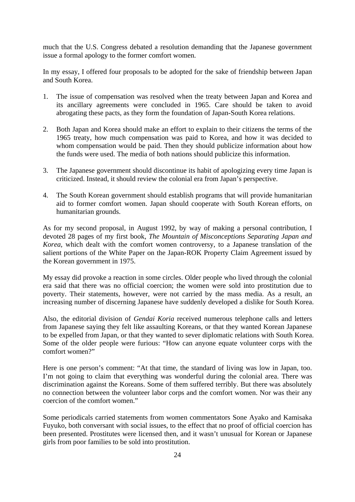much that the U.S. Congress debated a resolution demanding that the Japanese government issue a formal apology to the former comfort women.

In my essay, I offered four proposals to be adopted for the sake of friendship between Japan and South Korea.

- 1. The issue of compensation was resolved when the treaty between Japan and Korea and its ancillary agreements were concluded in 1965. Care should be taken to avoid abrogating these pacts, as they form the foundation of Japan-South Korea relations.
- 2. Both Japan and Korea should make an effort to explain to their citizens the terms of the 1965 treaty, how much compensation was paid to Korea, and how it was decided to whom compensation would be paid. Then they should publicize information about how the funds were used. The media of both nations should publicize this information.
- 3. The Japanese government should discontinue its habit of apologizing every time Japan is criticized. Instead, it should review the colonial era from Japan's perspective.
- 4. The South Korean government should establish programs that will provide humanitarian aid to former comfort women. Japan should cooperate with South Korean efforts, on humanitarian grounds.

As for my second proposal, in August 1992, by way of making a personal contribution, I devoted 28 pages of my first book, *The Mountain of Misconceptions Separating Japan and Korea*, which dealt with the comfort women controversy, to a Japanese translation of the salient portions of the White Paper on the Japan-ROK Property Claim Agreement issued by the Korean government in 1975.

My essay did provoke a reaction in some circles. Older people who lived through the colonial era said that there was no official coercion; the women were sold into prostitution due to poverty. Their statements, however, were not carried by the mass media. As a result, an increasing number of discerning Japanese have suddenly developed a dislike for South Korea.

Also, the editorial division of *Gendai Koria* received numerous telephone calls and letters from Japanese saying they felt like assaulting Koreans, or that they wanted Korean Japanese to be expelled from Japan, or that they wanted to sever diplomatic relations with South Korea. Some of the older people were furious: "How can anyone equate volunteer corps with the comfort women?"

Here is one person's comment: "At that time, the standard of living was low in Japan, too. I'm not going to claim that everything was wonderful during the colonial area. There was discrimination against the Koreans. Some of them suffered terribly. But there was absolutely no connection between the volunteer labor corps and the comfort women. Nor was their any coercion of the comfort women."

Some periodicals carried statements from women commentators Sone Ayako and Kamisaka Fuyuko, both conversant with social issues, to the effect that no proof of official coercion has been presented. Prostitutes were licensed then, and it wasn't unusual for Korean or Japanese girls from poor families to be sold into prostitution.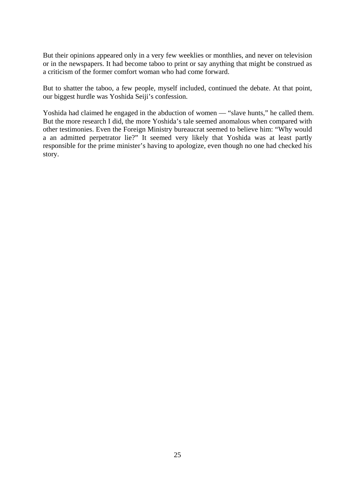But their opinions appeared only in a very few weeklies or monthlies, and never on television or in the newspapers. It had become taboo to print or say anything that might be construed as a criticism of the former comfort woman who had come forward.

But to shatter the taboo, a few people, myself included, continued the debate. At that point, our biggest hurdle was Yoshida Seiji's confession.

Yoshida had claimed he engaged in the abduction of women — "slave hunts," he called them. But the more research I did, the more Yoshida's tale seemed anomalous when compared with other testimonies. Even the Foreign Ministry bureaucrat seemed to believe him: "Why would a an admitted perpetrator lie?" It seemed very likely that Yoshida was at least partly responsible for the prime minister's having to apologize, even though no one had checked his story.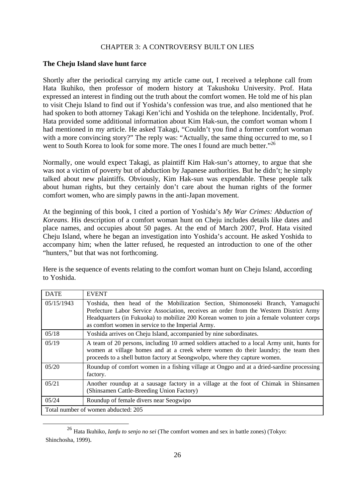# CHAPTER 3: A CONTROVERSY BUILT ON LIES

#### **The Cheju Island slave hunt farce**

Shortly after the periodical carrying my article came out, I received a telephone call from Hata Ikuhiko, then professor of modern history at Takushoku University. Prof. Hata expressed an interest in finding out the truth about the comfort women. He told me of his plan to visit Cheju Island to find out if Yoshida's confession was true, and also mentioned that he had spoken to both attorney Takagi Ken'ichi and Yoshida on the telephone. Incidentally, Prof. Hata provided some additional information about Kim Hak-sun, the comfort woman whom I had mentioned in my article. He asked Takagi, "Couldn't you find a former comfort woman with a more convincing story?" The reply was: "Actually, the same thing occurred to me, so I went to South Korea to look for some more. The ones I found are much better."<sup>26</sup>

Normally, one would expect Takagi, as plaintiff Kim Hak-sun's attorney, to argue that she was not a victim of poverty but of abduction by Japanese authorities. But he didn't; he simply talked about new plaintiffs. Obviously, Kim Hak-sun was expendable. These people talk about human rights, but they certainly don't care about the human rights of the former comfort women, who are simply pawns in the anti-Japan movement.

At the beginning of this book, I cited a portion of Yoshida's *My War Crimes: Abduction of Koreans*. His description of a comfort woman hunt on Cheju includes details like dates and place names, and occupies about 50 pages. At the end of March 2007, Prof. Hata visited Cheju Island, where he began an investigation into Yoshida's account. He asked Yoshida to accompany him; when the latter refused, he requested an introduction to one of the other "hunters," but that was not forthcoming.

Here is the sequence of events relating to the comfort woman hunt on Cheju Island, according to Yoshida.

| <b>DATE</b>                         | <b>EVENT</b>                                                                                                                                                                                                                                                                                                            |  |
|-------------------------------------|-------------------------------------------------------------------------------------------------------------------------------------------------------------------------------------------------------------------------------------------------------------------------------------------------------------------------|--|
| 05/15/1943                          | Yoshida, then head of the Mobilization Section, Shimonoseki Branch, Yamaguchi<br>Prefecture Labor Service Association, receives an order from the Western District Army<br>Headquarters (in Fukuoka) to mobilize 200 Korean women to join a female volunteer corps<br>as comfort women in service to the Imperial Army. |  |
| 05/18                               | Yoshida arrives on Cheju Island, accompanied by nine subordinates.                                                                                                                                                                                                                                                      |  |
| 05/19                               | A team of 20 persons, including 10 armed soldiers attached to a local Army unit, hunts for<br>women at village homes and at a creek where women do their laundry; the team then<br>proceeds to a shell button factory at Seongwolpo, where they capture women.                                                          |  |
| 05/20                               | Roundup of comfort women in a fishing village at Ongpo and at a dried-sardine processing<br>factory.                                                                                                                                                                                                                    |  |
| 05/21                               | Another roundup at a sausage factory in a village at the foot of Chimak in Shinsamen<br>(Shinsamen Cattle-Breeding Union Factory)                                                                                                                                                                                       |  |
| 05/24                               | Roundup of female divers near Seogwipo                                                                                                                                                                                                                                                                                  |  |
| Total number of women abducted: 205 |                                                                                                                                                                                                                                                                                                                         |  |

 26 Hata Ikuhiko, *Ianfu to senjo no sei* (The comfort women and sex in battle zones) (Tokyo: Shinchosha, 1999).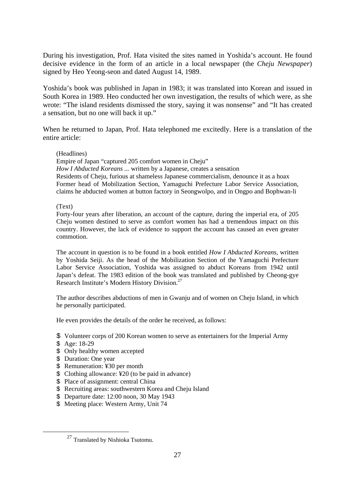During his investigation, Prof. Hata visited the sites named in Yoshida's account. He found decisive evidence in the form of an article in a local newspaper (the *Cheju Newspaper*) signed by Heo Yeong-seon and dated August 14, 1989.

Yoshida's book was published in Japan in 1983; it was translated into Korean and issued in South Korea in 1989. Heo conducted her own investigation, the results of which were, as she wrote: "The island residents dismissed the story, saying it was nonsense" and "It has created a sensation, but no one will back it up."

When he returned to Japan, Prof. Hata telephoned me excitedly. Here is a translation of the entire article:

#### (Headlines)

Empire of Japan "captured 205 comfort women in Cheju" *How I Abducted Koreans ...* written by a Japanese, creates a sensation Residents of Cheju, furious at shameless Japanese commercialism, denounce it as a hoax Former head of Mobilization Section, Yamaguchi Prefecture Labor Service Association, claims he abducted women at button factory in Seongwolpo, and in Ongpo and Bophwan-li

#### (Text)

Forty-four years after liberation, an account of the capture, during the imperial era, of 205 Cheju women destined to serve as comfort women has had a tremendous impact on this country. However, the lack of evidence to support the account has caused an even greater commotion.

The account in question is to be found in a book entitled *How I Abducted Koreans*, written by Yoshida Seiji. As the head of the Mobilization Section of the Yamaguchi Prefecture Labor Service Association, Yoshida was assigned to abduct Koreans from 1942 until Japan's defeat. The 1983 edition of the book was translated and published by Cheong-gye Research Institute's Modern History Division.27

The author describes abductions of men in Gwanju and of women on Cheju Island, in which he personally participated.

He even provides the details of the order he received, as follows:

- \$ Volunteer corps of 200 Korean women to serve as entertainers for the Imperial Army
- \$ Age: 18-29
- \$ Only healthy women accepted
- \$ Duration: One year
- \$ Remuneration: ¥30 per month
- \$ Clothing allowance: ¥20 (to be paid in advance)
- \$ Place of assignment: central China
- \$ Recruiting areas: southwestern Korea and Cheju Island
- \$ Departure date: 12:00 noon, 30 May 1943
- \$ Meeting place: Western Army, Unit 74

<sup>&</sup>lt;sup>27</sup> Translated by Nishioka Tsutomu.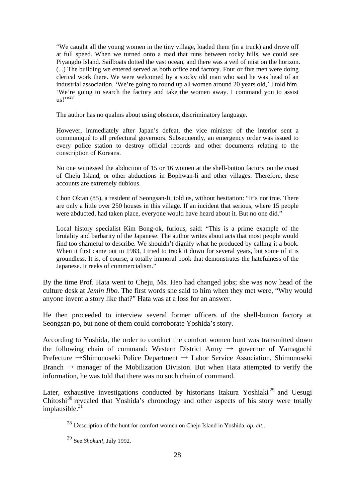"We caught all the young women in the tiny village, loaded them (in a truck) and drove off at full speed. When we turned onto a road that runs between rocky hills, we could see Piyangdo Island. Sailboats dotted the vast ocean, and there was a veil of mist on the horizon. (...) The building we entered served as both office and factory. Four or five men were doing clerical work there. We were welcomed by a stocky old man who said he was head of an industrial association. 'We're going to round up all women around 20 years old,' I told him. 'We're going to search the factory and take the women away. I command you to assist  $\mu$ s!'"<sup>28</sup>

The author has no qualms about using obscene, discriminatory language.

However, immediately after Japan's defeat, the vice minister of the interior sent a communiqué to all prefectural governors. Subsequently, an emergency order was issued to every police station to destroy official records and other documents relating to the conscription of Koreans.

No one witnessed the abduction of 15 or 16 women at the shell-button factory on the coast of Cheju Island, or other abductions in Bophwan-li and other villages. Therefore, these accounts are extremely dubious.

Chon Oktan (85), a resident of Seongsan-li, told us, without hesitation: "It's not true. There are only a little over 250 houses in this village. If an incident that serious, where 15 people were abducted, had taken place, everyone would have heard about it. But no one did."

Local history specialist Kim Bong-ok, furious, said: "This is a prime example of the brutality and barbarity of the Japanese. The author writes about acts that most people would find too shameful to describe. We shouldn't dignify what he produced by calling it a book. When it first came out in 1983, I tried to track it down for several years, but some of it is groundless. It is, of course, a totally immoral book that demonstrates the hatefulness of the Japanese. It reeks of commercialism."

By the time Prof. Hata went to Cheju, Ms. Heo had changed jobs; she was now head of the culture desk at *Jemin Ilbo.* The first words she said to him when they met were, "Why would anyone invent a story like that?" Hata was at a loss for an answer.

He then proceeded to interview several former officers of the shell-button factory at Seongsan-po, but none of them could corroborate Yoshida's story.

According to Yoshida, the order to conduct the comfort women hunt was transmitted down the following chain of command: Western District Army  $\rightarrow$  governor of Yamaguchi Prefecture →Shimonoseki Police Department → Labor Service Association, Shimonoseki Branch  $\rightarrow$  manager of the Mobilization Division. But when Hata attempted to verify the information, he was told that there was no such chain of command.

Later, exhaustive investigations conducted by historians Itakura Yoshiaki<sup>29</sup> and Uesugi Chitoshi $30$  revealed that Yoshida's chronology and other aspects of his story were totally implausible.<sup>31</sup>

 <sup>28</sup> Description of the hunt for comfort women on Cheju Island in Yoshida, *op. cit.*.

<sup>29</sup> See *Shokun!*, July 1992.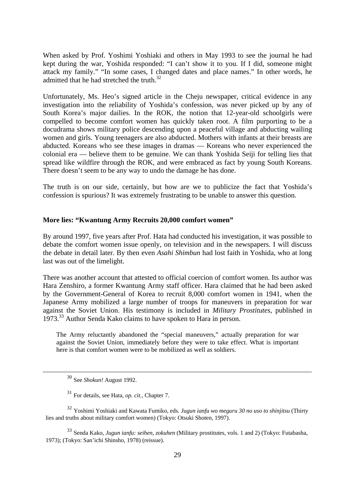When asked by Prof. Yoshimi Yoshiaki and others in May 1993 to see the journal he had kept during the war, Yoshida responded: "I can't show it to you. If I did, someone might attack my family." "In some cases, I changed dates and place names." In other words, he admitted that he had stretched the truth.<sup>32</sup>

Unfortunately, Ms. Heo's signed article in the Cheju newspaper, critical evidence in any investigation into the reliability of Yoshida's confession, was never picked up by any of South Korea's major dailies. In the ROK, the notion that 12-year-old schoolgirls were compelled to become comfort women has quickly taken root. A film purporting to be a docudrama shows military police descending upon a peaceful village and abducting wailing women and girls. Young teenagers are also abducted. Mothers with infants at their breasts are abducted. Koreans who see these images in dramas — Koreans who never experienced the colonial era — believe them to be genuine. We can thank Yoshida Seiji for telling lies that spread like wildfire through the ROK, and were embraced as fact by young South Koreans. There doesn't seem to be any way to undo the damage he has done.

The truth is on our side, certainly, but how are we to publicize the fact that Yoshida's confession is spurious? It was extremely frustrating to be unable to answer this question.

# **More lies: "Kwantung Army Recruits 20,000 comfort women"**

By around 1997, five years after Prof. Hata had conducted his investigation, it was possible to debate the comfort women issue openly, on television and in the newspapers. I will discuss the debate in detail later. By then even *Asahi Shimbun* had lost faith in Yoshida, who at long last was out of the limelight.

There was another account that attested to official coercion of comfort women. Its author was Hara Zenshiro, a former Kwantung Army staff officer. Hara claimed that he had been asked by the Government-General of Korea to recruit 8,000 comfort women in 1941, when the Japanese Army mobilized a large number of troops for maneuvers in preparation for war against the Soviet Union. His testimony is included in *Military Prostitutes*, published in 1973.33 Author Senda Kako claims to have spoken to Hara in person.

The Army reluctantly abandoned the "special maneuvers," actually preparation for war against the Soviet Union, immediately before they were to take effect. What is important here is that comfort women were to be mobilized as well as soldiers.

<sup>33</sup> Senda Kako, *Jugun ianfu: seihen, zokuhen* (Military prostitutes, vols. 1 and 2) (Tokyo: Futabasha, 1973); (Tokyo: San'ichi Shinsho, 1978) (reissue).

 <sup>30</sup> See *Shokun!* August 1992.

<sup>31</sup> For details, see Hata, *op. cit.*, Chapter 7.

<sup>32</sup> Yoshimi Yoshiaki and Kawata Fumiko, eds. *Jugun ianfu wo meguru 30 no uso to shinjitsu* (Thirty lies and truths about military comfort women) (Tokyo: Otsuki Shoten, 1997).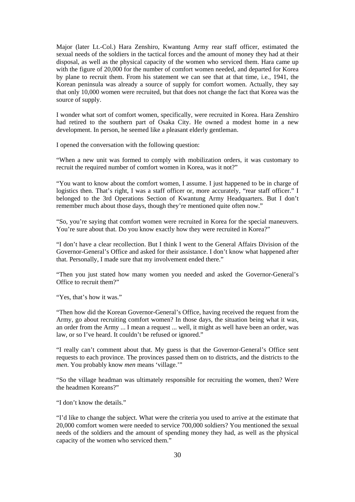Major (later Lt.-Col.) Hara Zenshiro, Kwantung Army rear staff officer, estimated the sexual needs of the soldiers in the tactical forces and the amount of money they had at their disposal, as well as the physical capacity of the women who serviced them. Hara came up with the figure of 20,000 for the number of comfort women needed, and departed for Korea by plane to recruit them. From his statement we can see that at that time, i.e., 1941, the Korean peninsula was already a source of supply for comfort women. Actually, they say that only 10,000 women were recruited, but that does not change the fact that Korea was the source of supply.

I wonder what sort of comfort women, specifically, were recruited in Korea. Hara Zenshiro had retired to the southern part of Osaka City. He owned a modest home in a new development. In person, he seemed like a pleasant elderly gentleman.

I opened the conversation with the following question:

"When a new unit was formed to comply with mobilization orders, it was customary to recruit the required number of comfort women in Korea, was it not?"

"You want to know about the comfort women, I assume. I just happened to be in charge of logistics then. That's right, I was a staff officer or, more accurately, "rear staff officer." I belonged to the 3rd Operations Section of Kwantung Army Headquarters. But I don't remember much about those days, though they're mentioned quite often now."

"So, you're saying that comfort women were recruited in Korea for the special maneuvers. You're sure about that. Do you know exactly how they were recruited in Korea?"

"I don't have a clear recollection. But I think I went to the General Affairs Division of the Governor-General's Office and asked for their assistance. I don't know what happened after that. Personally, I made sure that my involvement ended there."

"Then you just stated how many women you needed and asked the Governor-General's Office to recruit them?"

"Yes, that's how it was."

"Then how did the Korean Governor-General's Office, having received the request from the Army, go about recruiting comfort women? In those days, the situation being what it was, an order from the Army ... I mean a request ... well, it might as well have been an order, was law, or so I've heard. It couldn't be refused or ignored."

"I really can't comment about that. My guess is that the Governor-General's Office sent requests to each province. The provinces passed them on to districts, and the districts to the *men*. You probably know *men* means 'village.'"

"So the village headman was ultimately responsible for recruiting the women, then? Were the headmen Koreans?"

"I don't know the details."

"I'd like to change the subject. What were the criteria you used to arrive at the estimate that 20,000 comfort women were needed to service 700,000 soldiers? You mentioned the sexual needs of the soldiers and the amount of spending money they had, as well as the physical capacity of the women who serviced them."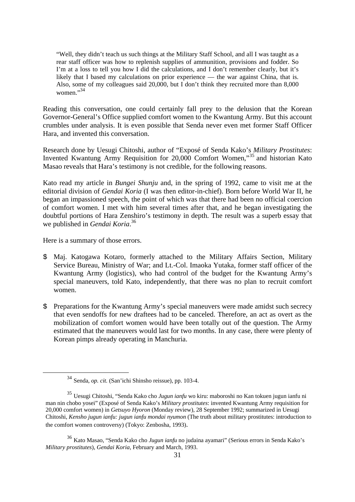"Well, they didn't teach us such things at the Military Staff School, and all I was taught as a rear staff officer was how to replenish supplies of ammunition, provisions and fodder. So I'm at a loss to tell you how I did the calculations, and I don't remember clearly, but it's likely that I based my calculations on prior experience — the war against China, that is. Also, some of my colleagues said 20,000, but I don't think they recruited more than 8,000 women $^{0,34}$ 

Reading this conversation, one could certainly fall prey to the delusion that the Korean Governor-General's Office supplied comfort women to the Kwantung Army. But this account crumbles under analysis. It is even possible that Senda never even met former Staff Officer Hara, and invented this conversation.

Research done by Uesugi Chitoshi, author of "Exposé of Senda Kako's *Military Prostitutes*: Invented Kwantung Army Requisition for 20,000 Comfort Women,"35 and historian Kato Masao reveals that Hara's testimony is not credible, for the following reasons.

Kato read my article in *Bungei Shunju* and, in the spring of 1992, came to visit me at the editorial division of *Gendai Koria* (I was then editor-in-chief). Born before World War II, he began an impassioned speech, the point of which was that there had been no official coercion of comfort women. I met with him several times after that, and he began investigating the doubtful portions of Hara Zenshiro's testimony in depth. The result was a superb essay that we published in *Gendai Koria*. 36

Here is a summary of those errors.

- \$ Maj. Katogawa Kotaro, formerly attached to the Military Affairs Section, Military Service Bureau, Ministry of War; and Lt.-Col. Imaoka Yutaka, former staff officer of the Kwantung Army (logistics), who had control of the budget for the Kwantung Army's special maneuvers, told Kato, independently, that there was no plan to recruit comfort women.
- \$ Preparations for the Kwantung Army's special maneuvers were made amidst such secrecy that even sendoffs for new draftees had to be canceled. Therefore, an act as overt as the mobilization of comfort women would have been totally out of the question. The Army estimated that the maneuvers would last for two months. In any case, there were plenty of Korean pimps already operating in Manchuria.

 <sup>34</sup> Senda, *op. cit.* (San'ichi Shinsho reissue), pp. 103-4.

<sup>35</sup> Uesugi Chitoshi, "Senda Kako cho *Jugun ianfu* wo kiru: maboroshi no Kan tokuen jugun ianfu ni man nin chobo yosei" (Exposé of Senda Kako's *Military prostitutes*: invented Kwantung Army requisition for 20,000 comfort women) in *Getsuyo Hyoron* (Monday review), 28 September 1992; summarized in Uesugi Chitoshi, *Kensho jugun ianfu: jugun ianfu mondai nyumon* (The truth about military prostitutes: introduction to the comfort women controversy) (Tokyo: Zenbosha, 1993).

<sup>36</sup> Kato Masao, "Senda Kako cho *Jugun ianfu* no judaina ayamari" (Serious errors in Senda Kako's *Military prostitutes*), *Gendai Koria*, February and March, 1993.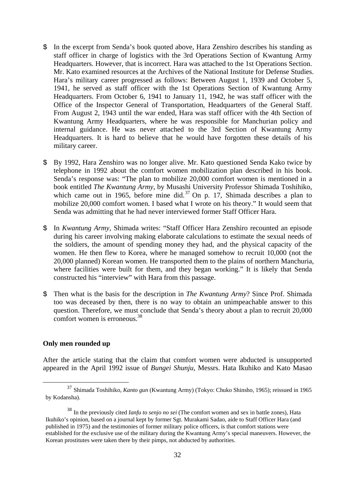- \$ In the excerpt from Senda's book quoted above, Hara Zenshiro describes his standing as staff officer in charge of logistics with the 3rd Operations Section of Kwantung Army Headquarters. However, that is incorrect. Hara was attached to the 1st Operations Section. Mr. Kato examined resources at the Archives of the National Institute for Defense Studies. Hara's military career progressed as follows: Between August 1, 1939 and October 5, 1941, he served as staff officer with the 1st Operations Section of Kwantung Army Headquarters. From October 6, 1941 to January 11, 1942, he was staff officer with the Office of the Inspector General of Transportation, Headquarters of the General Staff. From August 2, 1943 until the war ended, Hara was staff officer with the 4th Section of Kwantung Army Headquarters, where he was responsible for Manchurian policy and internal guidance. He was never attached to the 3rd Section of Kwantung Army Headquarters. It is hard to believe that he would have forgotten these details of his military career.
- \$ By 1992, Hara Zenshiro was no longer alive. Mr. Kato questioned Senda Kako twice by telephone in 1992 about the comfort women mobilization plan described in his book. Senda's response was: "The plan to mobilize 20,000 comfort women is mentioned in a book entitled *The Kwantung Army*, by Musashi University Professor Shimada Toshihiko, which came out in 1965, before mine did.<sup>37</sup> On p. 17, Shimada describes a plan to mobilize 20,000 comfort women. I based what I wrote on his theory." It would seem that Senda was admitting that he had never interviewed former Staff Officer Hara.
- \$ In *Kwantung Army*, Shimada writes: "Staff Officer Hara Zenshiro recounted an episode during his career involving making elaborate calculations to estimate the sexual needs of the soldiers, the amount of spending money they had, and the physical capacity of the women. He then flew to Korea, where he managed somehow to recruit 10,000 (not the 20,000 planned) Korean women. He transported them to the plains of northern Manchuria, where facilities were built for them, and they began working." It is likely that Senda constructed his "interview" with Hara from this passage.
- \$ Then what is the basis for the description in *The Kwantung Army*? Since Prof. Shimada too was deceased by then, there is no way to obtain an unimpeachable answer to this question. Therefore, we must conclude that Senda's theory about a plan to recruit 20,000 comfort women is erroneous.<sup>38</sup>

# **Only men rounded up**

After the article stating that the claim that comfort women were abducted is unsupported appeared in the April 1992 issue of *Bungei Shunju*, Messrs. Hata Ikuhiko and Kato Masao

 <sup>37</sup> Shimada Toshihiko, *Kanto gun* (Kwantung Army) (Tokyo: Chuko Shinsho, 1965); reissued in 1965 by Kodansha).

<sup>38</sup> In the previously cited *Ianfu to senjo no sei* (The comfort women and sex in battle zones), Hata Ikuhiko's opinion, based on a journal kept by former Sgt. Murakami Sadao, aide to Staff Officer Hara (and published in 1975) and the testimonies of former military police officers, is that comfort stations were established for the exclusive use of the military during the Kwantung Army's special maneuvers. However, the Korean prostitutes were taken there by their pimps, not abducted by authorities.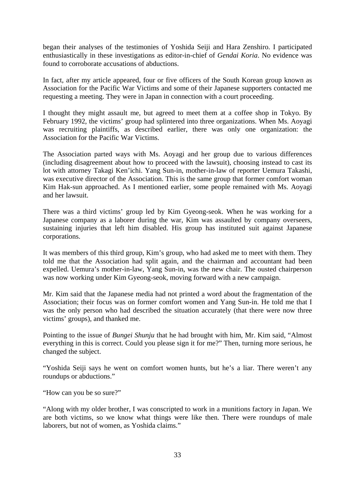began their analyses of the testimonies of Yoshida Seiji and Hara Zenshiro. I participated enthusiastically in these investigations as editor-in-chief of *Gendai Koria*. No evidence was found to corroborate accusations of abductions.

In fact, after my article appeared, four or five officers of the South Korean group known as Association for the Pacific War Victims and some of their Japanese supporters contacted me requesting a meeting. They were in Japan in connection with a court proceeding.

I thought they might assault me, but agreed to meet them at a coffee shop in Tokyo. By February 1992, the victims' group had splintered into three organizations. When Ms. Aoyagi was recruiting plaintiffs, as described earlier, there was only one organization: the Association for the Pacific War Victims.

The Association parted ways with Ms. Aoyagi and her group due to various differences (including disagreement about how to proceed with the lawsuit), choosing instead to cast its lot with attorney Takagi Ken'ichi. Yang Sun-in, mother-in-law of reporter Uemura Takashi, was executive director of the Association. This is the same group that former comfort woman Kim Hak-sun approached. As I mentioned earlier, some people remained with Ms. Aoyagi and her lawsuit.

There was a third victims' group led by Kim Gyeong-seok. When he was working for a Japanese company as a laborer during the war, Kim was assaulted by company overseers, sustaining injuries that left him disabled. His group has instituted suit against Japanese corporations.

It was members of this third group, Kim's group, who had asked me to meet with them. They told me that the Association had split again, and the chairman and accountant had been expelled. Uemura's mother-in-law, Yang Sun-in, was the new chair. The ousted chairperson was now working under Kim Gyeong-seok, moving forward with a new campaign.

Mr. Kim said that the Japanese media had not printed a word about the fragmentation of the Association; their focus was on former comfort women and Yang Sun-in. He told me that I was the only person who had described the situation accurately (that there were now three victims' groups), and thanked me.

Pointing to the issue of *Bungei Shunju* that he had brought with him, Mr. Kim said, "Almost everything in this is correct. Could you please sign it for me?" Then, turning more serious, he changed the subject.

"Yoshida Seiji says he went on comfort women hunts, but he's a liar. There weren't any roundups or abductions."

"How can you be so sure?"

"Along with my older brother, I was conscripted to work in a munitions factory in Japan. We are both victims, so we know what things were like then. There were roundups of male laborers, but not of women, as Yoshida claims."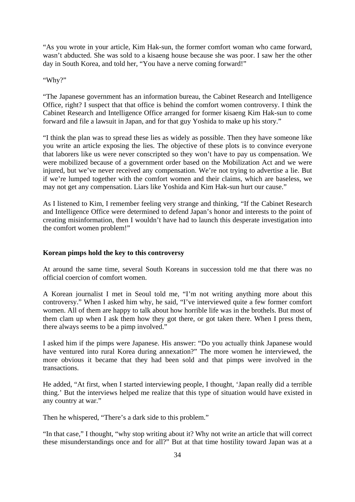"As you wrote in your article, Kim Hak-sun, the former comfort woman who came forward, wasn't abducted. She was sold to a kisaeng house because she was poor. I saw her the other day in South Korea, and told her, "You have a nerve coming forward!"

"Why?"

"The Japanese government has an information bureau, the Cabinet Research and Intelligence Office, right? I suspect that that office is behind the comfort women controversy. I think the Cabinet Research and Intelligence Office arranged for former kisaeng Kim Hak-sun to come forward and file a lawsuit in Japan, and for that guy Yoshida to make up his story."

"I think the plan was to spread these lies as widely as possible. Then they have someone like you write an article exposing the lies. The objective of these plots is to convince everyone that laborers like us were never conscripted so they won't have to pay us compensation. We were mobilized because of a government order based on the Mobilization Act and we were injured, but we've never received any compensation. We're not trying to advertise a lie. But if we're lumped together with the comfort women and their claims, which are baseless, we may not get any compensation. Liars like Yoshida and Kim Hak-sun hurt our cause."

As I listened to Kim, I remember feeling very strange and thinking, "If the Cabinet Research and Intelligence Office were determined to defend Japan's honor and interests to the point of creating misinformation, then I wouldn't have had to launch this desperate investigation into the comfort women problem!"

# **Korean pimps hold the key to this controversy**

At around the same time, several South Koreans in succession told me that there was no official coercion of comfort women.

A Korean journalist I met in Seoul told me, "I'm not writing anything more about this controversy." When I asked him why, he said, "I've interviewed quite a few former comfort women. All of them are happy to talk about how horrible life was in the brothels. But most of them clam up when I ask them how they got there, or got taken there. When I press them, there always seems to be a pimp involved."

I asked him if the pimps were Japanese. His answer: "Do you actually think Japanese would have ventured into rural Korea during annexation?" The more women he interviewed, the more obvious it became that they had been sold and that pimps were involved in the transactions.

He added, "At first, when I started interviewing people, I thought, 'Japan really did a terrible thing.' But the interviews helped me realize that this type of situation would have existed in any country at war."

Then he whispered, "There's a dark side to this problem."

"In that case," I thought, "why stop writing about it? Why not write an article that will correct these misunderstandings once and for all?" But at that time hostility toward Japan was at a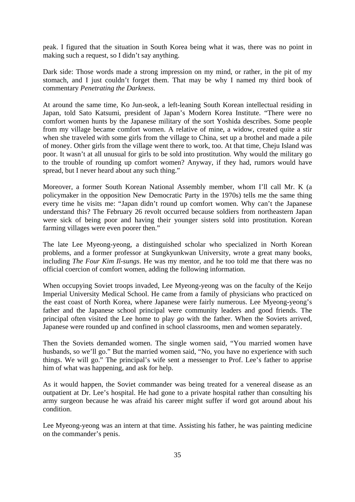peak. I figured that the situation in South Korea being what it was, there was no point in making such a request, so I didn't say anything.

Dark side: Those words made a strong impression on my mind, or rather, in the pit of my stomach, and I just couldn't forget them. That may be why I named my third book of commentary *Penetrating the Darkness*.

At around the same time, Ko Jun-seok, a left-leaning South Korean intellectual residing in Japan, told Sato Katsumi, president of Japan's Modern Korea Institute. "There were no comfort women hunts by the Japanese military of the sort Yoshida describes. Some people from my village became comfort women. A relative of mine, a widow, created quite a stir when she traveled with some girls from the village to China, set up a brothel and made a pile of money. Other girls from the village went there to work, too. At that time, Cheju Island was poor. It wasn't at all unusual for girls to be sold into prostitution. Why would the military go to the trouble of rounding up comfort women? Anyway, if they had, rumors would have spread, but I never heard about any such thing."

Moreover, a former South Korean National Assembly member, whom I'll call Mr. K (a policymaker in the opposition New Democratic Party in the 1970s) tells me the same thing every time he visits me: "Japan didn't round up comfort women. Why can't the Japanese understand this? The February 26 revolt occurred because soldiers from northeastern Japan were sick of being poor and having their younger sisters sold into prostitution. Korean farming villages were even poorer then."

The late Lee Myeong-yeong, a distinguished scholar who specialized in North Korean problems, and a former professor at Sungkyunkwan University, wrote a great many books, including *The Four Kim Il-sungs*. He was my mentor, and he too told me that there was no official coercion of comfort women, adding the following information.

When occupying Soviet troops invaded, Lee Myeong-yeong was on the faculty of the Keijo Imperial University Medical School. He came from a family of physicians who practiced on the east coast of North Korea, where Japanese were fairly numerous. Lee Myeong-yeong's father and the Japanese school principal were community leaders and good friends. The principal often visited the Lee home to play *go* with the father. When the Soviets arrived, Japanese were rounded up and confined in school classrooms, men and women separately.

Then the Soviets demanded women. The single women said, "You married women have husbands, so we'll go." But the married women said, "No, you have no experience with such things. We will go." The principal's wife sent a messenger to Prof. Lee's father to apprise him of what was happening, and ask for help.

As it would happen, the Soviet commander was being treated for a venereal disease as an outpatient at Dr. Lee's hospital. He had gone to a private hospital rather than consulting his army surgeon because he was afraid his career might suffer if word got around about his condition.

Lee Myeong-yeong was an intern at that time. Assisting his father, he was painting medicine on the commander's penis.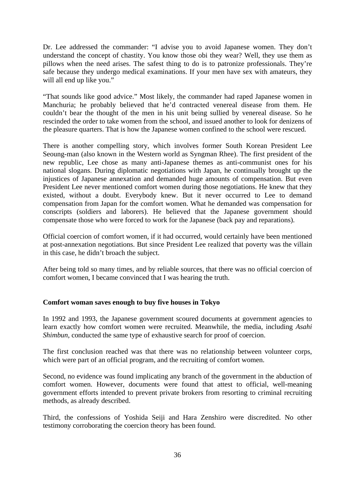Dr. Lee addressed the commander: "I advise you to avoid Japanese women. They don't understand the concept of chastity. You know those obi they wear? Well, they use them as pillows when the need arises. The safest thing to do is to patronize professionals. They're safe because they undergo medical examinations. If your men have sex with amateurs, they will all end up like you."

"That sounds like good advice." Most likely, the commander had raped Japanese women in Manchuria; he probably believed that he'd contracted venereal disease from them. He couldn't bear the thought of the men in his unit being sullied by venereal disease. So he rescinded the order to take women from the school, and issued another to look for denizens of the pleasure quarters. That is how the Japanese women confined to the school were rescued.

There is another compelling story, which involves former South Korean President Lee Seoung-man (also known in the Western world as Syngman Rhee). The first president of the new republic, Lee chose as many anti-Japanese themes as anti-communist ones for his national slogans. During diplomatic negotiations with Japan, he continually brought up the injustices of Japanese annexation and demanded huge amounts of compensation. But even President Lee never mentioned comfort women during those negotiations. He knew that they existed, without a doubt. Everybody knew. But it never occurred to Lee to demand compensation from Japan for the comfort women. What he demanded was compensation for conscripts (soldiers and laborers). He believed that the Japanese government should compensate those who were forced to work for the Japanese (back pay and reparations).

Official coercion of comfort women, if it had occurred, would certainly have been mentioned at post-annexation negotiations. But since President Lee realized that poverty was the villain in this case, he didn't broach the subject.

After being told so many times, and by reliable sources, that there was no official coercion of comfort women, I became convinced that I was hearing the truth.

# **Comfort woman saves enough to buy five houses in Tokyo**

In 1992 and 1993, the Japanese government scoured documents at government agencies to learn exactly how comfort women were recruited. Meanwhile, the media, including *Asahi Shimbun*, conducted the same type of exhaustive search for proof of coercion.

The first conclusion reached was that there was no relationship between volunteer corps, which were part of an official program, and the recruiting of comfort women.

Second, no evidence was found implicating any branch of the government in the abduction of comfort women. However, documents were found that attest to official, well-meaning government efforts intended to prevent private brokers from resorting to criminal recruiting methods, as already described.

Third, the confessions of Yoshida Seiji and Hara Zenshiro were discredited. No other testimony corroborating the coercion theory has been found.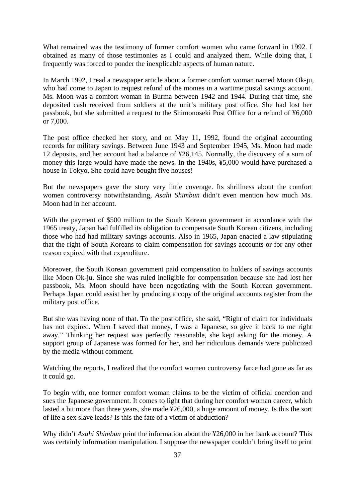What remained was the testimony of former comfort women who came forward in 1992. I obtained as many of those testimonies as I could and analyzed them. While doing that, I frequently was forced to ponder the inexplicable aspects of human nature.

In March 1992, I read a newspaper article about a former comfort woman named Moon Ok-ju, who had come to Japan to request refund of the monies in a wartime postal savings account. Ms. Moon was a comfort woman in Burma between 1942 and 1944. During that time, she deposited cash received from soldiers at the unit's military post office. She had lost her passbook, but she submitted a request to the Shimonoseki Post Office for a refund of ¥6,000 or 7,000.

The post office checked her story, and on May 11, 1992, found the original accounting records for military savings. Between June 1943 and September 1945, Ms. Moon had made 12 deposits, and her account had a balance of ¥26,145. Normally, the discovery of a sum of money this large would have made the news. In the 1940s, ¥5,000 would have purchased a house in Tokyo. She could have bought five houses!

But the newspapers gave the story very little coverage. Its shrillness about the comfort women controversy notwithstanding, *Asahi Shimbun* didn't even mention how much Ms. Moon had in her account.

With the payment of \$500 million to the South Korean government in accordance with the 1965 treaty, Japan had fulfilled its obligation to compensate South Korean citizens, including those who had had military savings accounts. Also in 1965, Japan enacted a law stipulating that the right of South Koreans to claim compensation for savings accounts or for any other reason expired with that expenditure.

Moreover, the South Korean government paid compensation to holders of savings accounts like Moon Ok-ju. Since she was ruled ineligible for compensation because she had lost her passbook, Ms. Moon should have been negotiating with the South Korean government. Perhaps Japan could assist her by producing a copy of the original accounts register from the military post office.

But she was having none of that. To the post office, she said, "Right of claim for individuals has not expired. When I saved that money, I was a Japanese, so give it back to me right away." Thinking her request was perfectly reasonable, she kept asking for the money. A support group of Japanese was formed for her, and her ridiculous demands were publicized by the media without comment.

Watching the reports, I realized that the comfort women controversy farce had gone as far as it could go.

To begin with, one former comfort woman claims to be the victim of official coercion and sues the Japanese government. It comes to light that during her comfort woman career, which lasted a bit more than three years, she made ¥26,000, a huge amount of money. Is this the sort of life a sex slave leads? Is this the fate of a victim of abduction?

Why didn't *Asahi Shimbun* print the information about the ¥26,000 in her bank account? This was certainly information manipulation. I suppose the newspaper couldn't bring itself to print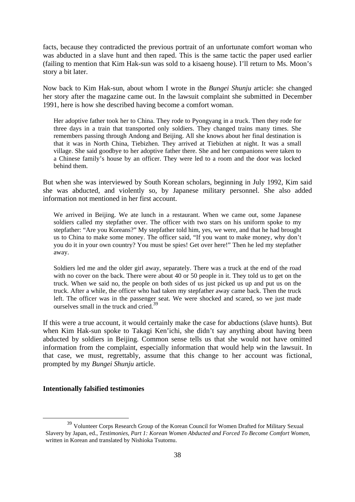facts, because they contradicted the previous portrait of an unfortunate comfort woman who was abducted in a slave hunt and then raped. This is the same tactic the paper used earlier (failing to mention that Kim Hak-sun was sold to a kisaeng house). I'll return to Ms. Moon's story a bit later.

Now back to Kim Hak-sun, about whom I wrote in the *Bungei Shunju* article: she changed her story after the magazine came out. In the lawsuit complaint she submitted in December 1991, here is how she described having become a comfort woman.

Her adoptive father took her to China. They rode to Pyongyang in a truck. Then they rode for three days in a train that transported only soldiers. They changed trains many times. She remembers passing through Andong and Beijing. All she knows about her final destination is that it was in North China, Tiebizhen. They arrived at Tiebizhen at night. It was a small village. She said goodbye to her adoptive father there. She and her companions were taken to a Chinese family's house by an officer. They were led to a room and the door was locked behind them.

But when she was interviewed by South Korean scholars, beginning in July 1992, Kim said she was abducted, and violently so, by Japanese military personnel. She also added information not mentioned in her first account.

We arrived in Beijing. We ate lunch in a restaurant. When we came out, some Japanese soldiers called my stepfather over. The officer with two stars on his uniform spoke to my stepfather: "Are you Koreans?" My stepfather told him, yes, we were, and that he had brought us to China to make some money. The officer said, "If you want to make money, why don't you do it in your own country? You must be spies! Get over here!" Then he led my stepfather away.

Soldiers led me and the older girl away, separately. There was a truck at the end of the road with no cover on the back. There were about 40 or 50 people in it. They told us to get on the truck. When we said no, the people on both sides of us just picked us up and put us on the truck. After a while, the officer who had taken my stepfather away came back. Then the truck left. The officer was in the passenger seat. We were shocked and scared, so we just made ourselves small in the truck and cried<sup>39</sup>

If this were a true account, it would certainly make the case for abductions (slave hunts). But when Kim Hak-sun spoke to Takagi Ken'ichi, she didn't say anything about having been abducted by soldiers in Beijing. Common sense tells us that she would not have omitted information from the complaint, especially information that would help win the lawsuit. In that case, we must, regrettably, assume that this change to her account was fictional, prompted by my *Bungei Shunju* article.

# **Intentionally falsified testimonies**

 <sup>39</sup> Volunteer Corps Research Group of the Korean Council for Women Drafted for Military Sexual Slavery by Japan, ed., *Testimonies, Part 1: Korean Women Abducted and Forced To Become Comfort Women*, written in Korean and translated by Nishioka Tsutomu.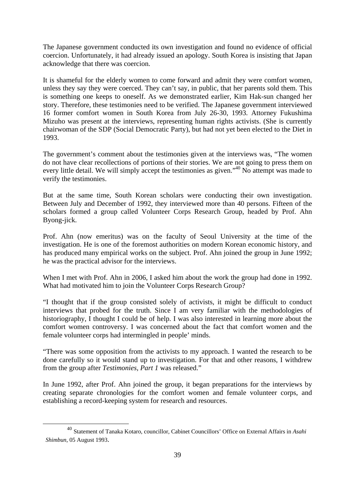The Japanese government conducted its own investigation and found no evidence of official coercion. Unfortunately, it had already issued an apology. South Korea is insisting that Japan acknowledge that there was coercion.

It is shameful for the elderly women to come forward and admit they were comfort women, unless they say they were coerced. They can't say, in public, that her parents sold them. This is something one keeps to oneself. As we demonstrated earlier, Kim Hak-sun changed her story. Therefore, these testimonies need to be verified. The Japanese government interviewed 16 former comfort women in South Korea from July 26-30, 1993. Attorney Fukushima Mizuho was present at the interviews, representing human rights activists. (She is currently chairwoman of the SDP (Social Democratic Party), but had not yet been elected to the Diet in 1993.

The government's comment about the testimonies given at the interviews was, "The women do not have clear recollections of portions of their stories. We are not going to press them on every little detail. We will simply accept the testimonies as given."<sup>40</sup> No attempt was made to verify the testimonies.

But at the same time, South Korean scholars were conducting their own investigation. Between July and December of 1992, they interviewed more than 40 persons. Fifteen of the scholars formed a group called Volunteer Corps Research Group, headed by Prof. Ahn Byong-jick.

Prof. Ahn (now emeritus) was on the faculty of Seoul University at the time of the investigation. He is one of the foremost authorities on modern Korean economic history, and has produced many empirical works on the subject. Prof. Ahn joined the group in June 1992; he was the practical advisor for the interviews.

When I met with Prof. Ahn in 2006, I asked him about the work the group had done in 1992. What had motivated him to join the Volunteer Corps Research Group?

"I thought that if the group consisted solely of activists, it might be difficult to conduct interviews that probed for the truth. Since I am very familiar with the methodologies of historiography, I thought I could be of help. I was also interested in learning more about the comfort women controversy. I was concerned about the fact that comfort women and the female volunteer corps had intermingled in people' minds.

"There was some opposition from the activists to my approach. I wanted the research to be done carefully so it would stand up to investigation. For that and other reasons, I withdrew from the group after *Testimonies, Part 1* was released."

In June 1992, after Prof. Ahn joined the group, it began preparations for the interviews by creating separate chronologies for the comfort women and female volunteer corps, and establishing a record-keeping system for research and resources.

 <sup>40</sup> Statement of Tanaka Kotaro, councillor, Cabinet Councillors' Office on External Affairs in *Asahi Shimbun*, 05 August 1993.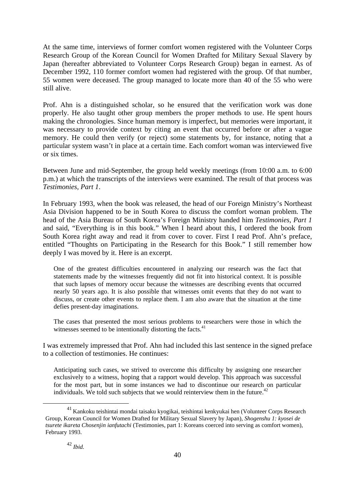At the same time, interviews of former comfort women registered with the Volunteer Corps Research Group of the Korean Council for Women Drafted for Military Sexual Slavery by Japan (hereafter abbreviated to Volunteer Corps Research Group) began in earnest. As of December 1992, 110 former comfort women had registered with the group. Of that number, 55 women were deceased. The group managed to locate more than 40 of the 55 who were still alive.

Prof. Ahn is a distinguished scholar, so he ensured that the verification work was done properly. He also taught other group members the proper methods to use. He spent hours making the chronologies. Since human memory is imperfect, but memories were important, it was necessary to provide context by citing an event that occurred before or after a vague memory. He could then verify (or reject) some statements by, for instance, noting that a particular system wasn't in place at a certain time. Each comfort woman was interviewed five or six times.

Between June and mid-September, the group held weekly meetings (from 10:00 a.m. to 6:00 p.m.) at which the transcripts of the interviews were examined. The result of that process was *Testimonies, Part 1*.

In February 1993, when the book was released, the head of our Foreign Ministry's Northeast Asia Division happened to be in South Korea to discuss the comfort woman problem. The head of the Asia Bureau of South Korea's Foreign Ministry handed him *Testimonies, Part 1* and said, "Everything is in this book." When I heard about this, I ordered the book from South Korea right away and read it from cover to cover. First I read Prof. Ahn's preface, entitled "Thoughts on Participating in the Research for this Book." I still remember how deeply I was moved by it. Here is an excerpt.

One of the greatest difficulties encountered in analyzing our research was the fact that statements made by the witnesses frequently did not fit into historical context. It is possible that such lapses of memory occur because the witnesses are describing events that occurred nearly 50 years ago. It is also possible that witnesses omit events that they do not want to discuss, or create other events to replace them. I am also aware that the situation at the time defies present-day imaginations.

The cases that presented the most serious problems to researchers were those in which the witnesses seemed to be intentionally distorting the facts.<sup>41</sup>

I was extremely impressed that Prof. Ahn had included this last sentence in the signed preface to a collection of testimonies. He continues:

Anticipating such cases, we strived to overcome this difficulty by assigning one researcher exclusively to a witness, hoping that a rapport would develop. This approach was successful for the most part, but in some instances we had to discontinue our research on particular individuals. We told such subjects that we would reinterview them in the future. $42$ 

 $^{41}$  Kankoku teishintai mondai taisaku kyogikai, teishintai kenkyukai hen (Volunteer Corps Research Group, Korean Council for Women Drafted for Military Sexual Slavery by Japan), *Shogenshu 1: kyosei de tsurete ikareta Chosenjin ianfutachi* (Testimonies, part 1: Koreans coerced into serving as comfort women), February 1993.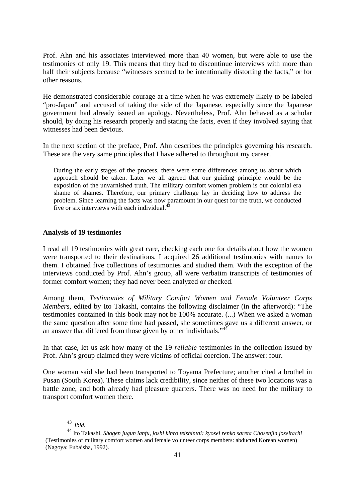Prof. Ahn and his associates interviewed more than 40 women, but were able to use the testimonies of only 19. This means that they had to discontinue interviews with more than half their subjects because "witnesses seemed to be intentionally distorting the facts," or for other reasons.

He demonstrated considerable courage at a time when he was extremely likely to be labeled "pro-Japan" and accused of taking the side of the Japanese, especially since the Japanese government had already issued an apology. Nevertheless, Prof. Ahn behaved as a scholar should, by doing his research properly and stating the facts, even if they involved saying that witnesses had been devious.

In the next section of the preface, Prof. Ahn describes the principles governing his research. These are the very same principles that I have adhered to throughout my career.

During the early stages of the process, there were some differences among us about which approach should be taken. Later we all agreed that our guiding principle would be the exposition of the unvarnished truth. The military comfort women problem is our colonial era shame of shames. Therefore, our primary challenge lay in deciding how to address the problem. Since learning the facts was now paramount in our quest for the truth, we conducted five or six interviews with each individual. $\frac{4}{3}$ 

# **Analysis of 19 testimonies**

I read all 19 testimonies with great care, checking each one for details about how the women were transported to their destinations. I acquired 26 additional testimonies with names to them. I obtained five collections of testimonies and studied them. With the exception of the interviews conducted by Prof. Ahn's group, all were verbatim transcripts of testimonies of former comfort women; they had never been analyzed or checked.

Among them, *Testimonies of Military Comfort Women and Female Volunteer Corps Members*, edited by Ito Takashi, contains the following disclaimer (in the afterword): "The testimonies contained in this book may not be 100% accurate. (...) When we asked a woman the same question after some time had passed, she sometimes gave us a different answer, or an answer that differed from those given by other individuals."<sup>44</sup>

In that case, let us ask how many of the 19 *reliable* testimonies in the collection issued by Prof. Ahn's group claimed they were victims of official coercion. The answer: four.

One woman said she had been transported to Toyama Prefecture; another cited a brothel in Pusan (South Korea). These claims lack credibility, since neither of these two locations was a battle zone, and both already had pleasure quarters. There was no need for the military to transport comfort women there.

 <sup>43</sup> *Ibid.* 

<sup>44</sup> Ito Takashi. *Shogen jugun ianfu, joshi kinro teishintai: kyosei renko sareta Chosenjin joseitachi* (Testimonies of military comfort women and female volunteer corps members: abducted Korean women) (Nagoya: Fubaisha, 1992).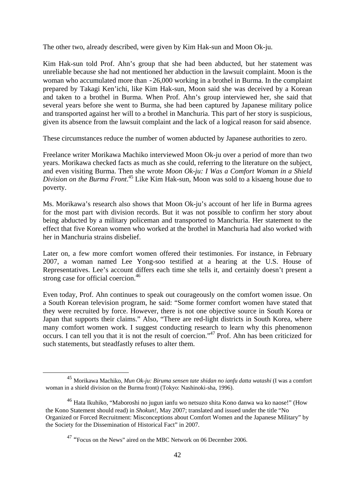The other two, already described, were given by Kim Hak-sun and Moon Ok-ju.

Kim Hak-sun told Prof. Ahn's group that she had been abducted, but her statement was unreliable because she had not mentioned her abduction in the lawsuit complaint. Moon is the woman who accumulated more than  $-26,000$  working in a brothel in Burma. In the complaint prepared by Takagi Ken'ichi, like Kim Hak-sun, Moon said she was deceived by a Korean and taken to a brothel in Burma. When Prof. Ahn's group interviewed her, she said that several years before she went to Burma, she had been captured by Japanese military police and transported against her will to a brothel in Manchuria. This part of her story is suspicious, given its absence from the lawsuit complaint and the lack of a logical reason for said absence.

These circumstances reduce the number of women abducted by Japanese authorities to zero.

Freelance writer Morikawa Machiko interviewed Moon Ok-ju over a period of more than two years. Morikawa checked facts as much as she could, referring to the literature on the subject, and even visiting Burma. Then she wrote *Moon Ok-ju: I Was a Comfort Woman in a Shield Division on the Burma Front*. 45 Like Kim Hak-sun, Moon was sold to a kisaeng house due to poverty.

Ms. Morikawa's research also shows that Moon Ok-ju's account of her life in Burma agrees for the most part with division records. But it was not possible to confirm her story about being abducted by a military policeman and transported to Manchuria. Her statement to the effect that five Korean women who worked at the brothel in Manchuria had also worked with her in Manchuria strains disbelief.

Later on, a few more comfort women offered their testimonies. For instance, in February 2007, a woman named Lee Yong-soo testified at a hearing at the U.S. House of Representatives. Lee's account differs each time she tells it, and certainly doesn't present a strong case for official coercion.<sup>46</sup>

Even today, Prof. Ahn continues to speak out courageously on the comfort women issue. On a South Korean television program, he said: "Some former comfort women have stated that they were recruited by force. However, there is not one objective source in South Korea or Japan that supports their claims." Also, "There are red-light districts in South Korea, where many comfort women work. I suggest conducting research to learn why this phenomenon occurs. I can tell you that it is not the result of coercion."47 Prof. Ahn has been criticized for such statements, but steadfastly refuses to alter them.

 <sup>45</sup> Morikawa Machiko, *Mun Ok-ju: Biruma sensen tate shidan no ianfu datta watashi* (I was a comfort woman in a shield division on the Burma front) (Tokyo: Nashinoki-sha, 1996).

<sup>46</sup> Hata Ikuhiko, "Maboroshi no jugun ianfu wo netsuzo shita Kono danwa wa ko naose!" (How the Kono Statement should read) in *Shokun!*, May 2007; translated and issued under the title "No Organized or Forced Recruitment: Misconceptions about Comfort Women and the Japanese Military" by the Society for the Dissemination of Historical Fact" in 2007.

<sup>&</sup>lt;sup>47</sup> "Focus on the News" aired on the MBC Network on 06 December 2006.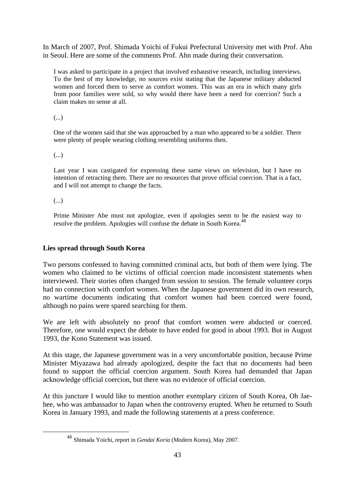In March of 2007, Prof. Shimada Yoichi of Fukui Prefectural University met with Prof. Ahn in Seoul. Here are some of the comments Prof. Ahn made during their conversation.

I was asked to participate in a project that involved exhaustive research, including interviews. To the best of my knowledge, no sources exist stating that the Japanese military abducted women and forced them to serve as comfort women. This was an era in which many girls from poor families were sold, so why would there have been a need for coercion? Such a claim makes no sense at all.

(...)

One of the women said that she was approached by a man who appeared to be a soldier. There were plenty of people wearing clothing resembling uniforms then.

(...)

Last year I was castigated for expressing these same views on television, but I have no intention of retracting them. There are no resources that prove official coercion. That is a fact, and I will not attempt to change the facts.

(...)

Prime Minister Abe must not apologize, even if apologies seem to be the easiest way to resolve the problem. Apologies will confuse the debate in South Korea.<sup>48</sup>

# **Lies spread through South Korea**

Two persons confessed to having committed criminal acts, but both of them were lying. The women who claimed to be victims of official coercion made inconsistent statements when interviewed. Their stories often changed from session to session. The female volunteer corps had no connection with comfort women. When the Japanese government did its own research, no wartime documents indicating that comfort women had been coerced were found, although no pains were spared searching for them.

We are left with absolutely no proof that comfort women were abducted or coerced. Therefore, one would expect the debate to have ended for good in about 1993. But in August 1993, the Kono Statement was issued.

At this stage, the Japanese government was in a very uncomfortable position, because Prime Minister Miyazawa had already apologized, despite the fact that no documents had been found to support the official coercion argument. South Korea had demanded that Japan acknowledge official coercion, but there was no evidence of official coercion.

At this juncture I would like to mention another exemplary citizen of South Korea, Oh Jaehee, who was ambassador to Japan when the controversy erupted. When he returned to South Korea in January 1993, and made the following statements at a press conference.

 <sup>48</sup> Shimada Yoichi, report in *Gendai Koria* (Modern Korea), May 2007.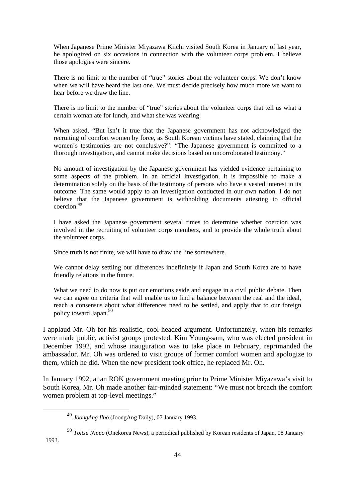When Japanese Prime Minister Miyazawa Kiichi visited South Korea in January of last year, he apologized on six occasions in connection with the volunteer corps problem. I believe those apologies were sincere.

There is no limit to the number of "true" stories about the volunteer corps. We don't know when we will have heard the last one. We must decide precisely how much more we want to hear before we draw the line.

There is no limit to the number of "true" stories about the volunteer corps that tell us what a certain woman ate for lunch, and what she was wearing.

When asked, "But isn't it true that the Japanese government has not acknowledged the recruiting of comfort women by force, as South Korean victims have stated, claiming that the women's testimonies are not conclusive?": "The Japanese government is committed to a thorough investigation, and cannot make decisions based on uncorroborated testimony."

No amount of investigation by the Japanese government has yielded evidence pertaining to some aspects of the problem. In an official investigation, it is impossible to make a determination solely on the basis of the testimony of persons who have a vested interest in its outcome. The same would apply to an investigation conducted in our own nation. I do not believe that the Japanese government is withholding documents attesting to official coercion<sup>49</sup>

I have asked the Japanese government several times to determine whether coercion was involved in the recruiting of volunteer corps members, and to provide the whole truth about the volunteer corps.

Since truth is not finite, we will have to draw the line somewhere.

We cannot delay settling our differences indefinitely if Japan and South Korea are to have friendly relations in the future.

What we need to do now is put our emotions aside and engage in a civil public debate. Then we can agree on criteria that will enable us to find a balance between the real and the ideal, reach a consensus about what differences need to be settled, and apply that to our foreign policy toward Japan.50

I applaud Mr. Oh for his realistic, cool-headed argument. Unfortunately, when his remarks were made public, activist groups protested. Kim Young-sam, who was elected president in December 1992, and whose inauguration was to take place in February, reprimanded the ambassador. Mr. Oh was ordered to visit groups of former comfort women and apologize to them, which he did. When the new president took office, he replaced Mr. Oh.

In January 1992, at an ROK government meeting prior to Prime Minister Miyazawa's visit to South Korea, Mr. Oh made another fair-minded statement: "We must not broach the comfort women problem at top-level meetings."

1993.

 <sup>49</sup> *JoongAng Ilbo* (JoongAng Daily), 07 January 1993.

<sup>50</sup> *Toitsu Nippo* (Onekorea News), a periodical published by Korean residents of Japan, 08 January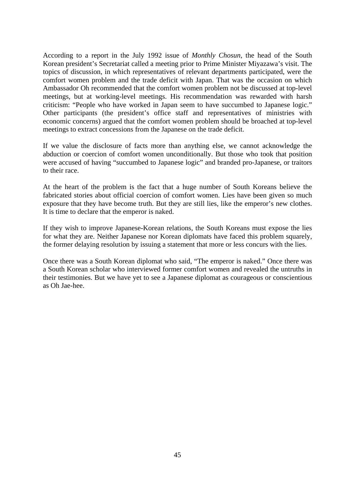According to a report in the July 1992 issue of *Monthly Chosun*, the head of the South Korean president's Secretariat called a meeting prior to Prime Minister Miyazawa's visit. The topics of discussion, in which representatives of relevant departments participated, were the comfort women problem and the trade deficit with Japan. That was the occasion on which Ambassador Oh recommended that the comfort women problem not be discussed at top-level meetings, but at working-level meetings. His recommendation was rewarded with harsh criticism: "People who have worked in Japan seem to have succumbed to Japanese logic." Other participants (the president's office staff and representatives of ministries with economic concerns) argued that the comfort women problem should be broached at top-level meetings to extract concessions from the Japanese on the trade deficit.

If we value the disclosure of facts more than anything else, we cannot acknowledge the abduction or coercion of comfort women unconditionally. But those who took that position were accused of having "succumbed to Japanese logic" and branded pro-Japanese, or traitors to their race.

At the heart of the problem is the fact that a huge number of South Koreans believe the fabricated stories about official coercion of comfort women. Lies have been given so much exposure that they have become truth. But they are still lies, like the emperor's new clothes. It is time to declare that the emperor is naked.

If they wish to improve Japanese-Korean relations, the South Koreans must expose the lies for what they are. Neither Japanese nor Korean diplomats have faced this problem squarely, the former delaying resolution by issuing a statement that more or less concurs with the lies.

Once there was a South Korean diplomat who said, "The emperor is naked." Once there was a South Korean scholar who interviewed former comfort women and revealed the untruths in their testimonies. But we have yet to see a Japanese diplomat as courageous or conscientious as Oh Jae-hee.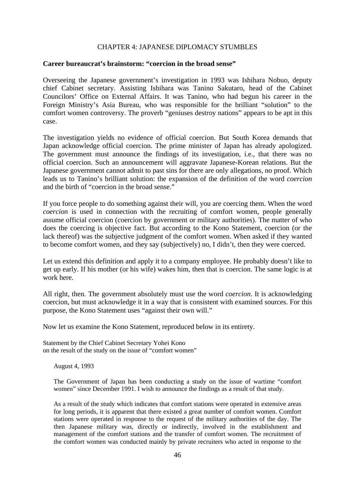# CHAPTER 4: JAPANESE DIPLOMACY STUMBLES

#### **Career bureaucrat's brainstorm: "coercion in the broad sense"**

Overseeing the Japanese government's investigation in 1993 was Ishihara Nobuo, deputy chief Cabinet secretary. Assisting Ishihara was Tanino Sakutaro, head of the Cabinet Councilors' Office on External Affairs. It was Tanino, who had begun his career in the Foreign Ministry's Asia Bureau, who was responsible for the brilliant "solution" to the comfort women controversy. The proverb "geniuses destroy nations" appears to be apt in this case.

The investigation yields no evidence of official coercion. But South Korea demands that Japan acknowledge official coercion. The prime minister of Japan has already apologized. The government must announce the findings of its investigation, i.e., that there was no official coercion. Such an announcement will aggravate Japanese-Korean relations. But the Japanese government cannot admit to past sins for there are only allegations, no proof. Which leads us to Tanino's brilliant solution: the expansion of the definition of the word *coercion* and the birth of "coercion in the broad sense."

If you force people to do something against their will, you are coercing them. When the word *coercion* is used in connection with the recruiting of comfort women, people generally assume official coercion (coercion by government or military authorities). The matter of who does the coercing is objective fact. But according to the Kono Statement, coercion (or the lack thereof) was the subjective judgment of the comfort women. When asked if they wanted to become comfort women, and they say (subjectively) no, I didn't, then they were coerced.

Let us extend this definition and apply it to a company employee. He probably doesn't like to get up early. If his mother (or his wife) wakes him, then that is coercion. The same logic is at work here.

All right, then. The government absolutely must use the word *coercion*. It is acknowledging coercion, but must acknowledge it in a way that is consistent with examined sources. For this purpose, the Kono Statement uses "against their own will."

Now let us examine the Kono Statement, reproduced below in its entirety.

Statement by the Chief Cabinet Secretary Yohei Kono on the result of the study on the issue of "comfort women"

August 4, 1993

The Government of Japan has been conducting a study on the issue of wartime "comfort women" since December 1991. I wish to announce the findings as a result of that study.

As a result of the study which indicates that comfort stations were operated in extensive areas for long periods, it is apparent that there existed a great number of comfort women. Comfort stations were operated in response to the request of the military authorities of the day. The then Japanese military was, directly or indirectly, involved in the establishment and management of the comfort stations and the transfer of comfort women. The recruitment of the comfort women was conducted mainly by private recruiters who acted in response to the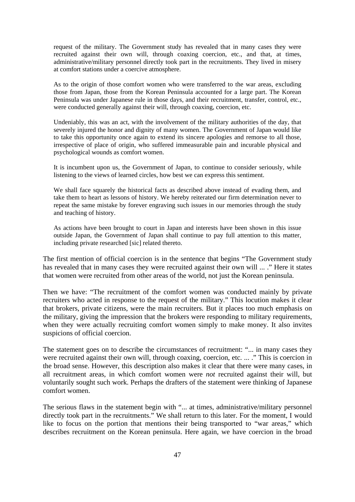request of the military. The Government study has revealed that in many cases they were recruited against their own will, through coaxing coercion, etc., and that, at times, administrative/military personnel directly took part in the recruitments. They lived in misery at comfort stations under a coercive atmosphere.

As to the origin of those comfort women who were transferred to the war areas, excluding those from Japan, those from the Korean Peninsula accounted for a large part. The Korean Peninsula was under Japanese rule in those days, and their recruitment, transfer, control, etc., were conducted generally against their will, through coaxing, coercion, etc.

Undeniably, this was an act, with the involvement of the military authorities of the day, that severely injured the honor and dignity of many women. The Government of Japan would like to take this opportunity once again to extend its sincere apologies and remorse to all those, irrespective of place of origin, who suffered immeasurable pain and incurable physical and psychological wounds as comfort women.

It is incumbent upon us, the Government of Japan, to continue to consider seriously, while listening to the views of learned circles, how best we can express this sentiment.

We shall face squarely the historical facts as described above instead of evading them, and take them to heart as lessons of history. We hereby reiterated our firm determination never to repeat the same mistake by forever engraving such issues in our memories through the study and teaching of history.

As actions have been brought to court in Japan and interests have been shown in this issue outside Japan, the Government of Japan shall continue to pay full attention to this matter, including private researched [sic] related thereto.

The first mention of official coercion is in the sentence that begins "The Government study has revealed that in many cases they were recruited against their own will ... ." Here it states that women were recruited from other areas of the world, not just the Korean peninsula.

Then we have: "The recruitment of the comfort women was conducted mainly by private recruiters who acted in response to the request of the military." This locution makes it clear that brokers, private citizens, were the main recruiters. But it places too much emphasis on the military, giving the impression that the brokers were responding to military requirements, when they were actually recruiting comfort women simply to make money. It also invites suspicions of official coercion.

The statement goes on to describe the circumstances of recruitment: "... in many cases they were recruited against their own will, through coaxing, coercion, etc. ... ." This is coercion in the broad sense. However, this description also makes it clear that there were many cases, in all recruitment areas, in which comfort women were *not* recruited against their will, but voluntarily sought such work. Perhaps the drafters of the statement were thinking of Japanese comfort women.

The serious flaws in the statement begin with "... at times, administrative/military personnel directly took part in the recruitments." We shall return to this later. For the moment, I would like to focus on the portion that mentions their being transported to "war areas," which describes recruitment on the Korean peninsula. Here again, we have coercion in the broad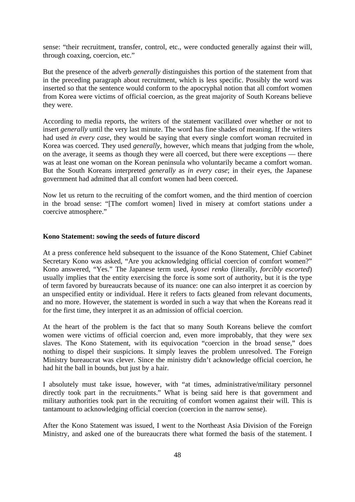sense: "their recruitment, transfer, control, etc., were conducted generally against their will, through coaxing, coercion, etc."

But the presence of the adverb *generally* distinguishes this portion of the statement from that in the preceding paragraph about recruitment, which is less specific. Possibly the word was inserted so that the sentence would conform to the apocryphal notion that all comfort women from Korea were victims of official coercion, as the great majority of South Koreans believe they were.

According to media reports, the writers of the statement vacillated over whether or not to insert *generally* until the very last minute. The word has fine shades of meaning. If the writers had used *in every case*, they would be saying that every single comfort woman recruited in Korea was coerced. They used *generally*, however, which means that judging from the whole, on the average, it seems as though they were all coerced, but there were exceptions — there was at least one woman on the Korean peninsula who voluntarily became a comfort woman. But the South Koreans interpreted *generally* as *in every case*; in their eyes, the Japanese government had admitted that all comfort women had been coerced.

Now let us return to the recruiting of the comfort women, and the third mention of coercion in the broad sense: "[The comfort women] lived in misery at comfort stations under a coercive atmosphere."

#### **Kono Statement: sowing the seeds of future discord**

At a press conference held subsequent to the issuance of the Kono Statement, Chief Cabinet Secretary Kono was asked, "Are you acknowledging official coercion of comfort women?" Kono answered, "Yes." The Japanese term used, *kyosei renko* (literally, *forcibly escorted*) usually implies that the entity exercising the force is some sort of authority, but it is the type of term favored by bureaucrats because of its nuance: one can also interpret it as coercion by an unspecified entity or individual. Here it refers to facts gleaned from relevant documents, and no more. However, the statement is worded in such a way that when the Koreans read it for the first time, they interpret it as an admission of official coercion.

At the heart of the problem is the fact that so many South Koreans believe the comfort women were victims of official coercion and, even more improbably, that they were sex slaves. The Kono Statement, with its equivocation "coercion in the broad sense," does nothing to dispel their suspicions. It simply leaves the problem unresolved. The Foreign Ministry bureaucrat was clever. Since the ministry didn't acknowledge official coercion, he had hit the ball in bounds, but just by a hair.

I absolutely must take issue, however, with "at times, administrative/military personnel directly took part in the recruitments." What is being said here is that government and military authorities took part in the recruiting of comfort women against their will. This is tantamount to acknowledging official coercion (coercion in the narrow sense).

After the Kono Statement was issued, I went to the Northeast Asia Division of the Foreign Ministry, and asked one of the bureaucrats there what formed the basis of the statement. I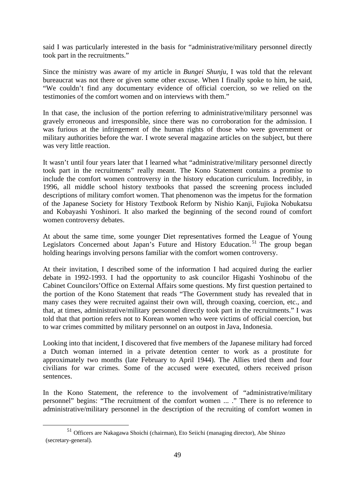said I was particularly interested in the basis for "administrative/military personnel directly took part in the recruitments."

Since the ministry was aware of my article in *Bungei Shunju*, I was told that the relevant bureaucrat was not there or given some other excuse. When I finally spoke to him, he said, "We couldn't find any documentary evidence of official coercion, so we relied on the testimonies of the comfort women and on interviews with them."

In that case, the inclusion of the portion referring to administrative/military personnel was gravely erroneous and irresponsible, since there was no corroboration for the admission. I was furious at the infringement of the human rights of those who were government or military authorities before the war. I wrote several magazine articles on the subject, but there was very little reaction.

It wasn't until four years later that I learned what "administrative/military personnel directly took part in the recruitments" really meant. The Kono Statement contains a promise to include the comfort women controversy in the history education curriculum. Incredibly, in 1996, all middle school history textbooks that passed the screening process included descriptions of military comfort women. That phenomenon was the impetus for the formation of the Japanese Society for History Textbook Reform by Nishio Kanji, Fujioka Nobukatsu and Kobayashi Yoshinori. It also marked the beginning of the second round of comfort women controversy debates.

At about the same time, some younger Diet representatives formed the League of Young Legislators Concerned about Japan's Future and History Education.<sup>51</sup> The group began holding hearings involving persons familiar with the comfort women controversy.

At their invitation, I described some of the information I had acquired during the earlier debate in 1992-1993. I had the opportunity to ask councilor Higashi Yoshinobu of the Cabinet Councilors'Office on External Affairs some questions. My first question pertained to the portion of the Kono Statement that reads "The Government study has revealed that in many cases they were recruited against their own will, through coaxing, coercion, etc., and that, at times, administrative/military personnel directly took part in the recruitments." I was told that that portion refers not to Korean women who were victims of official coercion, but to war crimes committed by military personnel on an outpost in Java, Indonesia.

Looking into that incident, I discovered that five members of the Japanese military had forced a Dutch woman interned in a private detention center to work as a prostitute for approximately two months (late February to April 1944). The Allies tried them and four civilians for war crimes. Some of the accused were executed, others received prison sentences.

In the Kono Statement, the reference to the involvement of "administrative/military personnel" begins: "The recruitment of the comfort women ... ." There is no reference to administrative/military personnel in the description of the recruiting of comfort women in

 <sup>51</sup> Officers are Nakagawa Shoichi (chairman), Eto Seiichi (managing director), Abe Shinzo (secretary-general).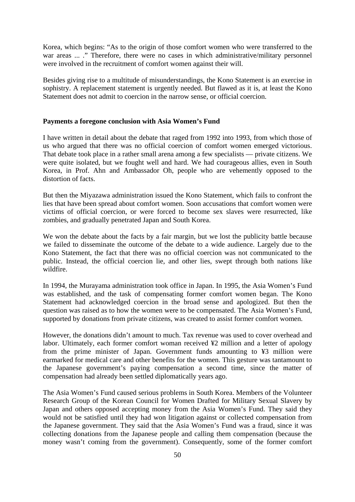Korea, which begins: "As to the origin of those comfort women who were transferred to the war areas ... ." Therefore, there were no cases in which administrative/military personnel were involved in the recruitment of comfort women against their will.

Besides giving rise to a multitude of misunderstandings, the Kono Statement is an exercise in sophistry. A replacement statement is urgently needed. But flawed as it is, at least the Kono Statement does not admit to coercion in the narrow sense, or official coercion.

### **Payments a foregone conclusion with Asia Women's Fund**

I have written in detail about the debate that raged from 1992 into 1993, from which those of us who argued that there was no official coercion of comfort women emerged victorious. That debate took place in a rather small arena among a few specialists — private citizens. We were quite isolated, but we fought well and hard. We had courageous allies, even in South Korea, in Prof. Ahn and Ambassador Oh, people who are vehemently opposed to the distortion of facts.

But then the Miyazawa administration issued the Kono Statement, which fails to confront the lies that have been spread about comfort women. Soon accusations that comfort women were victims of official coercion, or were forced to become sex slaves were resurrected, like zombies, and gradually penetrated Japan and South Korea.

We won the debate about the facts by a fair margin, but we lost the publicity battle because we failed to disseminate the outcome of the debate to a wide audience. Largely due to the Kono Statement, the fact that there was no official coercion was not communicated to the public. Instead, the official coercion lie, and other lies, swept through both nations like wildfire.

In 1994, the Murayama administration took office in Japan. In 1995, the Asia Women's Fund was established, and the task of compensating former comfort women began. The Kono Statement had acknowledged coercion in the broad sense and apologized. But then the question was raised as to how the women were to be compensated. The Asia Women's Fund, supported by donations from private citizens, was created to assist former comfort women.

However, the donations didn't amount to much. Tax revenue was used to cover overhead and labor. Ultimately, each former comfort woman received ¥2 million and a letter of apology from the prime minister of Japan. Government funds amounting to ¥3 million were earmarked for medical care and other benefits for the women. This gesture was tantamount to the Japanese government's paying compensation a second time, since the matter of compensation had already been settled diplomatically years ago.

The Asia Women's Fund caused serious problems in South Korea. Members of the Volunteer Research Group of the Korean Council for Women Drafted for Military Sexual Slavery by Japan and others opposed accepting money from the Asia Women's Fund. They said they would not be satisfied until they had won litigation against or collected compensation from the Japanese government. They said that the Asia Women's Fund was a fraud, since it was collecting donations from the Japanese people and calling them compensation (because the money wasn't coming from the government). Consequently, some of the former comfort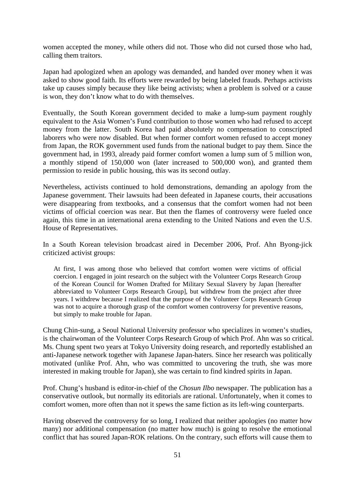women accepted the money, while others did not. Those who did not cursed those who had, calling them traitors.

Japan had apologized when an apology was demanded, and handed over money when it was asked to show good faith. Its efforts were rewarded by being labeled frauds. Perhaps activists take up causes simply because they like being activists; when a problem is solved or a cause is won, they don't know what to do with themselves.

Eventually, the South Korean government decided to make a lump-sum payment roughly equivalent to the Asia Women's Fund contribution to those women who had refused to accept money from the latter. South Korea had paid absolutely no compensation to conscripted laborers who were now disabled. But when former comfort women refused to accept money from Japan, the ROK government used funds from the national budget to pay them. Since the government had, in 1993, already paid former comfort women a lump sum of 5 million won, a monthly stipend of 150,000 won (later increased to 500,000 won), and granted them permission to reside in public housing, this was its second outlay.

Nevertheless, activists continued to hold demonstrations, demanding an apology from the Japanese government. Their lawsuits had been defeated in Japanese courts, their accusations were disappearing from textbooks, and a consensus that the comfort women had not been victims of official coercion was near. But then the flames of controversy were fueled once again, this time in an international arena extending to the United Nations and even the U.S. House of Representatives.

In a South Korean television broadcast aired in December 2006, Prof. Ahn Byong-jick criticized activist groups:

At first, I was among those who believed that comfort women were victims of official coercion. I engaged in joint research on the subject with the Volunteer Corps Research Group of the Korean Council for Women Drafted for Military Sexual Slavery by Japan [hereafter abbreviated to Volunteer Corps Research Group], but withdrew from the project after three years. I withdrew because I realized that the purpose of the Volunteer Corps Research Group was not to acquire a thorough grasp of the comfort women controversy for preventive reasons, but simply to make trouble for Japan.

Chung Chin-sung, a Seoul National University professor who specializes in women's studies, is the chairwoman of the Volunteer Corps Research Group of which Prof. Ahn was so critical. Ms. Chung spent two years at Tokyo University doing research, and reportedly established an anti-Japanese network together with Japanese Japan-haters. Since her research was politically motivated (unlike Prof. Ahn, who was committed to uncovering the truth, she was more interested in making trouble for Japan), she was certain to find kindred spirits in Japan.

Prof. Chung's husband is editor-in-chief of the *Chosun Ilbo* newspaper. The publication has a conservative outlook, but normally its editorials are rational. Unfortunately, when it comes to comfort women, more often than not it spews the same fiction as its left-wing counterparts.

Having observed the controversy for so long, I realized that neither apologies (no matter how many) nor additional compensation (no matter how much) is going to resolve the emotional conflict that has soured Japan-ROK relations. On the contrary, such efforts will cause them to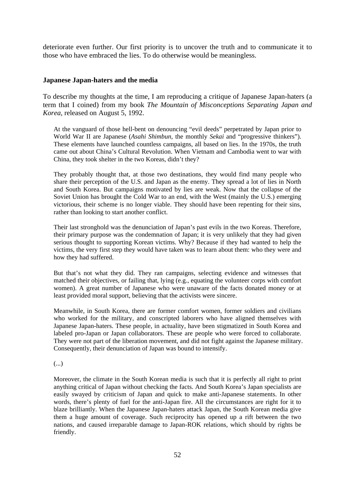deteriorate even further. Our first priority is to uncover the truth and to communicate it to those who have embraced the lies. To do otherwise would be meaningless.

#### **Japanese Japan-haters and the media**

To describe my thoughts at the time, I am reproducing a critique of Japanese Japan-haters (a term that I coined) from my book *The Mountain of Misconceptions Separating Japan and Korea*, released on August 5, 1992.

At the vanguard of those hell-bent on denouncing "evil deeds" perpetrated by Japan prior to World War II are Japanese (*Asahi Shimbun*, the monthly *Sekai* and "progressive thinkers"). These elements have launched countless campaigns, all based on lies. In the 1970s, the truth came out about China's Cultural Revolution. When Vietnam and Cambodia went to war with China, they took shelter in the two Koreas, didn't they?

They probably thought that, at those two destinations, they would find many people who share their perception of the U.S. and Japan as the enemy. They spread a lot of lies in North and South Korea. But campaigns motivated by lies are weak. Now that the collapse of the Soviet Union has brought the Cold War to an end, with the West (mainly the U.S.) emerging victorious, their scheme is no longer viable. They should have been repenting for their sins, rather than looking to start another conflict.

Their last stronghold was the denunciation of Japan's past evils in the two Koreas. Therefore, their primary purpose was the condemnation of Japan; it is very unlikely that they had given serious thought to supporting Korean victims. Why? Because if they had wanted to help the victims, the very first step they would have taken was to learn about them: who they were and how they had suffered.

But that's not what they did. They ran campaigns, selecting evidence and witnesses that matched their objectives, or failing that, lying (e.g., equating the volunteer corps with comfort women). A great number of Japanese who were unaware of the facts donated money or at least provided moral support, believing that the activists were sincere.

Meanwhile, in South Korea, there are former comfort women, former soldiers and civilians who worked for the military, and conscripted laborers who have aligned themselves with Japanese Japan-haters. These people, in actuality, have been stigmatized in South Korea and labeled pro-Japan or Japan collaborators. These are people who were forced to collaborate. They were not part of the liberation movement, and did not fight against the Japanese military. Consequently, their denunciation of Japan was bound to intensify.

(...)

Moreover, the climate in the South Korean media is such that it is perfectly all right to print anything critical of Japan without checking the facts. And South Korea's Japan specialists are easily swayed by criticism of Japan and quick to make anti-Japanese statements. In other words, there's plenty of fuel for the anti-Japan fire. All the circumstances are right for it to blaze brilliantly. When the Japanese Japan-haters attack Japan, the South Korean media give them a huge amount of coverage. Such reciprocity has opened up a rift between the two nations, and caused irreparable damage to Japan-ROK relations, which should by rights be friendly.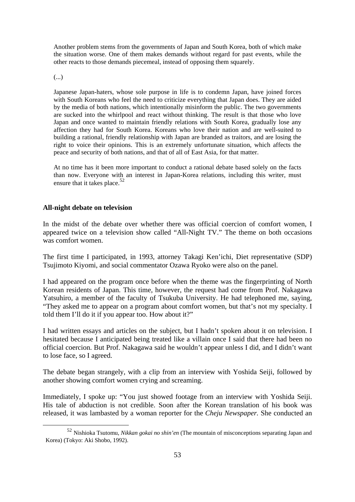Another problem stems from the governments of Japan and South Korea, both of which make the situation worse. One of them makes demands without regard for past events, while the other reacts to those demands piecemeal, instead of opposing them squarely.

(...)

Japanese Japan-haters, whose sole purpose in life is to condemn Japan, have joined forces with South Koreans who feel the need to criticize everything that Japan does. They are aided by the media of both nations, which intentionally misinform the public. The two governments are sucked into the whirlpool and react without thinking. The result is that those who love Japan and once wanted to maintain friendly relations with South Korea, gradually lose any affection they had for South Korea. Koreans who love their nation and are well-suited to building a rational, friendly relationship with Japan are branded as traitors, and are losing the right to voice their opinions. This is an extremely unfortunate situation, which affects the peace and security of both nations, and that of all of East Asia, for that matter.

At no time has it been more important to conduct a rational debate based solely on the facts than now. Everyone with an interest in Japan-Korea relations, including this writer, must ensure that it takes place.<sup>52</sup>

### **All-night debate on television**

In the midst of the debate over whether there was official coercion of comfort women, I appeared twice on a television show called "All-Night TV." The theme on both occasions was comfort women.

The first time I participated, in 1993, attorney Takagi Ken'ichi, Diet representative (SDP) Tsujimoto Kiyomi, and social commentator Ozawa Ryoko were also on the panel.

I had appeared on the program once before when the theme was the fingerprinting of North Korean residents of Japan. This time, however, the request had come from Prof. Nakagawa Yatsuhiro, a member of the faculty of Tsukuba University. He had telephoned me, saying, "They asked me to appear on a program about comfort women, but that's not my specialty. I told them I'll do it if you appear too. How about it?"

I had written essays and articles on the subject, but I hadn't spoken about it on television. I hesitated because I anticipated being treated like a villain once I said that there had been no official coercion. But Prof. Nakagawa said he wouldn't appear unless I did, and I didn't want to lose face, so I agreed.

The debate began strangely, with a clip from an interview with Yoshida Seiji, followed by another showing comfort women crying and screaming.

Immediately, I spoke up: "You just showed footage from an interview with Yoshida Seiji. His tale of abduction is not credible. Soon after the Korean translation of his book was released, it was lambasted by a woman reporter for the *Cheju Newspaper.* She conducted an

 <sup>52</sup> Nishioka Tsutomu, *Nikkan gokai no shin'en* (The mountain of misconceptions separating Japan and Korea) (Tokyo: Aki Shobo, 1992).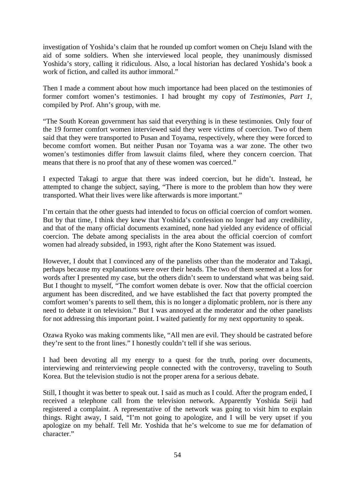investigation of Yoshida's claim that he rounded up comfort women on Cheju Island with the aid of some soldiers. When she interviewed local people, they unanimously dismissed Yoshida's story, calling it ridiculous. Also, a local historian has declared Yoshida's book a work of fiction, and called its author immoral."

Then I made a comment about how much importance had been placed on the testimonies of former comfort women's testimonies. I had brought my copy of *Testimonies, Part 1*, compiled by Prof. Ahn's group, with me.

"The South Korean government has said that everything is in these testimonies. Only four of the 19 former comfort women interviewed said they were victims of coercion. Two of them said that they were transported to Pusan and Toyama, respectively, where they were forced to become comfort women. But neither Pusan nor Toyama was a war zone. The other two women's testimonies differ from lawsuit claims filed, where they concern coercion. That means that there is no proof that any of these women was coerced."

I expected Takagi to argue that there was indeed coercion, but he didn't. Instead, he attempted to change the subject, saying, "There is more to the problem than how they were transported. What their lives were like afterwards is more important."

I'm certain that the other guests had intended to focus on official coercion of comfort women. But by that time, I think they knew that Yoshida's confession no longer had any credibility, and that of the many official documents examined, none had yielded any evidence of official coercion. The debate among specialists in the area about the official coercion of comfort women had already subsided, in 1993, right after the Kono Statement was issued.

However, I doubt that I convinced any of the panelists other than the moderator and Takagi, perhaps because my explanations were over their heads. The two of them seemed at a loss for words after I presented my case, but the others didn't seem to understand what was being said. But I thought to myself, "The comfort women debate is over. Now that the official coercion argument has been discredited, and we have established the fact that poverty prompted the comfort women's parents to sell them, this is no longer a diplomatic problem, nor is there any need to debate it on television." But I was annoyed at the moderator and the other panelists for not addressing this important point. I waited patiently for my next opportunity to speak.

Ozawa Ryoko was making comments like, "All men are evil. They should be castrated before they're sent to the front lines." I honestly couldn't tell if she was serious.

I had been devoting all my energy to a quest for the truth, poring over documents, interviewing and reinterviewing people connected with the controversy, traveling to South Korea. But the television studio is not the proper arena for a serious debate.

Still, I thought it was better to speak out. I said as much as I could. After the program ended, I received a telephone call from the television network. Apparently Yoshida Seiji had registered a complaint. A representative of the network was going to visit him to explain things. Right away, I said, "I'm not going to apologize, and I will be very upset if you apologize on my behalf. Tell Mr. Yoshida that he's welcome to sue me for defamation of character."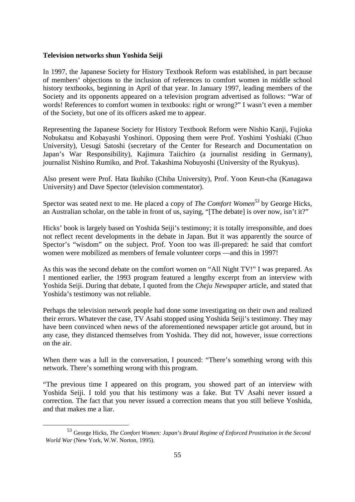#### **Television networks shun Yoshida Seiji**

In 1997, the Japanese Society for History Textbook Reform was established, in part because of members' objections to the inclusion of references to comfort women in middle school history textbooks, beginning in April of that year. In January 1997, leading members of the Society and its opponents appeared on a television program advertised as follows: "War of words! References to comfort women in textbooks: right or wrong?" I wasn't even a member of the Society, but one of its officers asked me to appear.

Representing the Japanese Society for History Textbook Reform were Nishio Kanji, Fujioka Nobukatsu and Kobayashi Yoshinori. Opposing them were Prof. Yoshimi Yoshiaki (Chuo University), Uesugi Satoshi (secretary of the Center for Research and Documentation on Japan's War Responsibility), Kajimura Taiichiro (a journalist residing in Germany), journalist Nishino Rumiko, and Prof. Takashima Nobuyoshi (University of the Ryukyus).

Also present were Prof. Hata Ikuhiko (Chiba University), Prof. Yoon Keun-cha (Kanagawa University) and Dave Spector (television commentator).

Spector was seated next to me. He placed a copy of *The Comfort Women*<sup>53</sup> by George Hicks, an Australian scholar, on the table in front of us, saying, "[The debate] is over now, isn't it?"

Hicks' book is largely based on Yoshida Seiji's testimony; it is totally irresponsible, and does not reflect recent developments in the debate in Japan. But it was apparently the source of Spector's "wisdom" on the subject. Prof. Yoon too was ill-prepared: he said that comfort women were mobilized as members of female volunteer corps —and this in 1997!

As this was the second debate on the comfort women on "All Night TV!" I was prepared. As I mentioned earlier, the 1993 program featured a lengthy excerpt from an interview with Yoshida Seiji. During that debate, I quoted from the *Cheju Newspaper* article, and stated that Yoshida's testimony was not reliable.

Perhaps the television network people had done some investigating on their own and realized their errors. Whatever the case, TV Asahi stopped using Yoshida Seiji's testimony. They may have been convinced when news of the aforementioned newspaper article got around, but in any case, they distanced themselves from Yoshida. They did not, however, issue corrections on the air.

When there was a lull in the conversation, I pounced: "There's something wrong with this network. There's something wrong with this program.

"The previous time I appeared on this program, you showed part of an interview with Yoshida Seiji. I told you that his testimony was a fake. But TV Asahi never issued a correction. The fact that you never issued a correction means that you still believe Yoshida, and that makes me a liar.

 <sup>53</sup> George Hicks, *The Comfort Women: Japan's Brutal Regime of Enforced Prostitution in the Second World War* (New York, W.W. Norton, 1995).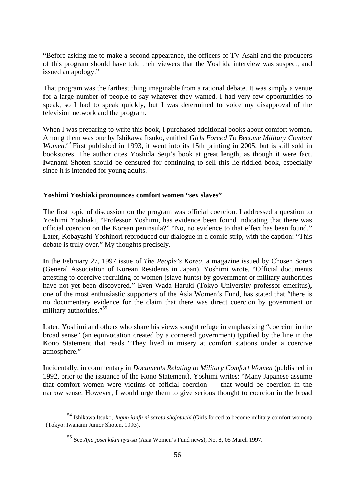"Before asking me to make a second appearance, the officers of TV Asahi and the producers of this program should have told their viewers that the Yoshida interview was suspect, and issued an apology."

That program was the farthest thing imaginable from a rational debate. It was simply a venue for a large number of people to say whatever they wanted. I had very few opportunities to speak, so I had to speak quickly, but I was determined to voice my disapproval of the television network and the program.

When I was preparing to write this book, I purchased additional books about comfort women. Among them was one by Ishikawa Itsuko, entitled *Girls Forced To Become Military Comfort Women.54* First published in 1993, it went into its 15th printing in 2005, but is still sold in bookstores. The author cites Yoshida Seiji's book at great length, as though it were fact. Iwanami Shoten should be censured for continuing to sell this lie-riddled book, especially since it is intended for young adults.

# **Yoshimi Yoshiaki pronounces comfort women "sex slaves"**

The first topic of discussion on the program was official coercion. I addressed a question to Yoshimi Yoshiaki, "Professor Yoshimi, has evidence been found indicating that there was official coercion on the Korean peninsula?" "No, no evidence to that effect has been found." Later, Kobayashi Yoshinori reproduced our dialogue in a comic strip, with the caption: "This debate is truly over." My thoughts precisely.

In the February 27, 1997 issue of *The People's Korea*, a magazine issued by Chosen Soren (General Association of Korean Residents in Japan), Yoshimi wrote, "Official documents attesting to coercive recruiting of women (slave hunts) by government or military authorities have not yet been discovered." Even Wada Haruki (Tokyo University professor emeritus), one of the most enthusiastic supporters of the Asia Women's Fund, has stated that "there is no documentary evidence for the claim that there was direct coercion by government or military authorities."<sup>55</sup>

Later, Yoshimi and others who share his views sought refuge in emphasizing "coercion in the broad sense" (an equivocation created by a cornered government) typified by the line in the Kono Statement that reads "They lived in misery at comfort stations under a coercive atmosphere."

Incidentally, in commentary in *Documents Relating to Military Comfort Women* (published in 1992, prior to the issuance of the Kono Statement), Yoshimi writes: "Many Japanese assume that comfort women were victims of official coercion — that would be coercion in the narrow sense. However, I would urge them to give serious thought to coercion in the broad

 <sup>54</sup> Ishikawa Itsuko, *Jugun ianfu ni sareta shojotachi* (Girls forced to become military comfort women) (Tokyo: Iwanami Junior Shoten, 1993).

<sup>55</sup> See *Ajia josei kikin nyu-su* (Asia Women's Fund news), No. 8, 05 March 1997.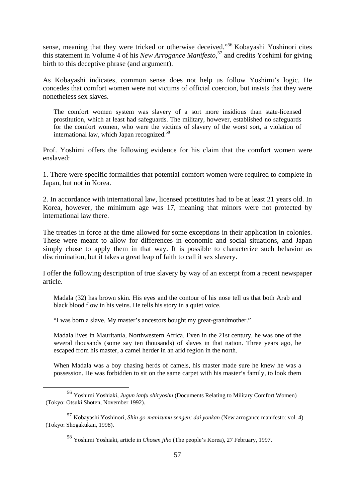sense, meaning that they were tricked or otherwise deceived."56 Kobayashi Yoshinori cites this statement in Volume 4 of his *New Arrogance Manifesto*, 57 and credits Yoshimi for giving birth to this deceptive phrase (and argument).

As Kobayashi indicates, common sense does not help us follow Yoshimi's logic. He concedes that comfort women were not victims of official coercion, but insists that they were nonetheless sex slaves.

The comfort women system was slavery of a sort more insidious than state-licensed prostitution, which at least had safeguards. The military, however, established no safeguards for the comfort women, who were the victims of slavery of the worst sort, a violation of international law, which Japan recognized.<sup>58</sup>

Prof. Yoshimi offers the following evidence for his claim that the comfort women were enslaved:

1. There were specific formalities that potential comfort women were required to complete in Japan, but not in Korea.

2. In accordance with international law, licensed prostitutes had to be at least 21 years old. In Korea, however, the minimum age was 17, meaning that minors were not protected by international law there.

The treaties in force at the time allowed for some exceptions in their application in colonies. These were meant to allow for differences in economic and social situations, and Japan simply chose to apply them in that way. It is possible to characterize such behavior as discrimination, but it takes a great leap of faith to call it sex slavery.

I offer the following description of true slavery by way of an excerpt from a recent newspaper article.

Madala (32) has brown skin. His eyes and the contour of his nose tell us that both Arab and black blood flow in his veins. He tells his story in a quiet voice.

"I was born a slave. My master's ancestors bought my great-grandmother."

Madala lives in Mauritania, Northwestern Africa. Even in the 21st century, he was one of the several thousands (some say ten thousands) of slaves in that nation. Three years ago, he escaped from his master, a camel herder in an arid region in the north.

When Madala was a boy chasing herds of camels, his master made sure he knew he was a possession. He was forbidden to sit on the same carpet with his master's family, to look them

 <sup>56</sup> Yoshimi Yoshiaki, *Jugun ianfu shiryoshu* (Documents Relating to Military Comfort Women) (Tokyo: Otsuki Shoten, November 1992).

<sup>57</sup> Kobayashi Yoshinori, *Shin go-manizumu sengen: dai yonkan* (New arrogance manifesto: vol. 4) (Tokyo: Shogakukan, 1998).

<sup>58</sup> Yoshimi Yoshiaki, article in *Chosen jiho* (The people's Korea), 27 February, 1997.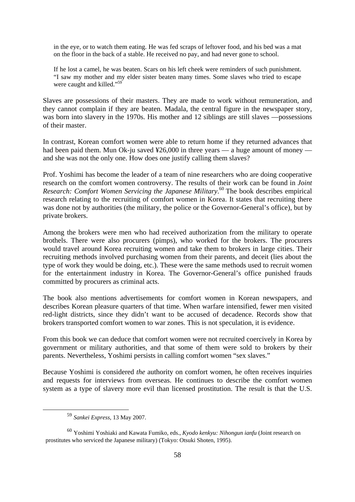in the eye, or to watch them eating. He was fed scraps of leftover food, and his bed was a mat on the floor in the back of a stable. He received no pay, and had never gone to school.

If he lost a camel, he was beaten. Scars on his left cheek were reminders of such punishment. "I saw my mother and my elder sister beaten many times. Some slaves who tried to escape were caught and killed."<sup>59</sup>

Slaves are possessions of their masters. They are made to work without remuneration, and they cannot complain if they are beaten. Madala, the central figure in the newspaper story, was born into slavery in the 1970s. His mother and 12 siblings are still slaves —possessions of their master.

In contrast, Korean comfort women were able to return home if they returned advances that had been paid them. Mun Ok-ju saved ¥26,000 in three years — a huge amount of money and she was not the only one. How does one justify calling them slaves?

Prof. Yoshimi has become the leader of a team of nine researchers who are doing cooperative research on the comfort women controversy. The results of their work can be found in *Joint Research: Comfort Women Servicing the Japanese Military*. 60 The book describes empirical research relating to the recruiting of comfort women in Korea. It states that recruiting there was done not by authorities (the military, the police or the Governor-General's office), but by private brokers.

Among the brokers were men who had received authorization from the military to operate brothels. There were also procurers (pimps), who worked for the brokers. The procurers would travel around Korea recruiting women and take them to brokers in large cities. Their recruiting methods involved purchasing women from their parents, and deceit (lies about the type of work they would be doing, etc.). These were the same methods used to recruit women for the entertainment industry in Korea. The Governor-General's office punished frauds committed by procurers as criminal acts.

The book also mentions advertisements for comfort women in Korean newspapers, and describes Korean pleasure quarters of that time. When warfare intensified, fewer men visited red-light districts, since they didn't want to be accused of decadence. Records show that brokers transported comfort women to war zones. This is not speculation, it is evidence.

From this book we can deduce that comfort women were not recruited coercively in Korea by government or military authorities, and that some of them were sold to brokers by their parents. Nevertheless, Yoshimi persists in calling comfort women "sex slaves."

Because Yoshimi is considered *the* authority on comfort women, he often receives inquiries and requests for interviews from overseas. He continues to describe the comfort women system as a type of slavery more evil than licensed prostitution. The result is that the U.S.

 <sup>59</sup> *Sankei Express*, 13 May 2007.

<sup>60</sup> Yoshimi Yoshiaki and Kawata Fumiko, eds., *Kyodo kenkyu: Nihongun ianfu* (Joint research on prostitutes who serviced the Japanese military) (Tokyo: Otsuki Shoten, 1995).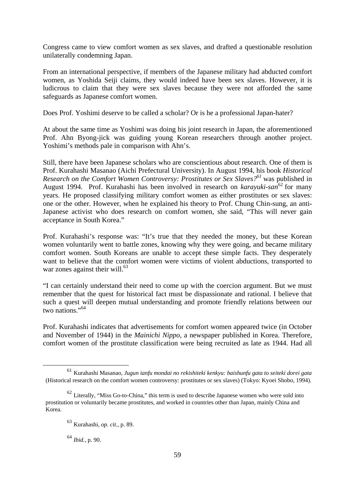Congress came to view comfort women as sex slaves, and drafted a questionable resolution unilaterally condemning Japan.

From an international perspective, if members of the Japanese military had abducted comfort women, as Yoshida Seiji claims, they would indeed have been sex slaves. However, it is ludicrous to claim that they were sex slaves because they were not afforded the same safeguards as Japanese comfort women.

Does Prof. Yoshimi deserve to be called a scholar? Or is he a professional Japan-hater?

At about the same time as Yoshimi was doing his joint research in Japan, the aforementioned Prof. Ahn Byong-jick was guiding young Korean researchers through another project. Yoshimi's methods pale in comparison with Ahn's.

Still, there have been Japanese scholars who are conscientious about research. One of them is Prof. Kurahashi Masanao (Aichi Prefectural University). In August 1994, his book *Historical Research on the Comfort Women Controversy: Prostitutes or Sex Slaves?61* was published in August 1994. Prof. Kurahashi has been involved in research on *karayuki-san*<sup>62</sup> for many years. He proposed classifying military comfort women as either prostitutes or sex slaves: one or the other. However, when he explained his theory to Prof. Chung Chin-sung, an anti-Japanese activist who does research on comfort women, she said, "This will never gain acceptance in South Korea."

Prof. Kurahashi's response was: "It's true that they needed the money, but these Korean women voluntarily went to battle zones, knowing why they were going, and became military comfort women. South Koreans are unable to accept these simple facts. They desperately want to believe that the comfort women were victims of violent abductions, transported to war zones against their will. $^{63}$ 

"I can certainly understand their need to come up with the coercion argument. But we must remember that the quest for historical fact must be dispassionate and rational. I believe that such a quest will deepen mutual understanding and promote friendly relations between our two nations."<sup>64</sup>

Prof. Kurahashi indicates that advertisements for comfort women appeared twice (in October and November of 1944) in the *Mainichi Nippo*, a newspaper published in Korea. Therefore, comfort women of the prostitute classification were being recruited as late as 1944. Had all

<sup>64</sup> *Ibid.*, p. 90.

 <sup>61</sup> Kurahashi Masanao, *Jugun ianfu mondai no rekishiteki kenkyu: baishunfu gata to seiteki dorei gata*  (Historical research on the comfort women controversy: prostitutes or sex slaves) (Tokyo: Kyoei Shobo, 1994).

 $62$  Literally, "Miss Go-to-China," this term is used to describe Japanese women who were sold into prostitution or voluntarily became prostitutes, and worked in countries other than Japan, mainly China and Korea.

<sup>63</sup> Kurahashi, *op. cit.*, p. 89.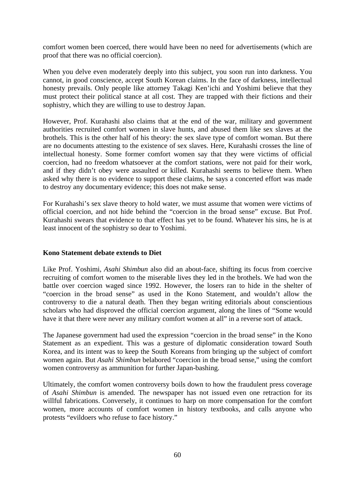comfort women been coerced, there would have been no need for advertisements (which are proof that there was no official coercion).

When you delve even moderately deeply into this subject, you soon run into darkness. You cannot, in good conscience, accept South Korean claims. In the face of darkness, intellectual honesty prevails. Only people like attorney Takagi Ken'ichi and Yoshimi believe that they must protect their political stance at all cost. They are trapped with their fictions and their sophistry, which they are willing to use to destroy Japan.

However, Prof. Kurahashi also claims that at the end of the war, military and government authorities recruited comfort women in slave hunts, and abused them like sex slaves at the brothels. This is the other half of his theory: the sex slave type of comfort woman. But there are no documents attesting to the existence of sex slaves. Here, Kurahashi crosses the line of intellectual honesty. Some former comfort women say that they were victims of official coercion, had no freedom whatsoever at the comfort stations, were not paid for their work, and if they didn't obey were assaulted or killed. Kurahashi seems to believe them. When asked why there is no evidence to support these claims, he says a concerted effort was made to destroy any documentary evidence; this does not make sense.

For Kurahashi's sex slave theory to hold water, we must assume that women were victims of official coercion, and not hide behind the "coercion in the broad sense" excuse. But Prof. Kurahashi swears that evidence to that effect has yet to be found. Whatever his sins, he is at least innocent of the sophistry so dear to Yoshimi.

# **Kono Statement debate extends to Diet**

Like Prof. Yoshimi, *Asahi Shimbun* also did an about-face, shifting its focus from coercive recruiting of comfort women to the miserable lives they led in the brothels. We had won the battle over coercion waged since 1992. However, the losers ran to hide in the shelter of "coercion in the broad sense" as used in the Kono Statement, and wouldn't allow the controversy to die a natural death. Then they began writing editorials about conscientious scholars who had disproved the official coercion argument, along the lines of "Some would have it that there were never any military comfort women at all" in a reverse sort of attack.

The Japanese government had used the expression "coercion in the broad sense" in the Kono Statement as an expedient. This was a gesture of diplomatic consideration toward South Korea, and its intent was to keep the South Koreans from bringing up the subject of comfort women again. But *Asahi Shimbun* belabored "coercion in the broad sense," using the comfort women controversy as ammunition for further Japan-bashing.

Ultimately, the comfort women controversy boils down to how the fraudulent press coverage of *Asahi Shimbun* is amended. The newspaper has not issued even one retraction for its willful fabrications. Conversely, it continues to harp on more compensation for the comfort women, more accounts of comfort women in history textbooks, and calls anyone who protests "evildoers who refuse to face history."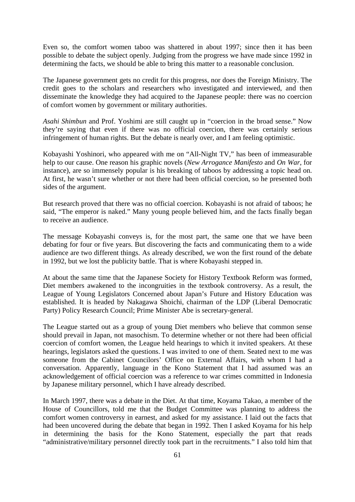Even so, the comfort women taboo was shattered in about 1997; since then it has been possible to debate the subject openly. Judging from the progress we have made since 1992 in determining the facts, we should be able to bring this matter to a reasonable conclusion.

The Japanese government gets no credit for this progress, nor does the Foreign Ministry. The credit goes to the scholars and researchers who investigated and interviewed, and then disseminate the knowledge they had acquired to the Japanese people: there was no coercion of comfort women by government or military authorities.

*Asahi Shimbun* and Prof. Yoshimi are still caught up in "coercion in the broad sense." Now they're saying that even if there was no official coercion, there was certainly serious infringement of human rights. But the debate is nearly over, and I am feeling optimistic.

Kobayashi Yoshinori, who appeared with me on "All-Night TV," has been of immeasurable help to our cause. One reason his graphic novels (*New Arrogance Manifesto* and *On War*, for instance), are so immensely popular is his breaking of taboos by addressing a topic head on. At first, he wasn't sure whether or not there had been official coercion, so he presented both sides of the argument.

But research proved that there was no official coercion. Kobayashi is not afraid of taboos; he said, "The emperor is naked." Many young people believed him, and the facts finally began to receive an audience.

The message Kobayashi conveys is, for the most part, the same one that we have been debating for four or five years. But discovering the facts and communicating them to a wide audience are two different things. As already described, we won the first round of the debate in 1992, but we lost the publicity battle. That is where Kobayashi stepped in.

At about the same time that the Japanese Society for History Textbook Reform was formed, Diet members awakened to the incongruities in the textbook controversy. As a result, the League of Young Legislators Concerned about Japan's Future and History Education was established. It is headed by Nakagawa Shoichi, chairman of the LDP (Liberal Democratic Party) Policy Research Council; Prime Minister Abe is secretary-general.

The League started out as a group of young Diet members who believe that common sense should prevail in Japan, not masochism. To determine whether or not there had been official coercion of comfort women, the League held hearings to which it invited speakers. At these hearings, legislators asked the questions. I was invited to one of them. Seated next to me was someone from the Cabinet Councilors' Office on External Affairs, with whom I had a conversation. Apparently, language in the Kono Statement that I had assumed was an acknowledgement of official coercion was a reference to war crimes committed in Indonesia by Japanese military personnel, which I have already described.

In March 1997, there was a debate in the Diet. At that time, Koyama Takao, a member of the House of Councillors, told me that the Budget Committee was planning to address the comfort women controversy in earnest, and asked for my assistance. I laid out the facts that had been uncovered during the debate that began in 1992. Then I asked Koyama for his help in determining the basis for the Kono Statement, especially the part that reads "administrative/military personnel directly took part in the recruitments." I also told him that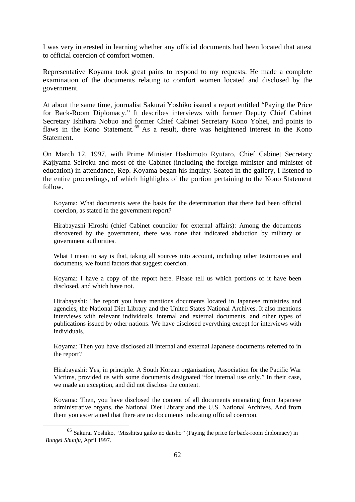I was very interested in learning whether any official documents had been located that attest to official coercion of comfort women.

Representative Koyama took great pains to respond to my requests. He made a complete examination of the documents relating to comfort women located and disclosed by the government.

At about the same time, journalist Sakurai Yoshiko issued a report entitled "Paying the Price for Back-Room Diplomacy." It describes interviews with former Deputy Chief Cabinet Secretary Ishihara Nobuo and former Chief Cabinet Secretary Kono Yohei, and points to flaws in the Kono Statement. 65 As a result, there was heightened interest in the Kono Statement.

On March 12, 1997, with Prime Minister Hashimoto Ryutaro, Chief Cabinet Secretary Kajiyama Seiroku and most of the Cabinet (including the foreign minister and minister of education) in attendance, Rep. Koyama began his inquiry. Seated in the gallery, I listened to the entire proceedings, of which highlights of the portion pertaining to the Kono Statement follow.

Koyama: What documents were the basis for the determination that there had been official coercion, as stated in the government report?

Hirabayashi Hiroshi (chief Cabinet councilor for external affairs): Among the documents discovered by the government, there was none that indicated abduction by military or government authorities.

What I mean to say is that, taking all sources into account, including other testimonies and documents, we found factors that suggest coercion.

Koyama: I have a copy of the report here. Please tell us which portions of it have been disclosed, and which have not.

Hirabayashi: The report you have mentions documents located in Japanese ministries and agencies, the National Diet Library and the United States National Archives. It also mentions interviews with relevant individuals, internal and external documents, and other types of publications issued by other nations. We have disclosed everything except for interviews with individuals.

Koyama: Then you have disclosed all internal and external Japanese documents referred to in the report?

Hirabayashi: Yes, in principle. A South Korean organization, Association for the Pacific War Victims, provided us with some documents designated "for internal use only." In their case, we made an exception, and did not disclose the content.

Koyama: Then, you have disclosed the content of all documents emanating from Japanese administrative organs, the National Diet Library and the U.S. National Archives. And from them you ascertained that there are no documents indicating official coercion.

 <sup>65</sup> Sakurai Yoshiko, "Misshitsu gaiko no daisho*"* (Paying the price for back-room diplomacy) in *Bungei Shunju*, April 1997.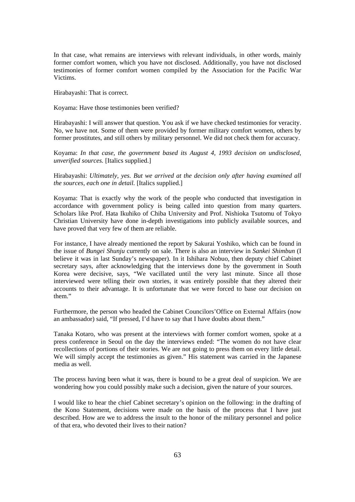In that case, what remains are interviews with relevant individuals, in other words, mainly former comfort women, which you have not disclosed. Additionally, you have not disclosed testimonies of former comfort women compiled by the Association for the Pacific War Victims.

Hirabayashi: That is correct.

Koyama: Have those testimonies been verified?

Hirabayashi: I will answer that question. You ask if we have checked testimonies for veracity. No, we have not. Some of them were provided by former military comfort women, others by former prostitutes, and still others by military personnel. We did not check them for accuracy.

Koyama: *In that case, the government based its August 4, 1993 decision on undisclosed, unverified sources.* [Italics supplied.]

Hirabayashi: *Ultimately, yes. But we arrived at the decision only after having examined all the sources, each one in detail.* [Italics supplied.]

Koyama: That is exactly why the work of the people who conducted that investigation in accordance with government policy is being called into question from many quarters. Scholars like Prof. Hata Ikuhiko of Chiba University and Prof. Nishioka Tsutomu of Tokyo Christian University have done in-depth investigations into publicly available sources, and have proved that very few of them are reliable.

For instance, I have already mentioned the report by Sakurai Yoshiko, which can be found in the issue of *Bungei Shunju* currently on sale. There is also an interview in *Sankei Shimbun* (I believe it was in last Sunday's newspaper). In it Ishihara Nobuo, then deputy chief Cabinet secretary says, after acknowledging that the interviews done by the government in South Korea were decisive, says, "We vacillated until the very last minute. Since all those interviewed were telling their own stories, it was entirely possible that they altered their accounts to their advantage. It is unfortunate that we were forced to base our decision on them."

Furthermore, the person who headed the Cabinet Councilors'Office on External Affairs (now an ambassador) said, "If pressed, I'd have to say that I have doubts about them."

Tanaka Kotaro, who was present at the interviews with former comfort women, spoke at a press conference in Seoul on the day the interviews ended: "The women do not have clear recollections of portions of their stories. We are not going to press them on every little detail. We will simply accept the testimonies as given." His statement was carried in the Japanese media as well.

The process having been what it was, there is bound to be a great deal of suspicion. We are wondering how you could possibly make such a decision, given the nature of your sources.

I would like to hear the chief Cabinet secretary's opinion on the following: in the drafting of the Kono Statement, decisions were made on the basis of the process that I have just described. How are we to address the insult to the honor of the military personnel and police of that era, who devoted their lives to their nation?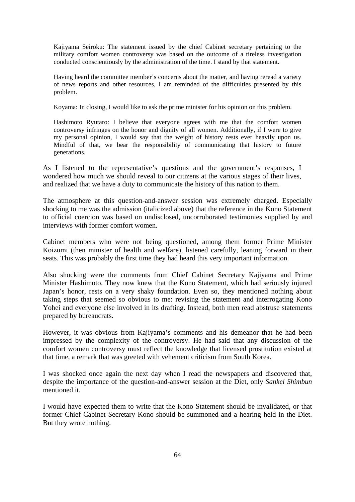Kajiyama Seiroku: The statement issued by the chief Cabinet secretary pertaining to the military comfort women controversy was based on the outcome of a tireless investigation conducted conscientiously by the administration of the time. I stand by that statement.

Having heard the committee member's concerns about the matter, and having reread a variety of news reports and other resources, I am reminded of the difficulties presented by this problem.

Koyama: In closing, I would like to ask the prime minister for his opinion on this problem.

Hashimoto Ryutaro: I believe that everyone agrees with me that the comfort women controversy infringes on the honor and dignity of all women. Additionally, if I were to give my personal opinion, I would say that the weight of history rests ever heavily upon us. Mindful of that, we bear the responsibility of communicating that history to future generations.

As I listened to the representative's questions and the government's responses, I wondered how much we should reveal to our citizens at the various stages of their lives, and realized that we have a duty to communicate the history of this nation to them.

The atmosphere at this question-and-answer session was extremely charged. Especially shocking to me was the admission (italicized above) that the reference in the Kono Statement to official coercion was based on undisclosed, uncorroborated testimonies supplied by and interviews with former comfort women.

Cabinet members who were not being questioned, among them former Prime Minister Koizumi (then minister of health and welfare), listened carefully, leaning forward in their seats. This was probably the first time they had heard this very important information.

Also shocking were the comments from Chief Cabinet Secretary Kajiyama and Prime Minister Hashimoto. They now knew that the Kono Statement, which had seriously injured Japan's honor, rests on a very shaky foundation. Even so, they mentioned nothing about taking steps that seemed so obvious to me: revising the statement and interrogating Kono Yohei and everyone else involved in its drafting. Instead, both men read abstruse statements prepared by bureaucrats.

However, it was obvious from Kajiyama's comments and his demeanor that he had been impressed by the complexity of the controversy. He had said that any discussion of the comfort women controversy must reflect the knowledge that licensed prostitution existed at that time, a remark that was greeted with vehement criticism from South Korea.

I was shocked once again the next day when I read the newspapers and discovered that, despite the importance of the question-and-answer session at the Diet, only *Sankei Shimbun* mentioned it.

I would have expected them to write that the Kono Statement should be invalidated, or that former Chief Cabinet Secretary Kono should be summoned and a hearing held in the Diet. But they wrote nothing.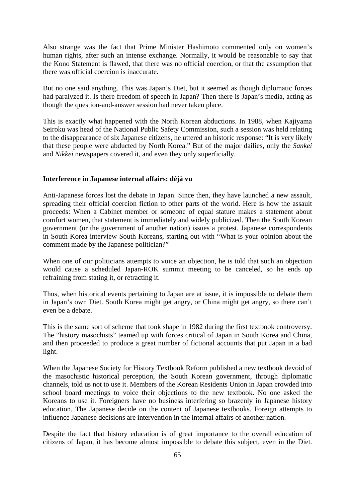Also strange was the fact that Prime Minister Hashimoto commented only on women's human rights, after such an intense exchange. Normally, it would be reasonable to say that the Kono Statement is flawed, that there was no official coercion, or that the assumption that there was official coercion is inaccurate.

But no one said anything. This was Japan's Diet, but it seemed as though diplomatic forces had paralyzed it. Is there freedom of speech in Japan? Then there is Japan's media, acting as though the question-and-answer session had never taken place.

This is exactly what happened with the North Korean abductions. In 1988, when Kajiyama Seiroku was head of the National Public Safety Commission, such a session was held relating to the disappearance of six Japanese citizens, he uttered an historic response: "It is very likely that these people were abducted by North Korea." But of the major dailies, only the *Sankei*  and *Nikkei* newspapers covered it, and even they only superficially.

### **Interference in Japanese internal affairs: déjà vu**

Anti-Japanese forces lost the debate in Japan. Since then, they have launched a new assault, spreading their official coercion fiction to other parts of the world. Here is how the assault proceeds: When a Cabinet member or someone of equal stature makes a statement about comfort women, that statement is immediately and widely publicized. Then the South Korean government (or the government of another nation) issues a protest. Japanese correspondents in South Korea interview South Koreans, starting out with "What is your opinion about the comment made by the Japanese politician?"

When one of our politicians attempts to voice an objection, he is told that such an objection would cause a scheduled Japan-ROK summit meeting to be canceled, so he ends up refraining from stating it, or retracting it.

Thus, when historical events pertaining to Japan are at issue, it is impossible to debate them in Japan's own Diet. South Korea might get angry, or China might get angry, so there can't even be a debate.

This is the same sort of scheme that took shape in 1982 during the first textbook controversy. The "history masochists" teamed up with forces critical of Japan in South Korea and China, and then proceeded to produce a great number of fictional accounts that put Japan in a bad light.

When the Japanese Society for History Textbook Reform published a new textbook devoid of the masochistic historical perception, the South Korean government, through diplomatic channels, told us not to use it. Members of the Korean Residents Union in Japan crowded into school board meetings to voice their objections to the new textbook. No one asked the Koreans to use it. Foreigners have no business interfering so brazenly in Japanese history education. The Japanese decide on the content of Japanese textbooks. Foreign attempts to influence Japanese decisions are intervention in the internal affairs of another nation.

Despite the fact that history education is of great importance to the overall education of citizens of Japan, it has become almost impossible to debate this subject, even in the Diet.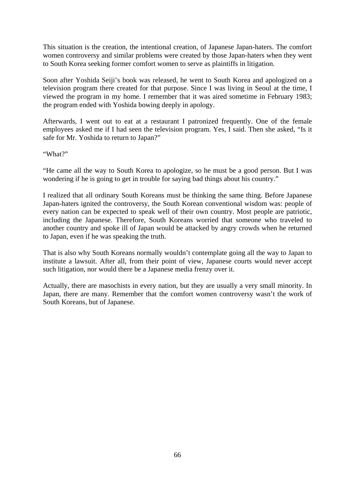This situation is the creation, the intentional creation, of Japanese Japan-haters. The comfort women controversy and similar problems were created by those Japan-haters when they went to South Korea seeking former comfort women to serve as plaintiffs in litigation.

Soon after Yoshida Seiji's book was released, he went to South Korea and apologized on a television program there created for that purpose. Since I was living in Seoul at the time, I viewed the program in my home. I remember that it was aired sometime in February 1983; the program ended with Yoshida bowing deeply in apology.

Afterwards, I went out to eat at a restaurant I patronized frequently. One of the female employees asked me if I had seen the television program. Yes, I said. Then she asked, "Is it safe for Mr. Yoshida to return to Japan?"

"What?"

"He came all the way to South Korea to apologize, so he must be a good person. But I was wondering if he is going to get in trouble for saying bad things about his country."

I realized that all ordinary South Koreans must be thinking the same thing. Before Japanese Japan-haters ignited the controversy, the South Korean conventional wisdom was: people of every nation can be expected to speak well of their own country. Most people are patriotic, including the Japanese. Therefore, South Koreans worried that someone who traveled to another country and spoke ill of Japan would be attacked by angry crowds when he returned to Japan, even if he was speaking the truth.

That is also why South Koreans normally wouldn't contemplate going all the way to Japan to institute a lawsuit. After all, from their point of view, Japanese courts would never accept such litigation, nor would there be a Japanese media frenzy over it.

Actually, there are masochists in every nation, but they are usually a very small minority. In Japan, there are many. Remember that the comfort women controversy wasn't the work of South Koreans, but of Japanese.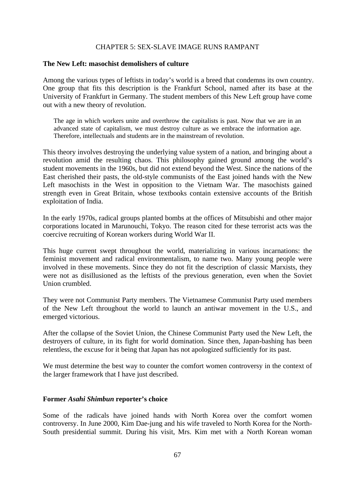## CHAPTER 5: SEX-SLAVE IMAGE RUNS RAMPANT

#### **The New Left: masochist demolishers of culture**

Among the various types of leftists in today's world is a breed that condemns its own country. One group that fits this description is the Frankfurt School, named after its base at the University of Frankfurt in Germany. The student members of this New Left group have come out with a new theory of revolution.

The age in which workers unite and overthrow the capitalists is past. Now that we are in an advanced state of capitalism, we must destroy culture as we embrace the information age. Therefore, intellectuals and students are in the mainstream of revolution.

This theory involves destroying the underlying value system of a nation, and bringing about a revolution amid the resulting chaos. This philosophy gained ground among the world's student movements in the 1960s, but did not extend beyond the West. Since the nations of the East cherished their pasts, the old-style communists of the East joined hands with the New Left masochists in the West in opposition to the Vietnam War. The masochists gained strength even in Great Britain, whose textbooks contain extensive accounts of the British exploitation of India.

In the early 1970s, radical groups planted bombs at the offices of Mitsubishi and other major corporations located in Marunouchi, Tokyo. The reason cited for these terrorist acts was the coercive recruiting of Korean workers during World War II.

This huge current swept throughout the world, materializing in various incarnations: the feminist movement and radical environmentalism, to name two. Many young people were involved in these movements. Since they do not fit the description of classic Marxists, they were not as disillusioned as the leftists of the previous generation, even when the Soviet Union crumbled.

They were not Communist Party members. The Vietnamese Communist Party used members of the New Left throughout the world to launch an antiwar movement in the U.S., and emerged victorious.

After the collapse of the Soviet Union, the Chinese Communist Party used the New Left, the destroyers of culture, in its fight for world domination. Since then, Japan-bashing has been relentless, the excuse for it being that Japan has not apologized sufficiently for its past.

We must determine the best way to counter the comfort women controversy in the context of the larger framework that I have just described.

#### **Former** *Asahi Shimbun* **reporter's choice**

Some of the radicals have joined hands with North Korea over the comfort women controversy. In June 2000, Kim Dae-jung and his wife traveled to North Korea for the North-South presidential summit. During his visit, Mrs. Kim met with a North Korean woman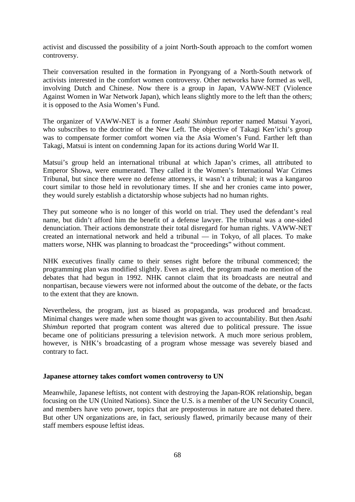activist and discussed the possibility of a joint North-South approach to the comfort women controversy.

Their conversation resulted in the formation in Pyongyang of a North-South network of activists interested in the comfort women controversy. Other networks have formed as well, involving Dutch and Chinese. Now there is a group in Japan, VAWW-NET (Violence Against Women in War Network Japan), which leans slightly more to the left than the others; it is opposed to the Asia Women's Fund.

The organizer of VAWW-NET is a former *Asahi Shimbun* reporter named Matsui Yayori, who subscribes to the doctrine of the New Left. The objective of Takagi Ken'ichi's group was to compensate former comfort women via the Asia Women's Fund. Farther left than Takagi, Matsui is intent on condemning Japan for its actions during World War II.

Matsui's group held an international tribunal at which Japan's crimes, all attributed to Emperor Showa, were enumerated. They called it the Women's International War Crimes Tribunal, but since there were no defense attorneys, it wasn't a tribunal; it was a kangaroo court similar to those held in revolutionary times. If she and her cronies came into power, they would surely establish a dictatorship whose subjects had no human rights.

They put someone who is no longer of this world on trial. They used the defendant's real name, but didn't afford him the benefit of a defense lawyer. The tribunal was a one-sided denunciation. Their actions demonstrate their total disregard for human rights. VAWW-NET created an international network and held a tribunal — in Tokyo, of all places. To make matters worse, NHK was planning to broadcast the "proceedings" without comment.

NHK executives finally came to their senses right before the tribunal commenced; the programming plan was modified slightly. Even as aired, the program made no mention of the debates that had begun in 1992. NHK cannot claim that its broadcasts are neutral and nonpartisan, because viewers were not informed about the outcome of the debate, or the facts to the extent that they are known.

Nevertheless, the program, just as biased as propaganda, was produced and broadcast. Minimal changes were made when some thought was given to accountability. But then *Asahi Shimbun* reported that program content was altered due to political pressure. The issue became one of politicians pressuring a television network. A much more serious problem, however, is NHK's broadcasting of a program whose message was severely biased and contrary to fact.

#### **Japanese attorney takes comfort women controversy to UN**

Meanwhile, Japanese leftists, not content with destroying the Japan-ROK relationship, began focusing on the UN (United Nations). Since the U.S. is a member of the UN Security Council, and members have veto power, topics that are preposterous in nature are not debated there. But other UN organizations are, in fact, seriously flawed, primarily because many of their staff members espouse leftist ideas.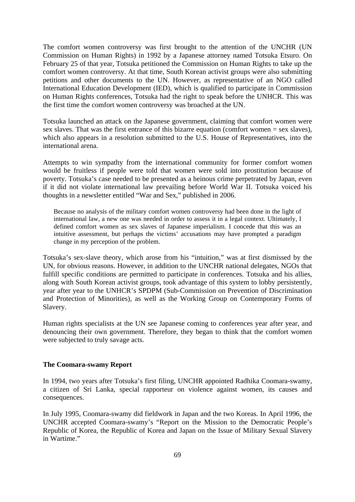The comfort women controversy was first brought to the attention of the UNCHR (UN Commission on Human Rights) in 1992 by a Japanese attorney named Totsuka Etsuro. On February 25 of that year, Totsuka petitioned the Commission on Human Rights to take up the comfort women controversy. At that time, South Korean activist groups were also submitting petitions and other documents to the UN. However, as representative of an NGO called International Education Development (IED), which is qualified to participate in Commission on Human Rights conferences, Totsuka had the right to speak before the UNHCR. This was the first time the comfort women controversy was broached at the UN.

Totsuka launched an attack on the Japanese government, claiming that comfort women were sex slaves. That was the first entrance of this bizarre equation (comfort women = sex slaves), which also appears in a resolution submitted to the U.S. House of Representatives, into the international arena.

Attempts to win sympathy from the international community for former comfort women would be fruitless if people were told that women were sold into prostitution because of poverty. Totsuka's case needed to be presented as a heinous crime perpetrated by Japan, even if it did not violate international law prevailing before World War II. Totsuka voiced his thoughts in a newsletter entitled "War and Sex," published in 2006.

Because no analysis of the military comfort women controversy had been done in the light of international law, a new one was needed in order to assess it in a legal context. Ultimately, I defined comfort women as sex slaves of Japanese imperialism. I concede that this was an intuitive assessment, but perhaps the victims' accusations may have prompted a paradigm change in my perception of the problem.

Totsuka's sex-slave theory, which arose from his "intuition," was at first dismissed by the UN, for obvious reasons. However, in addition to the UNCHR national delegates, NGOs that fulfill specific conditions are permitted to participate in conferences. Totsuka and his allies, along with South Korean activist groups, took advantage of this system to lobby persistently, year after year to the UNHCR's SPDPM (Sub-Commission on Prevention of Discrimination and Protection of Minorities), as well as the Working Group on Contemporary Forms of Slavery.

Human rights specialists at the UN see Japanese coming to conferences year after year, and denouncing their own government. Therefore, they began to think that the comfort women were subjected to truly savage acts.

### **The Coomara-swamy Report**

In 1994, two years after Totsuka's first filing, UNCHR appointed Radhika Coomara-swamy, a citizen of Sri Lanka, special rapporteur on violence against women, its causes and consequences.

In July 1995, Coomara-swamy did fieldwork in Japan and the two Koreas. In April 1996, the UNCHR accepted Coomara-swamy's "Report on the Mission to the Democratic People's Republic of Korea, the Republic of Korea and Japan on the Issue of Military Sexual Slavery in Wartime."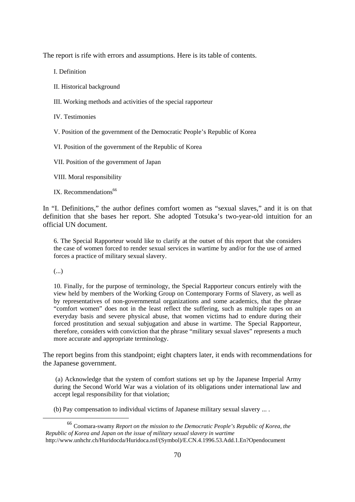The report is rife with errors and assumptions. Here is its table of contents.

I. Definition

II. Historical background

III. Working methods and activities of the special rapporteur

IV. Testimonies

V. Position of the government of the Democratic People's Republic of Korea

VI. Position of the government of the Republic of Korea

VII. Position of the government of Japan

VIII. Moral responsibility

IX. Recommendations $66$ 

In "I. Definitions," the author defines comfort women as "sexual slaves," and it is on that definition that she bases her report. She adopted Totsuka's two-year-old intuition for an official UN document.

6. The Special Rapporteur would like to clarify at the outset of this report that she considers the case of women forced to render sexual services in wartime by and/or for the use of armed forces a practice of military sexual slavery.

(...)

10. Finally, for the purpose of terminology, the Special Rapporteur concurs entirely with the view held by members of the Working Group on Contemporary Forms of Slavery, as well as by representatives of non-governmental organizations and some academics, that the phrase "comfort women" does not in the least reflect the suffering, such as multiple rapes on an everyday basis and severe physical abuse, that women victims had to endure during their forced prostitution and sexual subjugation and abuse in wartime. The Special Rapporteur, therefore, considers with conviction that the phrase "military sexual slaves" represents a much more accurate and appropriate terminology.

The report begins from this standpoint; eight chapters later, it ends with recommendations for the Japanese government.

(a) Acknowledge that the system of comfort stations set up by the Japanese Imperial Army during the Second World War was a violation of its obligations under international law and accept legal responsibility for that violation;

(b) Pay compensation to individual victims of Japanese military sexual slavery ... .

 <sup>66</sup> Coomara-swamy *Report on the mission to the Democratic People's Republic of Korea, the Republic of Korea and Japan on the issue of military sexual slavery in wartime* http://www.unhchr.ch/Huridocda/Huridoca.nsf/(Symbol)/E.CN.4.1996.53.Add.1.En?Opendocument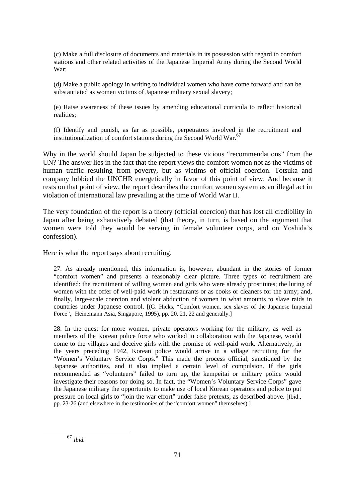(c) Make a full disclosure of documents and materials in its possession with regard to comfort stations and other related activities of the Japanese Imperial Army during the Second World War;

(d) Make a public apology in writing to individual women who have come forward and can be substantiated as women victims of Japanese military sexual slavery;

(e) Raise awareness of these issues by amending educational curricula to reflect historical realities;

(f) Identify and punish, as far as possible, perpetrators involved in the recruitment and institutionalization of comfort stations during the Second World War.<sup>67</sup>

Why in the world should Japan be subjected to these vicious "recommendations" from the UN? The answer lies in the fact that the report views the comfort women not as the victims of human traffic resulting from poverty, but as victims of official coercion. Totsuka and company lobbied the UNCHR energetically in favor of this point of view. And because it rests on that point of view, the report describes the comfort women system as an illegal act in violation of international law prevailing at the time of World War II.

The very foundation of the report is a theory (official coercion) that has lost all credibility in Japan after being exhaustively debated (that theory, in turn, is based on the argument that women were told they would be serving in female volunteer corps, and on Yoshida's confession).

Here is what the report says about recruiting.

27. As already mentioned, this information is, however, abundant in the stories of former "comfort women" and presents a reasonably clear picture. Three types of recruitment are identified: the recruitment of willing women and girls who were already prostitutes; the luring of women with the offer of well-paid work in restaurants or as cooks or cleaners for the army; and, finally, large-scale coercion and violent abduction of women in what amounts to slave raids in countries under Japanese control. [(G. Hicks, "Comfort women, sex slaves of the Japanese Imperial Force", Heinemann Asia, Singapore, 1995), pp. 20, 21, 22 and generally.]

28. In the quest for more women, private operators working for the military, as well as members of the Korean police force who worked in collaboration with the Japanese, would come to the villages and deceive girls with the promise of well-paid work. Alternatively, in the years preceding 1942, Korean police would arrive in a village recruiting for the "Women's Voluntary Service Corps." This made the process official, sanctioned by the Japanese authorities, and it also implied a certain level of compulsion. If the girls recommended as "volunteers" failed to turn up, the kempeitai or military police would investigate their reasons for doing so. In fact, the "Women's Voluntary Service Corps" gave the Japanese military the opportunity to make use of local Korean operators and police to put pressure on local girls to "join the war effort" under false pretexts, as described above. [Ibid., pp. 23-26 (and elsewhere in the testimonies of the "comfort women" themselves).]

67 *Ibid.*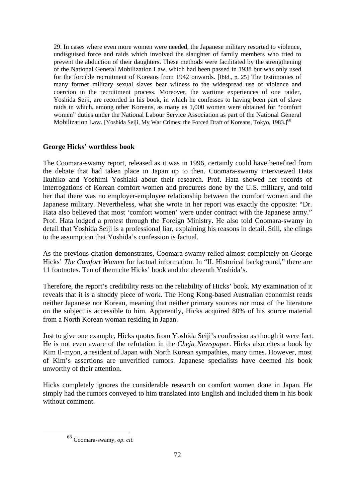29. In cases where even more women were needed, the Japanese military resorted to violence, undisguised force and raids which involved the slaughter of family members who tried to prevent the abduction of their daughters. These methods were facilitated by the strengthening of the National General Mobilization Law, which had been passed in 1938 but was only used for the forcible recruitment of Koreans from 1942 onwards. [Ibid., p. 25] The testimonies of many former military sexual slaves bear witness to the widespread use of violence and coercion in the recruitment process. Moreover, the wartime experiences of one raider, Yoshida Seiji, are recorded in his book, in which he confesses to having been part of slave raids in which, among other Koreans, as many as 1,000 women were obtained for "comfort women" duties under the National Labour Service Association as part of the National General Mobilization Law. [Yoshida Seiji, My War Crimes: the Forced Draft of Koreans, Tokyo, 1983.]<sup>68</sup>

## **George Hicks' worthless book**

The Coomara-swamy report, released as it was in 1996, certainly could have benefited from the debate that had taken place in Japan up to then. Coomara-swamy interviewed Hata Ikuhiko and Yoshimi Yoshiaki about their research. Prof. Hata showed her records of interrogations of Korean comfort women and procurers done by the U.S. military, and told her that there was no employer-employee relationship between the comfort women and the Japanese military. Nevertheless, what she wrote in her report was exactly the opposite: "Dr. Hata also believed that most 'comfort women' were under contract with the Japanese army." Prof. Hata lodged a protest through the Foreign Ministry. He also told Coomara-swamy in detail that Yoshida Seiji is a professional liar, explaining his reasons in detail. Still, she clings to the assumption that Yoshida's confession is factual.

As the previous citation demonstrates, Coomara-swamy relied almost completely on George Hicks' *The Comfort Women* for factual information. In "II. Historical background," there are 11 footnotes. Ten of them cite Hicks' book and the eleventh Yoshida's.

Therefore, the report's credibility rests on the reliability of Hicks' book. My examination of it reveals that it is a shoddy piece of work. The Hong Kong-based Australian economist reads neither Japanese nor Korean, meaning that neither primary sources nor most of the literature on the subject is accessible to him. Apparently, Hicks acquired 80% of his source material from a North Korean woman residing in Japan.

Just to give one example, Hicks quotes from Yoshida Seiji's confession as though it were fact. He is not even aware of the refutation in the *Cheju Newspaper*. Hicks also cites a book by Kim Il-myon, a resident of Japan with North Korean sympathies, many times. However, most of Kim's assertions are unverified rumors. Japanese specialists have deemed his book unworthy of their attention.

Hicks completely ignores the considerable research on comfort women done in Japan. He simply had the rumors conveyed to him translated into English and included them in his book without comment.

 <sup>68</sup> Coomara-swamy, *op. cit.*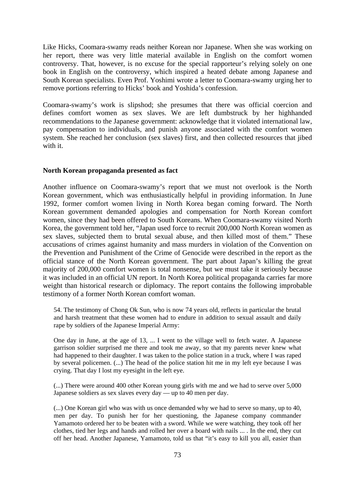Like Hicks, Coomara-swamy reads neither Korean nor Japanese. When she was working on her report, there was very little material available in English on the comfort women controversy. That, however, is no excuse for the special rapporteur's relying solely on one book in English on the controversy, which inspired a heated debate among Japanese and South Korean specialists. Even Prof. Yoshimi wrote a letter to Coomara-swamy urging her to remove portions referring to Hicks' book and Yoshida's confession.

Coomara-swamy's work is slipshod; she presumes that there was official coercion and defines comfort women as sex slaves. We are left dumbstruck by her highhanded recommendations to the Japanese government: acknowledge that it violated international law, pay compensation to individuals, and punish anyone associated with the comfort women system. She reached her conclusion (sex slaves) first, and then collected resources that jibed with it.

### **North Korean propaganda presented as fact**

Another influence on Coomara-swamy's report that we must not overlook is the North Korean government, which was enthusiastically helpful in providing information. In June 1992, former comfort women living in North Korea began coming forward. The North Korean government demanded apologies and compensation for North Korean comfort women, since they had been offered to South Koreans. When Coomara-swamy visited North Korea, the government told her, "Japan used force to recruit 200,000 North Korean women as sex slaves, subjected them to brutal sexual abuse, and then killed most of them." These accusations of crimes against humanity and mass murders in violation of the Convention on the Prevention and Punishment of the Crime of Genocide were described in the report as the official stance of the North Korean government. The part about Japan's killing the great majority of 200,000 comfort women is total nonsense, but we must take it seriously because it was included in an official UN report. In North Korea political propaganda carries far more weight than historical research or diplomacy. The report contains the following improbable testimony of a former North Korean comfort woman.

54. The testimony of Chong Ok Sun, who is now 74 years old, reflects in particular the brutal and harsh treatment that these women had to endure in addition to sexual assault and daily rape by soldiers of the Japanese Imperial Army:

One day in June, at the age of 13, ... I went to the village well to fetch water. A Japanese garrison soldier surprised me there and took me away, so that my parents never knew what had happened to their daughter. I was taken to the police station in a truck, where I was raped by several policemen. (...) The head of the police station hit me in my left eye because I was crying. That day I lost my eyesight in the left eye.

(...) There were around 400 other Korean young girls with me and we had to serve over 5,000 Japanese soldiers as sex slaves every day — up to 40 men per day.

(...) One Korean girl who was with us once demanded why we had to serve so many, up to 40, men per day. To punish her for her questioning, the Japanese company commander Yamamoto ordered her to be beaten with a sword. While we were watching, they took off her clothes, tied her legs and hands and rolled her over a board with nails ... . In the end, they cut off her head. Another Japanese, Yamamoto, told us that "it's easy to kill you all, easier than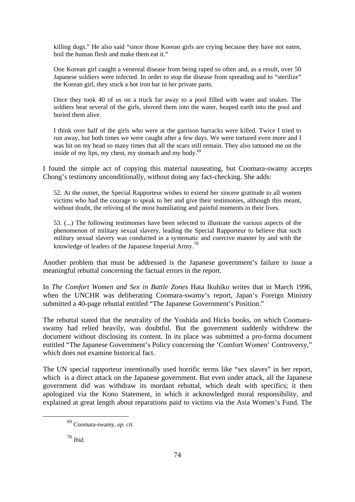killing dogs." He also said "since those Korean girls are crying because they have not eaten, boil the human flesh and make them eat it."

One Korean girl caught a venereal disease from being raped so often and, as a result, over 50 Japanese soldiers were infected. In order to stop the disease from spreading and to "sterilize" the Korean girl, they stuck a hot iron bar in her private parts.

Once they took 40 of us on a truck far away to a pool filled with water and snakes. The soldiers beat several of the girls, shoved them into the water, heaped earth into the pool and buried them alive.

I think over half of the girls who were at the garrison barracks were killed. Twice I tried to run away, but both times we were caught after a few days. We were tortured even more and I was hit on my head so many times that all the scars still remain. They also tattooed me on the inside of my lips, my chest, my stomach and my body. $69$ 

I found the simple act of copying this material nauseating, but Coomara-swamy accepts Chong's testimony unconditionally, without doing any fact-checking. She adds:

52. At the outset, the Special Rapporteur wishes to extend her sincere gratitude to all women victims who had the courage to speak to her and give their testimonies, although this meant, without doubt, the reliving of the most humiliating and painful moments in their lives.

53. (...) The following testimonies have been selected to illustrate the various aspects of the phenomenon of military sexual slavery, leading the Special Rapporteur to believe that such military sexual slavery was conducted in a systematic and coercive manner by and with the knowledge of leaders of the Japanese Imperial Army.70

Another problem that must be addressed is the Japanese government's failure to issue a meaningful rebuttal concerning the factual errors in the report.

In *The Comfort Women and Sex in Battle Zones* Hata Ikuhiko writes that in March 1996, when the UNCHR was deliberating Coomara-swamy's report, Japan's Foreign Ministry submitted a 40-page rebuttal entitled "The Japanese Government's Position."

The rebuttal stated that the neutrality of the Yoshida and Hicks books, on which Coomaraswamy had relied heavily, was doubtful. But the government suddenly withdrew the document without disclosing its content. In its place was submitted a pro-forma document entitled "The Japanese Government's Policy concerning the 'Comfort Women' Controversy," which does not examine historical fact.

The UN special rapporteur intentionally used horrific terms like "sex slaves" in her report, which is a direct attack on the Japanese government. But even under attack, all the Japanese government did was withdraw its mordant rebuttal, which dealt with specifics; it then apologized via the Kono Statement, in which it acknowledged moral responsibility, and explained at great length about reparations paid to victims via the Asia Women's Fund. The

<sup>70</sup> *Ibid.*

 <sup>69</sup> Coomara-swamy, *op. cit.*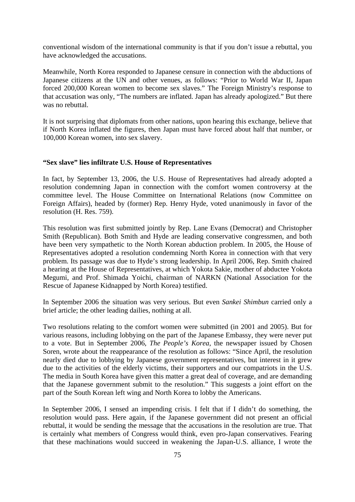conventional wisdom of the international community is that if you don't issue a rebuttal, you have acknowledged the accusations.

Meanwhile, North Korea responded to Japanese censure in connection with the abductions of Japanese citizens at the UN and other venues, as follows: "Prior to World War II, Japan forced 200,000 Korean women to become sex slaves." The Foreign Ministry's response to that accusation was only, "The numbers are inflated. Japan has already apologized." But there was no rebuttal.

It is not surprising that diplomats from other nations, upon hearing this exchange, believe that if North Korea inflated the figures, then Japan must have forced about half that number, or 100,000 Korean women, into sex slavery.

#### **"Sex slave" lies infiltrate U.S. House of Representatives**

In fact, by September 13, 2006, the U.S. House of Representatives had already adopted a resolution condemning Japan in connection with the comfort women controversy at the committee level. The House Committee on International Relations (now Committee on Foreign Affairs), headed by (former) Rep. Henry Hyde, voted unanimously in favor of the resolution (H. Res. 759).

This resolution was first submitted jointly by Rep. Lane Evans (Democrat) and Christopher Smith (Republican). Both Smith and Hyde are leading conservative congressmen, and both have been very sympathetic to the North Korean abduction problem. In 2005, the House of Representatives adopted a resolution condemning North Korea in connection with that very problem. Its passage was due to Hyde's strong leadership. In April 2006, Rep. Smith chaired a hearing at the House of Representatives, at which Yokota Sakie, mother of abductee Yokota Megumi, and Prof. Shimada Yoichi, chairman of NARKN (National Association for the Rescue of Japanese Kidnapped by North Korea) testified.

In September 2006 the situation was very serious. But even *Sankei Shimbun* carried only a brief article; the other leading dailies, nothing at all.

Two resolutions relating to the comfort women were submitted (in 2001 and 2005). But for various reasons, including lobbying on the part of the Japanese Embassy, they were never put to a vote. But in September 2006, *The People's Korea*, the newspaper issued by Chosen Soren, wrote about the reappearance of the resolution as follows: "Since April, the resolution nearly died due to lobbying by Japanese government representatives, but interest in it grew due to the activities of the elderly victims, their supporters and our compatriots in the U.S. The media in South Korea have given this matter a great deal of coverage, and are demanding that the Japanese government submit to the resolution." This suggests a joint effort on the part of the South Korean left wing and North Korea to lobby the Americans.

In September 2006, I sensed an impending crisis. I felt that if I didn't do something, the resolution would pass. Here again, if the Japanese government did not present an official rebuttal, it would be sending the message that the accusations in the resolution are true. That is certainly what members of Congress would think, even pro-Japan conservatives. Fearing that these machinations would succeed in weakening the Japan-U.S. alliance, I wrote the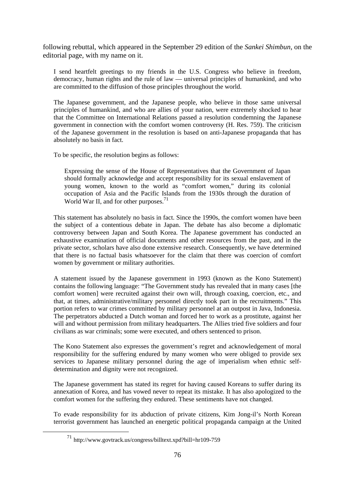following rebuttal, which appeared in the September 29 edition of the *Sankei Shimbun*, on the editorial page, with my name on it.

I send heartfelt greetings to my friends in the U.S. Congress who believe in freedom, democracy, human rights and the rule of law — universal principles of humankind, and who are committed to the diffusion of those principles throughout the world.

The Japanese government, and the Japanese people, who believe in those same universal principles of humankind, and who are allies of your nation, were extremely shocked to hear that the Committee on International Relations passed a resolution condemning the Japanese government in connection with the comfort women controversy (H. Res. 759). The criticism of the Japanese government in the resolution is based on anti-Japanese propaganda that has absolutely no basis in fact.

To be specific, the resolution begins as follows:

Expressing the sense of the House of Representatives that the Government of Japan should formally acknowledge and accept responsibility for its sexual enslavement of young women, known to the world as "comfort women," during its colonial occupation of Asia and the Pacific Islands from the 1930s through the duration of World War II, and for other purposes.<sup>71</sup>

This statement has absolutely no basis in fact. Since the 1990s, the comfort women have been the subject of a contentious debate in Japan. The debate has also become a diplomatic controversy between Japan and South Korea. The Japanese government has conducted an exhaustive examination of official documents and other resources from the past, and in the private sector, scholars have also done extensive research. Consequently, we have determined that there is no factual basis whatsoever for the claim that there was coercion of comfort women by government or military authorities.

A statement issued by the Japanese government in 1993 (known as the Kono Statement) contains the following language: "The Government study has revealed that in many cases [the comfort women] were recruited against their own will, through coaxing, coercion, etc., and that, at times, administrative/military personnel directly took part in the recruitments." This portion refers to war crimes committed by military personnel at an outpost in Java, Indonesia. The perpetrators abducted a Dutch woman and forced her to work as a prostitute, against her will and without permission from military headquarters. The Allies tried five soldiers and four civilians as war criminals; some were executed, and others sentenced to prison.

The Kono Statement also expresses the government's regret and acknowledgement of moral responsibility for the suffering endured by many women who were obliged to provide sex services to Japanese military personnel during the age of imperialism when ethnic selfdetermination and dignity were not recognized.

The Japanese government has stated its regret for having caused Koreans to suffer during its annexation of Korea, and has vowed never to repeat its mistake. It has also apologized to the comfort women for the suffering they endured. These sentiments have not changed.

To evade responsibility for its abduction of private citizens, Kim Jong-il's North Korean terrorist government has launched an energetic political propaganda campaign at the United

 <sup>71</sup> http://www.govtrack.us/congress/billtext.xpd?bill=hr109-759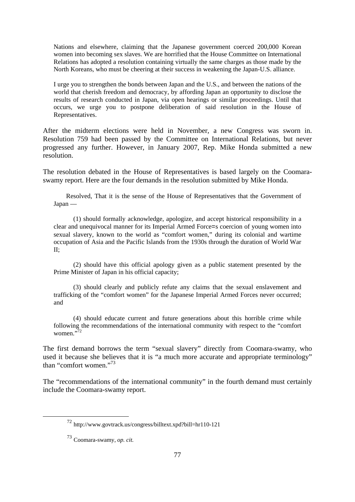Nations and elsewhere, claiming that the Japanese government coerced 200,000 Korean women into becoming sex slaves. We are horrified that the House Committee on International Relations has adopted a resolution containing virtually the same charges as those made by the North Koreans, who must be cheering at their success in weakening the Japan-U.S. alliance.

I urge you to strengthen the bonds between Japan and the U.S., and between the nations of the world that cherish freedom and democracy, by affording Japan an opportunity to disclose the results of research conducted in Japan, via open hearings or similar proceedings. Until that occurs, we urge you to postpone deliberation of said resolution in the House of Representatives.

After the midterm elections were held in November, a new Congress was sworn in. Resolution 759 had been passed by the Committee on International Relations, but never progressed any further. However, in January 2007, Rep. Mike Honda submitted a new resolution.

The resolution debated in the House of Representatives is based largely on the Coomaraswamy report. Here are the four demands in the resolution submitted by Mike Honda.

 Resolved, That it is the sense of the House of Representatives that the Government of Japan —

 (1) should formally acknowledge, apologize, and accept historical responsibility in a clear and unequivocal manner for its Imperial Armed Force=s coercion of young women into sexual slavery, known to the world as "comfort women," during its colonial and wartime occupation of Asia and the Pacific Islands from the 1930s through the duration of World War II;

 (2) should have this official apology given as a public statement presented by the Prime Minister of Japan in his official capacity;

 (3) should clearly and publicly refute any claims that the sexual enslavement and trafficking of the "comfort women" for the Japanese Imperial Armed Forces never occurred; and

 (4) should educate current and future generations about this horrible crime while following the recommendations of the international community with respect to the "comfort women."72

The first demand borrows the term "sexual slavery" directly from Coomara-swamy, who used it because she believes that it is "a much more accurate and appropriate terminology" than "comfort women."<sup>73</sup>

The "recommendations of the international community" in the fourth demand must certainly include the Coomara-swamy report.

 <sup>72</sup> http://www.govtrack.us/congress/billtext.xpd?bill=hr110-121

<sup>73</sup> Coomara-swamy, *op. cit.*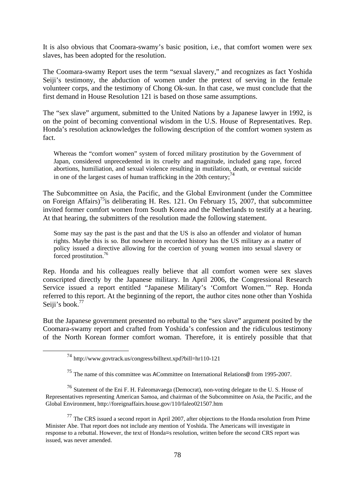It is also obvious that Coomara-swamy's basic position, i.e., that comfort women were sex slaves, has been adopted for the resolution.

The Coomara-swamy Report uses the term "sexual slavery," and recognizes as fact Yoshida Seiji's testimony, the abduction of women under the pretext of serving in the female volunteer corps, and the testimony of Chong Ok-sun. In that case, we must conclude that the first demand in House Resolution 121 is based on those same assumptions.

The "sex slave" argument, submitted to the United Nations by a Japanese lawyer in 1992, is on the point of becoming conventional wisdom in the U.S. House of Representatives. Rep. Honda's resolution acknowledges the following description of the comfort women system as fact.

Whereas the "comfort women" system of forced military prostitution by the Government of Japan, considered unprecedented in its cruelty and magnitude, included gang rape, forced abortions, humiliation, and sexual violence resulting in mutilation, death, or eventual suicide in one of the largest cases of human trafficking in the 20th century;  $^{74}$ 

The Subcommittee on Asia, the Pacific, and the Global Environment (under the Committee on Foreign Affairs)<sup>75</sup>is deliberating H. Res. 121. On February 15, 2007, that subcommittee invited former comfort women from South Korea and the Netherlands to testify at a hearing. At that hearing, the submitters of the resolution made the following statement.

Some may say the past is the past and that the US is also an offender and violator of human rights. Maybe this is so. But nowhere in recorded history has the US military as a matter of policy issued a directive allowing for the coercion of young women into sexual slavery or forced prostitution.<sup>76</sup>

Rep. Honda and his colleagues really believe that all comfort women were sex slaves conscripted directly by the Japanese military. In April 2006, the Congressional Research Service issued a report entitled "Japanese Military's 'Comfort Women.'" Rep. Honda referred to this report. At the beginning of the report, the author cites none other than Yoshida Seiji's book.<sup>77</sup>

But the Japanese government presented no rebuttal to the "sex slave" argument posited by the Coomara-swamy report and crafted from Yoshida's confession and the ridiculous testimony of the North Korean former comfort woman. Therefore, it is entirely possible that that

 $^{77}$  The CRS issued a second report in April 2007, after objections to the Honda resolution from Prime Minister Abe. That report does not include any mention of Yoshida. The Americans will investigate in response to a rebuttal. However, the text of Honda=s resolution, written before the second CRS report was issued, was never amended.

 <sup>74</sup> http://www.govtrack.us/congress/billtext.xpd?bill=hr110-121

<sup>75</sup> The name of this committee was ACommittee on International Relations@ from 1995-2007.

<sup>76</sup> Statement of the Eni F. H. Faleomavaega (Democrat), non-voting delegate to the U. S. House of Representatives representing American Samoa, and chairman of the Subcommittee on Asia, the Pacific, and the Global Environment, http://foreignaffairs.house.gov/110/faleo021507.htm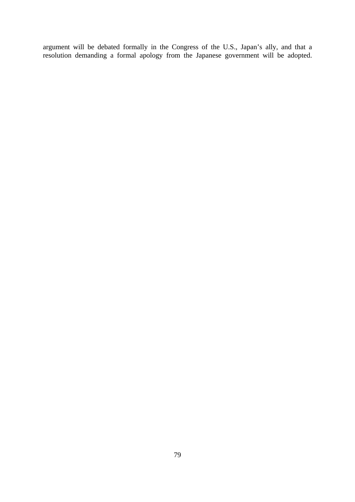argument will be debated formally in the Congress of the U.S., Japan's ally, and that a resolution demanding a formal apology from the Japanese government will be adopted.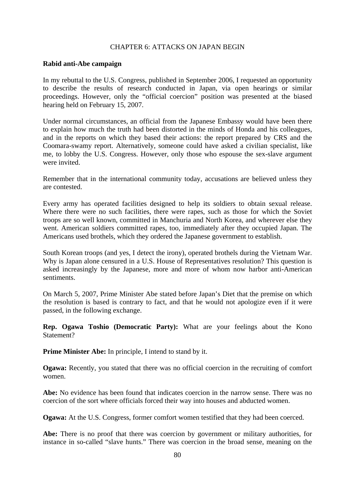## CHAPTER 6: ATTACKS ON JAPAN BEGIN

#### **Rabid anti-Abe campaign**

In my rebuttal to the U.S. Congress, published in September 2006, I requested an opportunity to describe the results of research conducted in Japan, via open hearings or similar proceedings. However, only the "official coercion" position was presented at the biased hearing held on February 15, 2007.

Under normal circumstances, an official from the Japanese Embassy would have been there to explain how much the truth had been distorted in the minds of Honda and his colleagues, and in the reports on which they based their actions: the report prepared by CRS and the Coomara-swamy report. Alternatively, someone could have asked a civilian specialist, like me, to lobby the U.S. Congress. However, only those who espouse the sex-slave argument were invited.

Remember that in the international community today, accusations are believed unless they are contested.

Every army has operated facilities designed to help its soldiers to obtain sexual release. Where there were no such facilities, there were rapes, such as those for which the Soviet troops are so well known, committed in Manchuria and North Korea, and wherever else they went. American soldiers committed rapes, too, immediately after they occupied Japan. The Americans used brothels, which they ordered the Japanese government to establish.

South Korean troops (and yes, I detect the irony), operated brothels during the Vietnam War. Why is Japan alone censured in a U.S. House of Representatives resolution? This question is asked increasingly by the Japanese, more and more of whom now harbor anti-American sentiments.

On March 5, 2007, Prime Minister Abe stated before Japan's Diet that the premise on which the resolution is based is contrary to fact, and that he would not apologize even if it were passed, in the following exchange.

**Rep. Ogawa Toshio (Democratic Party):** What are your feelings about the Kono Statement?

**Prime Minister Abe:** In principle, I intend to stand by it.

**Ogawa:** Recently, you stated that there was no official coercion in the recruiting of comfort women.

**Abe:** No evidence has been found that indicates coercion in the narrow sense. There was no coercion of the sort where officials forced their way into houses and abducted women.

**Ogawa:** At the U.S. Congress, former comfort women testified that they had been coerced.

**Abe:** There is no proof that there was coercion by government or military authorities, for instance in so-called "slave hunts." There was coercion in the broad sense, meaning on the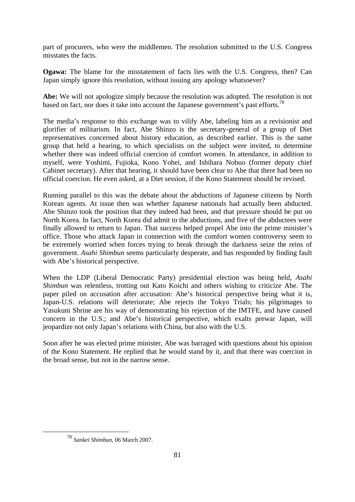part of procurers, who were the middlemen. The resolution submitted to the U.S. Congress misstates the facts.

**Ogawa:** The blame for the misstatement of facts lies with the U.S. Congress, then? Can Japan simply ignore this resolution, without issuing any apology whatsoever?

**Abe:** We will not apologize simply because the resolution was adopted. The resolution is not based on fact, nor does it take into account the Japanese government's past efforts.<sup>78</sup>

The media's response to this exchange was to vilify Abe, labeling him as a revisionist and glorifier of militarism. In fact, Abe Shinzo is the secretary-general of a group of Diet representatives concerned about history education, as described earlier. This is the same group that held a hearing, to which specialists on the subject were invited, to determine whether there was indeed official coercion of comfort women. In attendance, in addition to myself, were Yoshimi, Fujioka, Kono Yohei, and Ishihara Nobuo (former deputy chief Cabinet secretary). After that hearing, it should have been clear to Abe that there had been no official coercion. He even asked, at a Diet session, if the Kono Statement should be revised.

Running parallel to this was the debate about the abductions of Japanese citizens by North Korean agents. At issue then was whether Japanese nationals had actually been abducted. Abe Shinzo took the position that they indeed had been, and that pressure should be put on North Korea. In fact, North Korea did admit to the abductions, and five of the abductees were finally allowed to return to Japan. That success helped propel Abe into the prime minister's office. Those who attack Japan in connection with the comfort women controversy seem to be extremely worried when forces trying to break through the darkness seize the reins of government. *Asahi Shimbun* seems particularly desperate, and has responded by finding fault with Abe's historical perspective.

When the LDP (Liberal Democratic Party) presidential election was being held, *Asahi Shimbun* was relentless, trotting out Kato Koichi and others wishing to criticize Abe. The paper piled on accusation after accusation: Abe's historical perspective being what it is, Japan-U.S. relations will deteriorate; Abe rejects the Tokyo Trials; his pilgrimages to Yasukuni Shrine are his way of demonstrating his rejection of the IMTFE, and have caused concern in the U.S.; and Abe's historical perspective, which exalts prewar Japan, will jeopardize not only Japan's relations with China, but also with the U.S.

Soon after he was elected prime minister, Abe was barraged with questions about his opinion of the Kono Statement. He replied that he would stand by it, and that there was coercion in the broad sense, but not in the narrow sense.

 <sup>78</sup> *Sankei Shimbun*, 06 March 2007.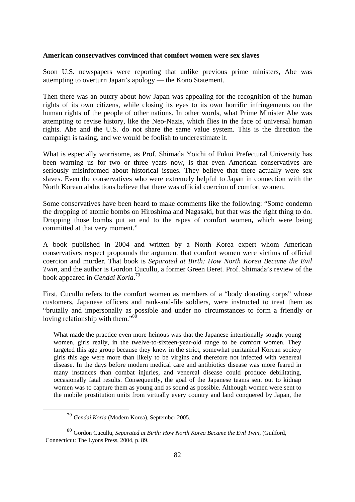#### **American conservatives convinced that comfort women were sex slaves**

Soon U.S. newspapers were reporting that unlike previous prime ministers, Abe was attempting to overturn Japan's apology — the Kono Statement.

Then there was an outcry about how Japan was appealing for the recognition of the human rights of its own citizens, while closing its eyes to its own horrific infringements on the human rights of the people of other nations. In other words, what Prime Minister Abe was attempting to revise history, like the Neo-Nazis, which flies in the face of universal human rights. Abe and the U.S. do not share the same value system. This is the direction the campaign is taking, and we would be foolish to underestimate it.

What is especially worrisome, as Prof. Shimada Yoichi of Fukui Prefectural University has been warning us for two or three years now, is that even American conservatives are seriously misinformed about historical issues. They believe that there actually were sex slaves. Even the conservatives who were extremely helpful to Japan in connection with the North Korean abductions believe that there was official coercion of comfort women.

Some conservatives have been heard to make comments like the following: "Some condemn the dropping of atomic bombs on Hiroshima and Nagasaki, but that was the right thing to do. Dropping those bombs put an end to the rapes of comfort women**,** which were being committed at that very moment."

A book published in 2004 and written by a North Korea expert whom American conservatives respect propounds the argument that comfort women were victims of official coercion and murder. That book is *Separated at Birth: How North Korea Became the Evil Twin*, and the author is Gordon Cucullu, a former Green Beret. Prof. Shimada's review of the book appeared in *Gendai Koria*. 79

First, Cucullu refers to the comfort women as members of a "body donating corps" whose customers, Japanese officers and rank-and-file soldiers, were instructed to treat them as "brutally and impersonally as possible and under no circumstances to form a friendly or loving relationship with them."<sup>80</sup>

What made the practice even more heinous was that the Japanese intentionally sought young women, girls really, in the twelve-to-sixteen-year-old range to be comfort women. They targeted this age group because they knew in the strict, somewhat puritanical Korean society girls this age were more than likely to be virgins and therefore not infected with venereal disease. In the days before modern medical care and antibiotics disease was more feared in many instances than combat injuries, and venereal disease could produce debilitating, occasionally fatal results. Consequently, the goal of the Japanese teams sent out to kidnap women was to capture them as young and as sound as possible. Although women were sent to the mobile prostitution units from virtually every country and land conquered by Japan, the

 <sup>79</sup> *Gendai Koria* (Modern Korea), September 2005.

<sup>80</sup> Gordon Cucullu, *Separated at Birth: How North Korea Became the Evil Twin*, (Guilford, Connecticut: The Lyons Press, 2004, p. 89.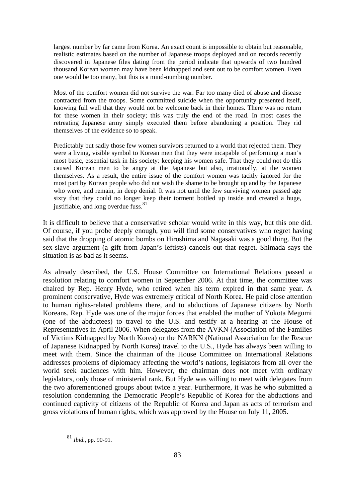largest number by far came from Korea. An exact count is impossible to obtain but reasonable, realistic estimates based on the number of Japanese troops deployed and on records recently discovered in Japanese files dating from the period indicate that upwards of two hundred thousand Korean women may have been kidnapped and sent out to be comfort women. Even one would be too many, but this is a mind-numbing number.

Most of the comfort women did not survive the war. Far too many died of abuse and disease contracted from the troops. Some committed suicide when the opportunity presented itself, knowing full well that they would not be welcome back in their homes. There was no return for these women in their society; this was truly the end of the road. In most cases the retreating Japanese army simply executed them before abandoning a position. They rid themselves of the evidence so to speak.

Predictably but sadly those few women survivors returned to a world that rejected them. They were a living, visible symbol to Korean men that they were incapable of performing a man's most basic, essential task in his society: keeping his women safe. That they could not do this caused Korean men to be angry at the Japanese but also, irrationally, at the women themselves. As a result, the entire issue of the comfort women was tacitly ignored for the most part by Korean people who did not wish the shame to be brought up and by the Japanese who were, and remain, in deep denial. It was not until the few surviving women passed age sixty that they could no longer keep their torment bottled up inside and created a huge, justifiable, and long overdue fuss.<sup>81</sup>

It is difficult to believe that a conservative scholar would write in this way, but this one did. Of course, if you probe deeply enough, you will find some conservatives who regret having said that the dropping of atomic bombs on Hiroshima and Nagasaki was a good thing. But the sex-slave argument (a gift from Japan's leftists) cancels out that regret. Shimada says the situation is as bad as it seems.

As already described, the U.S. House Committee on International Relations passed a resolution relating to comfort women in September 2006. At that time, the committee was chaired by Rep. Henry Hyde, who retired when his term expired in that same year. A prominent conservative, Hyde was extremely critical of North Korea. He paid close attention to human rights-related problems there, and to abductions of Japanese citizens by North Koreans. Rep. Hyde was one of the major forces that enabled the mother of Yokota Megumi (one of the abductees) to travel to the U.S. and testify at a hearing at the House of Representatives in April 2006. When delegates from the AVKN (Association of the Families of Victims Kidnapped by North Korea) or the NARKN (National Association for the Rescue of Japanese Kidnapped by North Korea) travel to the U.S., Hyde has always been willing to meet with them. Since the chairman of the House Committee on International Relations addresses problems of diplomacy affecting the world's nations, legislators from all over the world seek audiences with him. However, the chairman does not meet with ordinary legislators, only those of ministerial rank. But Hyde was willing to meet with delegates from the two aforementioned groups about twice a year. Furthermore, it was he who submitted a resolution condemning the Democratic People's Republic of Korea for the abductions and continued captivity of citizens of the Republic of Korea and Japan as acts of terrorism and gross violations of human rights, which was approved by the House on July 11, 2005.

 <sup>81</sup> *Ibid.*, pp. 90-91.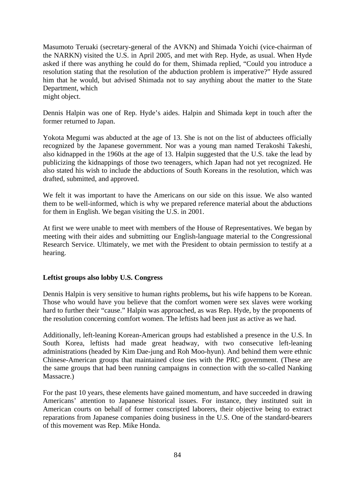Masumoto Teruaki (secretary-general of the AVKN) and Shimada Yoichi (vice-chairman of the NARKN) visited the U.S. in April 2005, and met with Rep. Hyde, as usual. When Hyde asked if there was anything he could do for them, Shimada replied, "Could you introduce a resolution stating that the resolution of the abduction problem is imperative?" Hyde assured him that he would, but advised Shimada not to say anything about the matter to the State Department, which might object.

Dennis Halpin was one of Rep. Hyde's aides. Halpin and Shimada kept in touch after the former returned to Japan.

Yokota Megumi was abducted at the age of 13. She is not on the list of abductees officially recognized by the Japanese government. Nor was a young man named Terakoshi Takeshi, also kidnapped in the 1960s at the age of 13. Halpin suggested that the U.S. take the lead by publicizing the kidnappings of those two teenagers, which Japan had not yet recognized. He also stated his wish to include the abductions of South Koreans in the resolution, which was drafted, submitted, and approved.

We felt it was important to have the Americans on our side on this issue. We also wanted them to be well-informed, which is why we prepared reference material about the abductions for them in English. We began visiting the U.S. in 2001.

At first we were unable to meet with members of the House of Representatives. We began by meeting with their aides and submitting our English-language material to the Congressional Research Service. Ultimately, we met with the President to obtain permission to testify at a hearing.

# **Leftist groups also lobby U.S. Congress**

Dennis Halpin is very sensitive to human rights problems**,** but his wife happens to be Korean. Those who would have you believe that the comfort women were sex slaves were working hard to further their "cause." Halpin was approached, as was Rep. Hyde, by the proponents of the resolution concerning comfort women. The leftists had been just as active as we had.

Additionally, left-leaning Korean-American groups had established a presence in the U.S. In South Korea, leftists had made great headway, with two consecutive left-leaning administrations (headed by Kim Dae-jung and Roh Moo-hyun). And behind them were ethnic Chinese-American groups that maintained close ties with the PRC government. (These are the same groups that had been running campaigns in connection with the so-called Nanking Massacre.)

For the past 10 years, these elements have gained momentum, and have succeeded in drawing Americans' attention to Japanese historical issues. For instance, they instituted suit in American courts on behalf of former conscripted laborers, their objective being to extract reparations from Japanese companies doing business in the U.S. One of the standard-bearers of this movement was Rep. Mike Honda.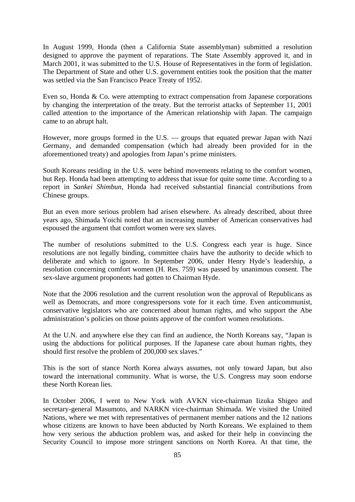In August 1999, Honda (then a California State assemblyman) submitted a resolution designed to approve the payment of reparations. The State Assembly approved it, and in March 2001, it was submitted to the U.S. House of Representatives in the form of legislation. The Department of State and other U.S. government entities took the position that the matter was settled via the San Francisco Peace Treaty of 1952.

Even so, Honda & Co. were attempting to extract compensation from Japanese corporations by changing the interpretation of the treaty. But the terrorist attacks of September 11, 2001 called attention to the importance of the American relationship with Japan. The campaign came to an abrupt halt.

However, more groups formed in the U.S. — groups that equated prewar Japan with Nazi Germany, and demanded compensation (which had already been provided for in the aforementioned treaty) and apologies from Japan's prime ministers.

South Koreans residing in the U.S. were behind movements relating to the comfort women, but Rep. Honda had been attempting to address that issue for quite some time. According to a report in *Sankei Shimbun*, Honda had received substantial financial contributions from Chinese groups.

But an even more serious problem had arisen elsewhere. As already described, about three years ago, Shimada Yoichi noted that an increasing number of American conservatives had espoused the argument that comfort women were sex slaves.

The number of resolutions submitted to the U.S. Congress each year is huge. Since resolutions are not legally binding, committee chairs have the authority to decide which to deliberate and which to ignore. In September 2006, under Henry Hyde's leadership, a resolution concerning comfort women (H. Res. 759) was passed by unanimous consent. The sex-slave argument proponents had gotten to Chairman Hyde.

Note that the 2006 resolution and the current resolution won the approval of Republicans as well as Democrats, and more congresspersons vote for it each time. Even anticommunist, conservative legislators who are concerned about human rights, and who support the Abe administration's policies on those points approve of the comfort women resolutions.

At the U.N. and anywhere else they can find an audience, the North Koreans say, "Japan is using the abductions for political purposes. If the Japanese care about human rights, they should first resolve the problem of 200,000 sex slaves."

This is the sort of stance North Korea always assumes, not only toward Japan, but also toward the international community. What is worse, the U.S. Congress may soon endorse these North Korean lies.

In October 2006, I went to New York with AVKN vice-chairman Iizuka Shigeo and secretary-general Masumoto, and NARKN vice-chairman Shimada. We visited the United Nations, where we met with representatives of permanent member nations and the 12 nations whose citizens are known to have been abducted by North Koreans. We explained to them how very serious the abduction problem was, and asked for their help in convincing the Security Council to impose more stringent sanctions on North Korea. At that time, the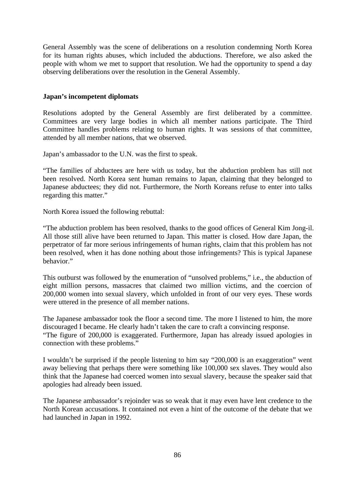General Assembly was the scene of deliberations on a resolution condemning North Korea for its human rights abuses, which included the abductions. Therefore, we also asked the people with whom we met to support that resolution. We had the opportunity to spend a day observing deliberations over the resolution in the General Assembly.

### **Japan's incompetent diplomats**

Resolutions adopted by the General Assembly are first deliberated by a committee. Committees are very large bodies in which all member nations participate. The Third Committee handles problems relating to human rights. It was sessions of that committee, attended by all member nations, that we observed.

Japan's ambassador to the U.N. was the first to speak.

"The families of abductees are here with us today, but the abduction problem has still not been resolved. North Korea sent human remains to Japan, claiming that they belonged to Japanese abductees; they did not. Furthermore, the North Koreans refuse to enter into talks regarding this matter."

North Korea issued the following rebuttal:

"The abduction problem has been resolved, thanks to the good offices of General Kim Jong-il. All those still alive have been returned to Japan. This matter is closed. How dare Japan, the perpetrator of far more serious infringements of human rights, claim that this problem has not been resolved, when it has done nothing about those infringements? This is typical Japanese behavior."

This outburst was followed by the enumeration of "unsolved problems," i.e., the abduction of eight million persons, massacres that claimed two million victims, and the coercion of 200,000 women into sexual slavery, which unfolded in front of our very eyes. These words were uttered in the presence of all member nations.

The Japanese ambassador took the floor a second time. The more I listened to him, the more discouraged I became. He clearly hadn't taken the care to craft a convincing response.

"The figure of 200,000 is exaggerated. Furthermore, Japan has already issued apologies in connection with these problems."

I wouldn't be surprised if the people listening to him say "200,000 is an exaggeration" went away believing that perhaps there were something like 100,000 sex slaves. They would also think that the Japanese had coerced women into sexual slavery, because the speaker said that apologies had already been issued.

The Japanese ambassador's rejoinder was so weak that it may even have lent credence to the North Korean accusations. It contained not even a hint of the outcome of the debate that we had launched in Japan in 1992.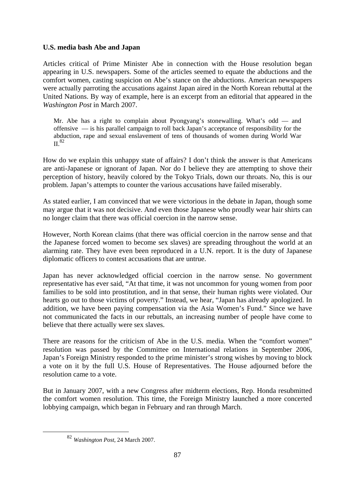# **U.S. media bash Abe and Japan**

Articles critical of Prime Minister Abe in connection with the House resolution began appearing in U.S. newspapers. Some of the articles seemed to equate the abductions and the comfort women, casting suspicion on Abe's stance on the abductions. American newspapers were actually parroting the accusations against Japan aired in the North Korean rebuttal at the United Nations. By way of example, here is an excerpt from an editorial that appeared in the *Washington Post* in March 2007.

Mr. Abe has a right to complain about Pyongyang's stonewalling. What's odd — and offensive — is his parallel campaign to roll back Japan's acceptance of responsibility for the abduction, rape and sexual enslavement of tens of thousands of women during World War  $\mathrm{II}$  82

How do we explain this unhappy state of affairs? I don't think the answer is that Americans are anti-Japanese or ignorant of Japan. Nor do I believe they are attempting to shove their perception of history, heavily colored by the Tokyo Trials, down our throats. No, this is our problem. Japan's attempts to counter the various accusations have failed miserably.

As stated earlier, I am convinced that we were victorious in the debate in Japan, though some may argue that it was not decisive. And even those Japanese who proudly wear hair shirts can no longer claim that there was official coercion in the narrow sense.

However, North Korean claims (that there was official coercion in the narrow sense and that the Japanese forced women to become sex slaves) are spreading throughout the world at an alarming rate. They have even been reproduced in a U.N. report. It is the duty of Japanese diplomatic officers to contest accusations that are untrue.

Japan has never acknowledged official coercion in the narrow sense. No government representative has ever said, "At that time, it was not uncommon for young women from poor families to be sold into prostitution, and in that sense, their human rights were violated. Our hearts go out to those victims of poverty." Instead, we hear, "Japan has already apologized. In addition, we have been paying compensation via the Asia Women's Fund." Since we have not communicated the facts in our rebuttals, an increasing number of people have come to believe that there actually were sex slaves.

There are reasons for the criticism of Abe in the U.S. media. When the "comfort women" resolution was passed by the Committee on International relations in September 2006, Japan's Foreign Ministry responded to the prime minister's strong wishes by moving to block a vote on it by the full U.S. House of Representatives. The House adjourned before the resolution came to a vote.

But in January 2007, with a new Congress after midterm elections, Rep. Honda resubmitted the comfort women resolution. This time, the Foreign Ministry launched a more concerted lobbying campaign, which began in February and ran through March.

 <sup>82</sup> *Washington Post*, 24 March 2007.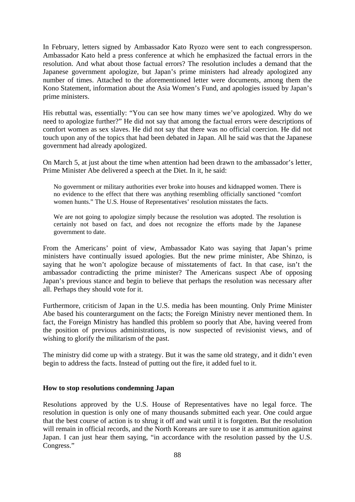In February, letters signed by Ambassador Kato Ryozo were sent to each congressperson. Ambassador Kato held a press conference at which he emphasized the factual errors in the resolution. And what about those factual errors? The resolution includes a demand that the Japanese government apologize, but Japan's prime ministers had already apologized any number of times. Attached to the aforementioned letter were documents, among them the Kono Statement, information about the Asia Women's Fund, and apologies issued by Japan's prime ministers.

His rebuttal was, essentially: "You can see how many times we've apologized. Why do we need to apologize further?" He did not say that among the factual errors were descriptions of comfort women as sex slaves. He did not say that there was no official coercion. He did not touch upon any of the topics that had been debated in Japan. All he said was that the Japanese government had already apologized.

On March 5, at just about the time when attention had been drawn to the ambassador's letter, Prime Minister Abe delivered a speech at the Diet. In it, he said:

No government or military authorities ever broke into houses and kidnapped women. There is no evidence to the effect that there was anything resembling officially sanctioned "comfort women hunts." The U.S. House of Representatives' resolution misstates the facts.

We are not going to apologize simply because the resolution was adopted. The resolution is certainly not based on fact, and does not recognize the efforts made by the Japanese government to date.

From the Americans' point of view, Ambassador Kato was saying that Japan's prime ministers have continually issued apologies. But the new prime minister, Abe Shinzo, is saying that he won't apologize because of misstatements of fact. In that case, isn't the ambassador contradicting the prime minister? The Americans suspect Abe of opposing Japan's previous stance and begin to believe that perhaps the resolution was necessary after all. Perhaps they should vote for it.

Furthermore, criticism of Japan in the U.S. media has been mounting. Only Prime Minister Abe based his counterargument on the facts; the Foreign Ministry never mentioned them. In fact, the Foreign Ministry has handled this problem so poorly that Abe, having veered from the position of previous administrations, is now suspected of revisionist views, and of wishing to glorify the militarism of the past.

The ministry did come up with a strategy. But it was the same old strategy, and it didn't even begin to address the facts. Instead of putting out the fire, it added fuel to it.

### **How to stop resolutions condemning Japan**

Resolutions approved by the U.S. House of Representatives have no legal force. The resolution in question is only one of many thousands submitted each year. One could argue that the best course of action is to shrug it off and wait until it is forgotten. But the resolution will remain in official records, and the North Koreans are sure to use it as ammunition against Japan. I can just hear them saying, "in accordance with the resolution passed by the U.S. Congress."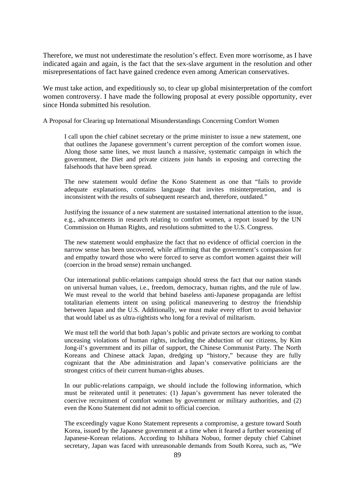Therefore, we must not underestimate the resolution's effect. Even more worrisome, as I have indicated again and again, is the fact that the sex-slave argument in the resolution and other misrepresentations of fact have gained credence even among American conservatives.

We must take action, and expeditiously so, to clear up global misinterpretation of the comfort women controversy. I have made the following proposal at every possible opportunity, ever since Honda submitted his resolution.

A Proposal for Clearing up International Misunderstandings Concerning Comfort Women

I call upon the chief cabinet secretary or the prime minister to issue a new statement, one that outlines the Japanese government's current perception of the comfort women issue. Along those same lines, we must launch a massive, systematic campaign in which the government, the Diet and private citizens join hands in exposing and correcting the falsehoods that have been spread.

The new statement would define the Kono Statement as one that "fails to provide adequate explanations, contains language that invites misinterpretation, and is inconsistent with the results of subsequent research and, therefore, outdated."

Justifying the issuance of a new statement are sustained international attention to the issue, e.g., advancements in research relating to comfort women, a report issued by the UN Commission on Human Rights, and resolutions submitted to the U.S. Congress.

The new statement would emphasize the fact that no evidence of official coercion in the narrow sense has been uncovered, while affirming that the government's compassion for and empathy toward those who were forced to serve as comfort women against their will (coercion in the broad sense) remain unchanged.

Our international public-relations campaign should stress the fact that our nation stands on universal human values, i.e., freedom, democracy, human rights, and the rule of law. We must reveal to the world that behind baseless anti-Japanese propaganda are leftist totalitarian elements intent on using political maneuvering to destroy the friendship between Japan and the U.S. Additionally, we must make every effort to avoid behavior that would label us as ultra-rightists who long for a revival of militarism.

We must tell the world that both Japan's public and private sectors are working to combat unceasing violations of human rights, including the abduction of our citizens, by Kim Jong-il's government and its pillar of support, the Chinese Communist Party. The North Koreans and Chinese attack Japan, dredging up "history," because they are fully cognizant that the Abe administration and Japan's conservative politicians are the strongest critics of their current human-rights abuses.

In our public-relations campaign, we should include the following information, which must be reiterated until it penetrates: (1) Japan's government has never tolerated the coercive recruitment of comfort women by government or military authorities, and (2) even the Kono Statement did not admit to official coercion.

The exceedingly vague Kono Statement represents a compromise, a gesture toward South Korea, issued by the Japanese government at a time when it feared a further worsening of Japanese-Korean relations. According to Ishihara Nobuo, former deputy chief Cabinet secretary, Japan was faced with unreasonable demands from South Korea, such as, "We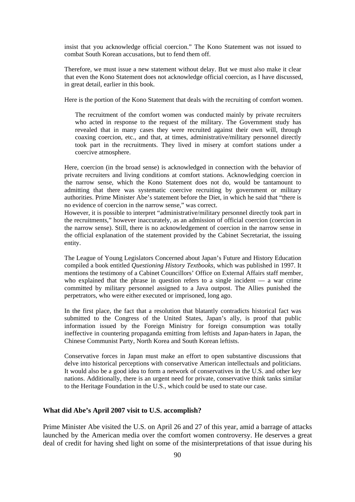insist that you acknowledge official coercion." The Kono Statement was not issued to combat South Korean accusations, but to fend them off.

Therefore, we must issue a new statement without delay. But we must also make it clear that even the Kono Statement does not acknowledge official coercion, as I have discussed, in great detail, earlier in this book.

Here is the portion of the Kono Statement that deals with the recruiting of comfort women.

The recruitment of the comfort women was conducted mainly by private recruiters who acted in response to the request of the military. The Government study has revealed that in many cases they were recruited against their own will, through coaxing coercion, etc., and that, at times, administrative/military personnel directly took part in the recruitments. They lived in misery at comfort stations under a coercive atmosphere.

Here, coercion (in the broad sense) is acknowledged in connection with the behavior of private recruiters and living conditions at comfort stations. Acknowledging coercion in the narrow sense, which the Kono Statement does not do, would be tantamount to admitting that there was systematic coercive recruiting by government or military authorities. Prime Minister Abe's statement before the Diet, in which he said that "there is no evidence of coercion in the narrow sense," was correct.

However, it is possible to interpret "administrative/military personnel directly took part in the recruitments," however inaccurately, as an admission of official coercion (coercion in the narrow sense). Still, there is no acknowledgement of coercion in the narrow sense in the official explanation of the statement provided by the Cabinet Secretariat, the issuing entity.

The League of Young Legislators Concerned about Japan's Future and History Education compiled a book entitled *Questioning History Textbooks*, which was published in 1997. It mentions the testimony of a Cabinet Councillors' Office on External Affairs staff member, who explained that the phrase in question refers to a single incident — a war crime committed by military personnel assigned to a Java outpost. The Allies punished the perpetrators, who were either executed or imprisoned, long ago.

In the first place, the fact that a resolution that blatantly contradicts historical fact was submitted to the Congress of the United States, Japan's ally, is proof that public information issued by the Foreign Ministry for foreign consumption was totally ineffective in countering propaganda emitting from leftists and Japan-haters in Japan, the Chinese Communist Party, North Korea and South Korean leftists.

Conservative forces in Japan must make an effort to open substantive discussions that delve into historical perceptions with conservative American intellectuals and politicians. It would also be a good idea to form a network of conservatives in the U.S. and other key nations. Additionally, there is an urgent need for private, conservative think tanks similar to the Heritage Foundation in the U.S., which could be used to state our case.

### **What did Abe's April 2007 visit to U.S. accomplish?**

Prime Minister Abe visited the U.S. on April 26 and 27 of this year, amid a barrage of attacks launched by the American media over the comfort women controversy. He deserves a great deal of credit for having shed light on some of the misinterpretations of that issue during his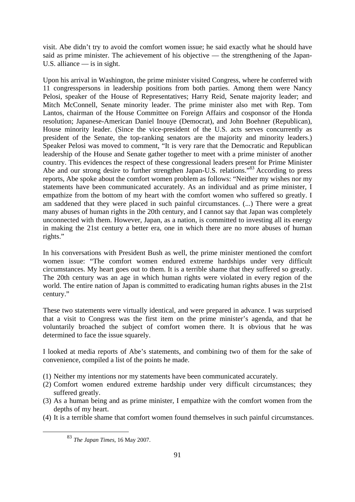visit. Abe didn't try to avoid the comfort women issue; he said exactly what he should have said as prime minister. The achievement of his objective — the strengthening of the Japan-U.S. alliance — is in sight.

Upon his arrival in Washington, the prime minister visited Congress, where he conferred with 11 congresspersons in leadership positions from both parties. Among them were Nancy Pelosi, speaker of the House of Representatives; Harry Reid, Senate majority leader; and Mitch McConnell, Senate minority leader. The prime minister also met with Rep. Tom Lantos, chairman of the House Committee on Foreign Affairs and cosponsor of the Honda resolution; Japanese-American Daniel Inouye (Democrat), and John Boehner (Republican), House minority leader. (Since the vice-president of the U.S. acts serves concurrently as president of the Senate, the top-ranking senators are the majority and minority leaders.) Speaker Pelosi was moved to comment, "It is very rare that the Democratic and Republican leadership of the House and Senate gather together to meet with a prime minister of another country. This evidences the respect of these congressional leaders present for Prime Minister Abe and our strong desire to further strengthen Japan-U.S. relations."<sup>83</sup> According to press reports, Abe spoke about the comfort women problem as follows: "Neither my wishes nor my statements have been communicated accurately. As an individual and as prime minister, I empathize from the bottom of my heart with the comfort women who suffered so greatly. I am saddened that they were placed in such painful circumstances. (...) There were a great many abuses of human rights in the 20th century, and I cannot say that Japan was completely unconnected with them. However, Japan, as a nation, is committed to investing all its energy in making the 21st century a better era, one in which there are no more abuses of human rights."

In his conversations with President Bush as well, the prime minister mentioned the comfort women issue: "The comfort women endured extreme hardships under very difficult circumstances. My heart goes out to them. It is a terrible shame that they suffered so greatly. The 20th century was an age in which human rights were violated in every region of the world. The entire nation of Japan is committed to eradicating human rights abuses in the 21st century."

These two statements were virtually identical, and were prepared in advance. I was surprised that a visit to Congress was the first item on the prime minister's agenda, and that he voluntarily broached the subject of comfort women there. It is obvious that he was determined to face the issue squarely.

I looked at media reports of Abe's statements, and combining two of them for the sake of convenience, compiled a list of the points he made.

- (1) Neither my intentions nor my statements have been communicated accurately.
- (2) Comfort women endured extreme hardship under very difficult circumstances; they suffered greatly.
- (3) As a human being and as prime minister, I empathize with the comfort women from the depths of my heart.
- (4) It is a terrible shame that comfort women found themselves in such painful circumstances.

 <sup>83</sup> *The Japan Times*, 16 May 2007.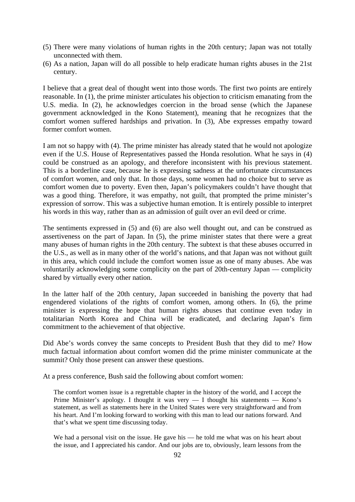- (5) There were many violations of human rights in the 20th century; Japan was not totally unconnected with them.
- (6) As a nation, Japan will do all possible to help eradicate human rights abuses in the 21st century.

I believe that a great deal of thought went into those words. The first two points are entirely reasonable. In (1), the prime minister articulates his objection to criticism emanating from the U.S. media. In (2), he acknowledges coercion in the broad sense (which the Japanese government acknowledged in the Kono Statement), meaning that he recognizes that the comfort women suffered hardships and privation. In (3), Abe expresses empathy toward former comfort women.

I am not so happy with (4). The prime minister has already stated that he would not apologize even if the U.S. House of Representatives passed the Honda resolution. What he says in (4) could be construed as an apology, and therefore inconsistent with his previous statement. This is a borderline case, because he is expressing sadness at the unfortunate circumstances of comfort women, and only that. In those days, some women had no choice but to serve as comfort women due to poverty. Even then, Japan's policymakers couldn't have thought that was a good thing. Therefore, it was empathy, not guilt, that prompted the prime minister's expression of sorrow. This was a subjective human emotion. It is entirely possible to interpret his words in this way, rather than as an admission of guilt over an evil deed or crime.

The sentiments expressed in (5) and (6) are also well thought out, and can be construed as assertiveness on the part of Japan. In (5), the prime minister states that there were a great many abuses of human rights in the 20th century. The subtext is that these abuses occurred in the U.S., as well as in many other of the world's nations, and that Japan was not without guilt in this area, which could include the comfort women issue as one of many abuses. Abe was voluntarily acknowledging some complicity on the part of 20th-century Japan — complicity shared by virtually every other nation.

In the latter half of the 20th century, Japan succeeded in banishing the poverty that had engendered violations of the rights of comfort women, among others. In (6), the prime minister is expressing the hope that human rights abuses that continue even today in totalitarian North Korea and China will be eradicated, and declaring Japan's firm commitment to the achievement of that objective.

Did Abe's words convey the same concepts to President Bush that they did to me? How much factual information about comfort women did the prime minister communicate at the summit? Only those present can answer these questions.

At a press conference, Bush said the following about comfort women:

The comfort women issue is a regrettable chapter in the history of the world, and I accept the Prime Minister's apology. I thought it was very  $-$  I thought his statements  $-$  Kono's statement, as well as statements here in the United States were very straightforward and from his heart. And I'm looking forward to working with this man to lead our nations forward. And that's what we spent time discussing today.

We had a personal visit on the issue. He gave his — he told me what was on his heart about the issue, and I appreciated his candor. And our jobs are to, obviously, learn lessons from the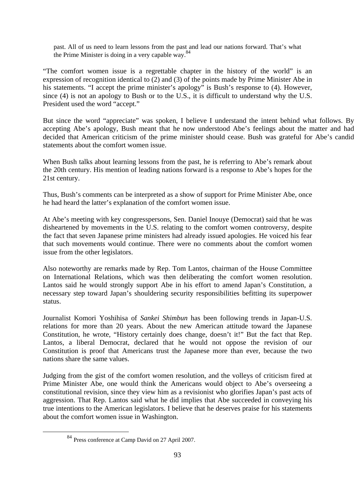past. All of us need to learn lessons from the past and lead our nations forward. That's what the Prime Minister is doing in a very capable way.  $84$ 

"The comfort women issue is a regrettable chapter in the history of the world" is an expression of recognition identical to (2) and (3) of the points made by Prime Minister Abe in his statements. "I accept the prime minister's apology" is Bush's response to (4). However, since (4) is not an apology to Bush or to the U.S., it is difficult to understand why the U.S. President used the word "accept."

But since the word "appreciate" was spoken, I believe I understand the intent behind what follows. By accepting Abe's apology, Bush meant that he now understood Abe's feelings about the matter and had decided that American criticism of the prime minister should cease. Bush was grateful for Abe's candid statements about the comfort women issue.

When Bush talks about learning lessons from the past, he is referring to Abe's remark about the 20th century. His mention of leading nations forward is a response to Abe's hopes for the 21st century.

Thus, Bush's comments can be interpreted as a show of support for Prime Minister Abe, once he had heard the latter's explanation of the comfort women issue.

At Abe's meeting with key congresspersons, Sen. Daniel Inouye (Democrat) said that he was disheartened by movements in the U.S. relating to the comfort women controversy, despite the fact that seven Japanese prime ministers had already issued apologies. He voiced his fear that such movements would continue. There were no comments about the comfort women issue from the other legislators.

Also noteworthy are remarks made by Rep. Tom Lantos, chairman of the House Committee on International Relations, which was then deliberating the comfort women resolution. Lantos said he would strongly support Abe in his effort to amend Japan's Constitution, a necessary step toward Japan's shouldering security responsibilities befitting its superpower status.

Journalist Komori Yoshihisa of *Sankei Shimbun* has been following trends in Japan-U.S. relations for more than 20 years. About the new American attitude toward the Japanese Constitution, he wrote, "History certainly does change, doesn't it!" But the fact that Rep. Lantos, a liberal Democrat, declared that he would not oppose the revision of our Constitution is proof that Americans trust the Japanese more than ever, because the two nations share the same values.

Judging from the gist of the comfort women resolution, and the volleys of criticism fired at Prime Minister Abe, one would think the Americans would object to Abe's overseeing a constitutional revision, since they view him as a revisionist who glorifies Japan's past acts of aggression. That Rep. Lantos said what he did implies that Abe succeeded in conveying his true intentions to the American legislators. I believe that he deserves praise for his statements about the comfort women issue in Washington.

 <sup>84</sup> Press conference at Camp David on 27 April 2007.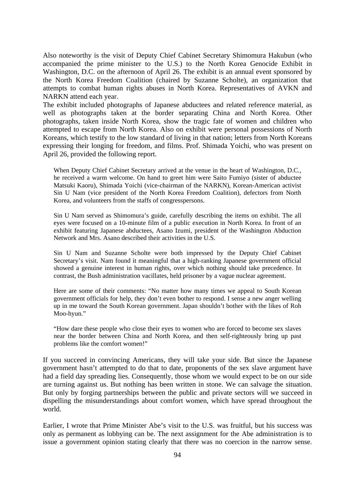Also noteworthy is the visit of Deputy Chief Cabinet Secretary Shimomura Hakubun (who accompanied the prime minister to the U.S.) to the North Korea Genocide Exhibit in Washington, D.C. on the afternoon of April 26. The exhibit is an annual event sponsored by the North Korea Freedom Coalition (chaired by Suzanne Scholte), an organization that attempts to combat human rights abuses in North Korea. Representatives of AVKN and NARKN attend each year.

The exhibit included photographs of Japanese abductees and related reference material, as well as photographs taken at the border separating China and North Korea. Other photographs, taken inside North Korea, show the tragic fate of women and children who attempted to escape from North Korea. Also on exhibit were personal possessions of North Koreans, which testify to the low standard of living in that nation; letters from North Koreans expressing their longing for freedom, and films. Prof. Shimada Yoichi, who was present on April 26, provided the following report.

When Deputy Chief Cabinet Secretary arrived at the venue in the heart of Washington, D.C., he received a warm welcome. On hand to greet him were Saito Fumiyo (sister of abductee Matsuki Kaoru), Shimada Yoichi (vice-chairman of the NARKN), Korean-American activist Sin U Nam (vice president of the North Korea Freedom Coalition), defectors from North Korea, and volunteers from the staffs of congresspersons.

Sin U Nam served as Shimomura's guide, carefully describing the items on exhibit. The all eyes were focused on a 10-minute film of a public execution in North Korea. In front of an exhibit featuring Japanese abductees, Asano Izumi, president of the Washington Abduction Network and Mrs. Asano described their activities in the U.S.

Sin U Nam and Suzanne Scholte were both impressed by the Deputy Chief Cabinet Secretary's visit. Nam found it meaningful that a high-ranking Japanese government official showed a genuine interest in human rights, over which nothing should take precedence. In contrast, the Bush administration vacillates, held prisoner by a vague nuclear agreement.

Here are some of their comments: "No matter how many times we appeal to South Korean government officials for help, they don't even bother to respond. I sense a new anger welling up in me toward the South Korean government. Japan shouldn't bother with the likes of Roh Moo-hyun."

"How dare these people who close their eyes to women who are forced to become sex slaves near the border between China and North Korea, and then self-righteously bring up past problems like the comfort women!"

If you succeed in convincing Americans, they will take your side. But since the Japanese government hasn't attempted to do that to date, proponents of the sex slave argument have had a field day spreading lies. Consequently, those whom we would expect to be on our side are turning against us. But nothing has been written in stone. We can salvage the situation. But only by forging partnerships between the public and private sectors will we succeed in dispelling the misunderstandings about comfort women, which have spread throughout the world.

Earlier, I wrote that Prime Minister Abe's visit to the U.S. was fruitful, but his success was only as permanent as lobbying can be. The next assignment for the Abe administration is to issue a government opinion stating clearly that there was no coercion in the narrow sense.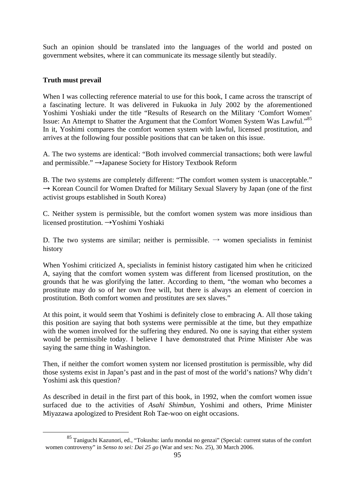Such an opinion should be translated into the languages of the world and posted on government websites, where it can communicate its message silently but steadily.

# **Truth must prevail**

When I was collecting reference material to use for this book, I came across the transcript of a fascinating lecture. It was delivered in Fukuoka in July 2002 by the aforementioned Yoshimi Yoshiaki under the title "Results of Research on the Military 'Comfort Women' Issue: An Attempt to Shatter the Argument that the Comfort Women System Was Lawful."<sup>85</sup> In it, Yoshimi compares the comfort women system with lawful, licensed prostitution, and arrives at the following four possible positions that can be taken on this issue.

A. The two systems are identical: "Both involved commercial transactions; both were lawful and permissible." →Japanese Society for History Textbook Reform

B. The two systems are completely different: "The comfort women system is unacceptable."  $\rightarrow$  Korean Council for Women Drafted for Military Sexual Slavery by Japan (one of the first activist groups established in South Korea)

C. Neither system is permissible, but the comfort women system was more insidious than licensed prostitution. →Yoshimi Yoshiaki

D. The two systems are similar; neither is permissible.  $\rightarrow$  women specialists in feminist history

When Yoshimi criticized A, specialists in feminist history castigated him when he criticized A, saying that the comfort women system was different from licensed prostitution, on the grounds that he was glorifying the latter. According to them, "the woman who becomes a prostitute may do so of her own free will, but there is always an element of coercion in prostitution. Both comfort women and prostitutes are sex slaves."

At this point, it would seem that Yoshimi is definitely close to embracing A. All those taking this position are saying that both systems were permissible at the time, but they empathize with the women involved for the suffering they endured. No one is saying that either system would be permissible today. I believe I have demonstrated that Prime Minister Abe was saying the same thing in Washington.

Then, if neither the comfort women system nor licensed prostitution is permissible, why did those systems exist in Japan's past and in the past of most of the world's nations? Why didn't Yoshimi ask this question?

As described in detail in the first part of this book, in 1992, when the comfort women issue surfaced due to the activities of *Asahi Shimbun,* Yoshimi and others, Prime Minister Miyazawa apologized to President Roh Tae-woo on eight occasions.

 <sup>85</sup> Taniguchi Kazunori, ed., "Tokushu: ianfu mondai no genzai" (Special: current status of the comfort women controversy" in *Senso to sei: Dai 25 go* (War and sex: No. 25), 30 March 2006.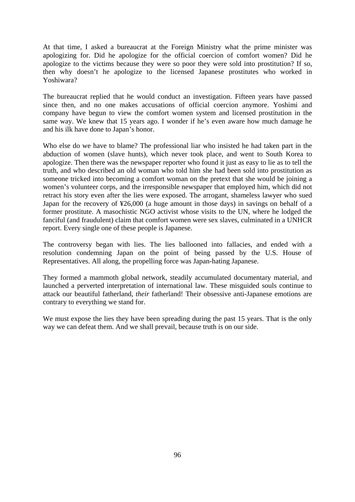At that time, I asked a bureaucrat at the Foreign Ministry what the prime minister was apologizing for. Did he apologize for the official coercion of comfort women? Did he apologize to the victims because they were so poor they were sold into prostitution? If so, then why doesn't he apologize to the licensed Japanese prostitutes who worked in Yoshiwara?

The bureaucrat replied that he would conduct an investigation. Fifteen years have passed since then, and no one makes accusations of official coercion anymore. Yoshimi and company have begun to view the comfort women system and licensed prostitution in the same way. We knew that 15 years ago. I wonder if he's even aware how much damage he and his ilk have done to Japan's honor.

Who else do we have to blame? The professional liar who insisted he had taken part in the abduction of women (slave hunts), which never took place, and went to South Korea to apologize. Then there was the newspaper reporter who found it just as easy to lie as to tell the truth, and who described an old woman who told him she had been sold into prostitution as someone tricked into becoming a comfort woman on the pretext that she would be joining a women's volunteer corps, and the irresponsible newspaper that employed him, which did not retract his story even after the lies were exposed. The arrogant, shameless lawyer who sued Japan for the recovery of ¥26,000 (a huge amount in those days) in savings on behalf of a former prostitute. A masochistic NGO activist whose visits to the UN, where he lodged the fanciful (and fraudulent) claim that comfort women were sex slaves, culminated in a UNHCR report. Every single one of these people is Japanese.

The controversy began with lies. The lies ballooned into fallacies, and ended with a resolution condemning Japan on the point of being passed by the U.S. House of Representatives. All along, the propelling force was Japan-hating Japanese.

They formed a mammoth global network, steadily accumulated documentary material, and launched a perverted interpretation of international law. These misguided souls continue to attack our beautiful fatherland, *their* fatherland! Their obsessive anti-Japanese emotions are contrary to everything we stand for.

We must expose the lies they have been spreading during the past 15 years. That is the only way we can defeat them. And we shall prevail, because truth is on our side.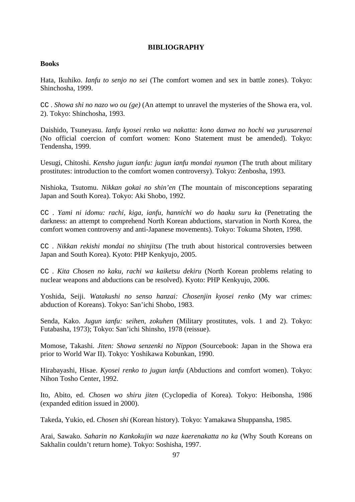## **BIBLIOGRAPHY**

### **Books**

Hata, Ikuhiko. *Ianfu to senjo no sei* (The comfort women and sex in battle zones). Tokyo: Shinchosha, 1999.

CC . *Showa shi no nazo wo ou (ge)* (An attempt to unravel the mysteries of the Showa era, vol. 2). Tokyo: Shinchosha, 1993.

Daishido, Tsuneyasu. *Ianfu kyosei renko wa nakatta: kono danwa no hochi wa yurusarenai* (No official coercion of comfort women: Kono Statement must be amended). Tokyo: Tendensha, 1999.

Uesugi, Chitoshi. *Kensho jugun ianfu: jugun ianfu mondai nyumon* (The truth about military prostitutes: introduction to the comfort women controversy). Tokyo: Zenbosha, 1993.

Nishioka, Tsutomu. *Nikkan gokai no shin'en* (The mountain of misconceptions separating Japan and South Korea). Tokyo: Aki Shobo, 1992.

CC . *Yami ni idomu: rachi, kiga, ianfu, hannichi wo do haaku suru ka* (Penetrating the darkness: an attempt to comprehend North Korean abductions, starvation in North Korea, the comfort women controversy and anti-Japanese movements). Tokyo: Tokuma Shoten, 1998.

CC . *Nikkan rekishi mondai no shinjitsu* (The truth about historical controversies between Japan and South Korea). Kyoto: PHP Kenkyujo, 2005.

CC . *Kita Chosen no kaku, rachi wa kaiketsu dekiru* (North Korean problems relating to nuclear weapons and abductions can be resolved). Kyoto: PHP Kenkyujo, 2006.

Yoshida, Seiji. *Watakushi no senso hanzai: Chosenjin kyosei renko* (My war crimes: abduction of Koreans). Tokyo: San'ichi Shobo, 1983.

Senda, Kako. *Jugun ianfu: seihen, zokuhen* (Military prostitutes, vols. 1 and 2). Tokyo: Futabasha, 1973); Tokyo: San'ichi Shinsho, 1978 (reissue).

Momose, Takashi*. Jiten: Showa senzenki no Nippon* (Sourcebook: Japan in the Showa era prior to World War II). Tokyo: Yoshikawa Kobunkan, 1990.

Hirabayashi, Hisae. *Kyosei renko to jugun ianfu* (Abductions and comfort women). Tokyo: Nihon Tosho Center, 1992.

Ito, Abito, ed. *Chosen wo shiru jiten* (Cyclopedia of Korea). Tokyo: Heibonsha, 1986 (expanded edition issued in 2000).

Takeda, Yukio, ed. *Chosen shi* (Korean history). Tokyo: Yamakawa Shuppansha, 1985.

Arai, Sawako. *Saharin no Kankokujin wa naze kaerenakatta no ka* (Why South Koreans on Sakhalin couldn't return home). Tokyo: Soshisha, 1997.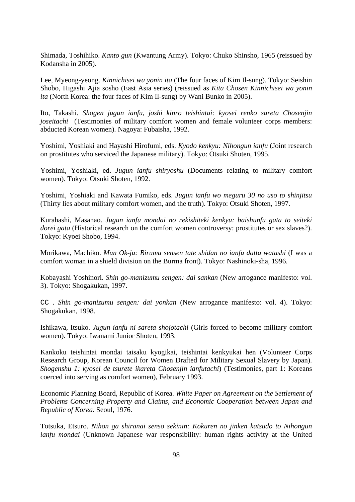Shimada, Toshihiko. *Kanto gun* (Kwantung Army). Tokyo: Chuko Shinsho, 1965 (reissued by Kodansha in 2005).

Lee, Myeong-yeong. *Kinnichisei wa yonin ita* (The four faces of Kim Il-sung). Tokyo: Seishin Shobo, Higashi Ajia sosho (East Asia series) (reissued as *Kita Chosen Kinnichisei wa yonin ita* (North Korea: the four faces of Kim Il-sung) by Wani Bunko in 2005).

Ito, Takashi. *Shogen jugun ianfu, joshi kinro teishintai: kyosei renko sareta Chosenjin joseitachi* (Testimonies of military comfort women and female volunteer corps members: abducted Korean women). Nagoya: Fubaisha, 1992.

Yoshimi, Yoshiaki and Hayashi Hirofumi, eds. *Kyodo kenkyu: Nihongun ianfu* (Joint research on prostitutes who serviced the Japanese military). Tokyo: Otsuki Shoten, 1995.

Yoshimi, Yoshiaki, ed. *Jugun ianfu shiryoshu* (Documents relating to military comfort women). Tokyo: Otsuki Shoten, 1992.

Yoshimi, Yoshiaki and Kawata Fumiko, eds. *Jugun ianfu wo meguru 30 no uso to shinjitsu*  (Thirty lies about military comfort women, and the truth). Tokyo: Otsuki Shoten, 1997.

Kurahashi, Masanao. *Jugun ianfu mondai no rekishiteki kenkyu: baishunfu gata to seiteki dorei gata* (Historical research on the comfort women controversy: prostitutes or sex slaves?). Tokyo: Kyoei Shobo, 1994.

Morikawa, Machiko. *Mun Ok-ju: Biruma sensen tate shidan no ianfu datta watashi* (I was a comfort woman in a shield division on the Burma front). Tokyo: Nashinoki-sha, 1996.

Kobayashi Yoshinori. *Shin go-manizumu sengen: dai sankan* (New arrogance manifesto: vol. 3). Tokyo: Shogakukan, 1997.

CC . *Shin go-manizumu sengen: dai yonkan* (New arrogance manifesto: vol. 4). Tokyo: Shogakukan, 1998.

Ishikawa, Itsuko. *Jugun ianfu ni sareta shojotachi* (Girls forced to become military comfort women). Tokyo: Iwanami Junior Shoten, 1993.

Kankoku teishintai mondai taisaku kyogikai, teishintai kenkyukai hen (Volunteer Corps Research Group, Korean Council for Women Drafted for Military Sexual Slavery by Japan). *Shogenshu 1: kyosei de tsurete ikareta Chosenjin ianfutachi*) (Testimonies, part 1: Koreans coerced into serving as comfort women), February 1993.

Economic Planning Board, Republic of Korea. *White Paper on Agreement on the Settlement of Problems Concerning Property and Claims, and Economic Cooperation between Japan and Republic of Korea.* Seoul, 1976.

Totsuka, Etsuro. *Nihon ga shiranai senso sekinin: Kokuren no jinken katsudo to Nihongun ianfu mondai* (Unknown Japanese war responsibility: human rights activity at the United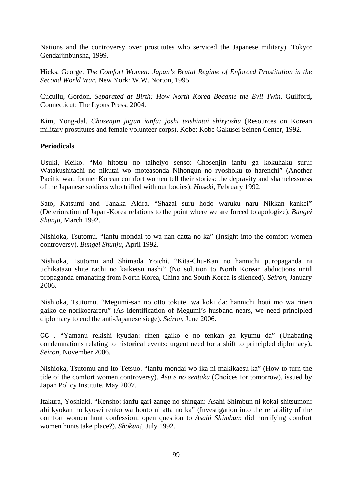Nations and the controversy over prostitutes who serviced the Japanese military). Tokyo: Gendaijinbunsha, 1999.

Hicks, George. *The Comfort Women: Japan's Brutal Regime of Enforced Prostitution in the Second World War.* New York: W.W. Norton, 1995.

Cucullu, Gordon. *Separated at Birth: How North Korea Became the Evil Twin*. Guilford, Connecticut: The Lyons Press, 2004.

Kim, Yong-dal. *Chosenjin jugun ianfu: joshi teishintai shiryoshu* (Resources on Korean military prostitutes and female volunteer corps). Kobe: Kobe Gakusei Seinen Center, 1992.

## **Periodicals**

Usuki, Keiko. "Mo hitotsu no taiheiyo senso: Chosenjin ianfu ga kokuhaku suru: Watakushitachi no nikutai wo moteasonda Nihongun no ryoshoku to harenchi" (Another Pacific war: former Korean comfort women tell their stories: the depravity and shamelessness of the Japanese soldiers who trifled with our bodies). *Hoseki*, February 1992.

Sato, Katsumi and Tanaka Akira. "Shazai suru hodo waruku naru Nikkan kankei" (Deterioration of Japan-Korea relations to the point where we are forced to apologize). *Bungei Shunju*, March 1992.

Nishioka, Tsutomu. "Ianfu mondai to wa nan datta no ka" (Insight into the comfort women controversy). *Bungei Shunju*, April 1992.

Nishioka, Tsutomu and Shimada Yoichi. "Kita-Chu-Kan no hannichi puropaganda ni uchikatazu shite rachi no kaiketsu nashi" (No solution to North Korean abductions until propaganda emanating from North Korea, China and South Korea is silenced). *Seiron*, January 2006.

Nishioka, Tsutomu. "Megumi-san no otto tokutei wa koki da: hannichi houi mo wa rinen gaiko de norikoerareru" (As identification of Megumi's husband nears, we need principled diplomacy to end the anti-Japanese siege). *Seiron*, June 2006.

CC . "Yamanu rekishi kyudan: rinen gaiko e no tenkan ga kyumu da" (Unabating condemnations relating to historical events: urgent need for a shift to principled diplomacy). *Seiron*, November 2006.

Nishioka, Tsutomu and Ito Tetsuo. "Ianfu mondai wo ika ni makikaesu ka" (How to turn the tide of the comfort women controversy). *Asu e no sentaku* (Choices for tomorrow), issued by Japan Policy Institute, May 2007.

Itakura, Yoshiaki. "Kensho: ianfu gari zange no shingan: Asahi Shimbun ni kokai shitsumon: abi kyokan no kyosei renko wa honto ni atta no ka" (Investigation into the reliability of the comfort women hunt confession: open question to *Asahi Shimbun*: did horrifying comfort women hunts take place?). *Shokun!*, July 1992.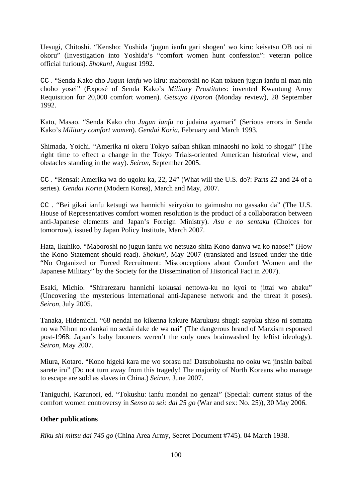Uesugi, Chitoshi. "Kensho: Yoshida 'jugun ianfu gari shogen' wo kiru: keisatsu OB ooi ni okoru" (Investigation into Yoshida's "comfort women hunt confession": veteran police official furious). *Shokun!*, August 1992.

CC . "Senda Kako cho *Jugun ianfu* wo kiru: maboroshi no Kan tokuen jugun ianfu ni man nin chobo yosei" (Exposé of Senda Kako's *Military Prostitutes*: invented Kwantung Army Requisition for 20,000 comfort women). *Getsuyo Hyoron* (Monday review), 28 September 1992.

Kato, Masao. "Senda Kako cho *Jugun ianfu* no judaina ayamari" (Serious errors in Senda Kako's *Military comfort women*). *Gendai Koria*, February and March 1993.

Shimada, Yoichi. "Amerika ni okeru Tokyo saiban shikan minaoshi no koki to shogai" (The right time to effect a change in the Tokyo Trials-oriented American historical view, and obstacles standing in the way). *Seiron*, September 2005.

CC . "Rensai: Amerika wa do ugoku ka, 22, 24" (What will the U.S. do?: Parts 22 and 24 of a series). *Gendai Koria* (Modern Korea), March and May, 2007.

CC . "Bei gikai ianfu ketsugi wa hannichi seiryoku to gaimusho no gassaku da" (The U.S. House of Representatives comfort women resolution is the product of a collaboration between anti-Japanese elements and Japan's Foreign Ministry). *Asu e no sentaku* (Choices for tomorrow), issued by Japan Policy Institute, March 2007.

Hata, Ikuhiko. "Maboroshi no jugun ianfu wo netsuzo shita Kono danwa wa ko naose!" (How the Kono Statement should read). *Shokun!*, May 2007 (translated and issued under the title "No Organized or Forced Recruitment: Misconceptions about Comfort Women and the Japanese Military" by the Society for the Dissemination of Historical Fact in 2007).

Esaki, Michio. "Shirarezaru hannichi kokusai nettowa-ku no kyoi to jittai wo abaku" (Uncovering the mysterious international anti-Japanese network and the threat it poses). *Seiron*, July 2005.

Tanaka, Hidemichi. "68 nendai no kikenna kakure Marukusu shugi: sayoku shiso ni somatta no wa Nihon no dankai no sedai dake de wa nai" (The dangerous brand of Marxism espoused post-1968: Japan's baby boomers weren't the only ones brainwashed by leftist ideology). *Seiron*, May 2007.

Miura, Kotaro. "Kono higeki kara me wo sorasu na! Datsubokusha no ooku wa jinshin baibai sarete iru" (Do not turn away from this tragedy! The majority of North Koreans who manage to escape are sold as slaves in China.) *Seiron*, June 2007.

Taniguchi, Kazunori, ed. "Tokushu: ianfu mondai no genzai" (Special: current status of the comfort women controversy in *Senso to sei: dai 25 go* (War and sex: No. 25)), 30 May 2006.

# **Other publications**

*Riku shi mitsu dai 745 go* (China Area Army, Secret Document #745). 04 March 1938.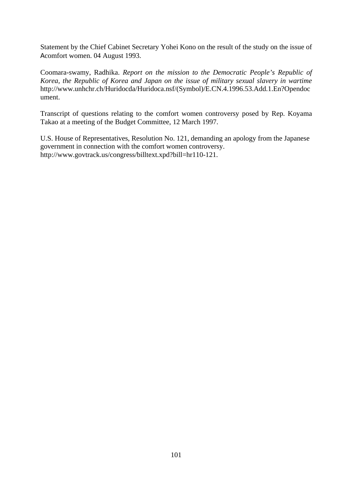Statement by the Chief Cabinet Secretary Yohei Kono on the result of the study on the issue of Acomfort women. 04 August 1993.

Coomara-swamy, Radhika. *Report on the mission to the Democratic People's Republic of Korea, the Republic of Korea and Japan on the issue of military sexual slavery in wartime* http://www.unhchr.ch/Huridocda/Huridoca.nsf/(Symbol)/E.CN.4.1996.53.Add.1.En?Opendoc ument.

Transcript of questions relating to the comfort women controversy posed by Rep. Koyama Takao at a meeting of the Budget Committee, 12 March 1997.

U.S. House of Representatives, Resolution No. 121, demanding an apology from the Japanese government in connection with the comfort women controversy. http://www.govtrack.us/congress/billtext.xpd?bill=hr110-121.